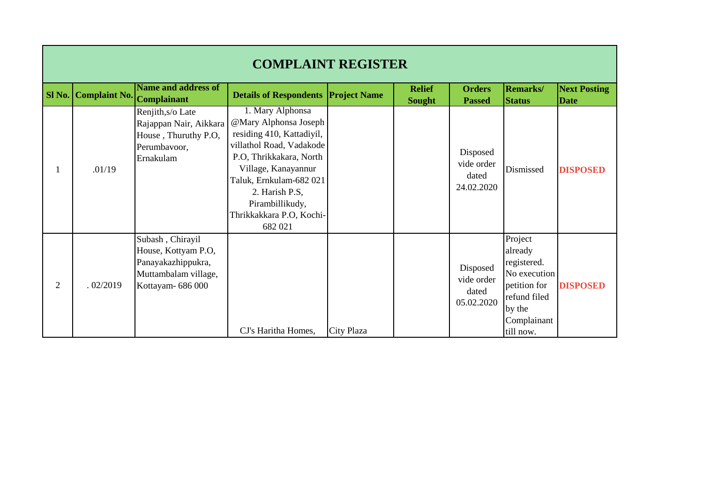|                | <b>COMPLAINT REGISTER</b> |                                                                                                            |                                                                                                                                                                                                                                                             |                     |                                |                                               |                                                                                                                         |                                    |  |  |
|----------------|---------------------------|------------------------------------------------------------------------------------------------------------|-------------------------------------------------------------------------------------------------------------------------------------------------------------------------------------------------------------------------------------------------------------|---------------------|--------------------------------|-----------------------------------------------|-------------------------------------------------------------------------------------------------------------------------|------------------------------------|--|--|
| $SI$ No.       | <b>Complaint No.</b>      | Name and address of<br><b>Complainant</b>                                                                  | <b>Details of Respondents</b>                                                                                                                                                                                                                               | <b>Project Name</b> | <b>Relief</b><br><b>Sought</b> | <b>Orders</b><br><b>Passed</b>                | <b>Remarks</b> /<br><b>Status</b>                                                                                       | <b>Next Posting</b><br><b>Date</b> |  |  |
|                | .01/19                    | Renjith, s/o Late<br>Rajappan Nair, Aikkara<br>House, Thuruthy P.O,<br>Perumbavoor,<br>Ernakulam           | 1. Mary Alphonsa<br>@Mary Alphonsa Joseph<br>residing 410, Kattadiyil,<br>villathol Road, Vadakode<br>P.O, Thrikkakara, North<br>Village, Kanayannur<br>Taluk, Ernkulam-682 021<br>2. Harish P.S,<br>Pirambillikudy,<br>Thrikkakkara P.O, Kochi-<br>682 021 |                     |                                | Disposed<br>vide order<br>dated<br>24.02.2020 | Dismissed                                                                                                               | <b>DISPOSED</b>                    |  |  |
| $\overline{2}$ | .02/2019                  | Subash, Chirayil<br>House, Kottyam P.O,<br>Panayakazhippukra,<br>Muttambalam village,<br>Kottayam- 686 000 | CJ's Haritha Homes,                                                                                                                                                                                                                                         | City Plaza          |                                | Disposed<br>vide order<br>dated<br>05.02.2020 | Project<br>already<br>registered.<br>No execution<br>petition for<br>refund filed<br>by the<br>Complainant<br>till now. | <b>DISPOSED</b>                    |  |  |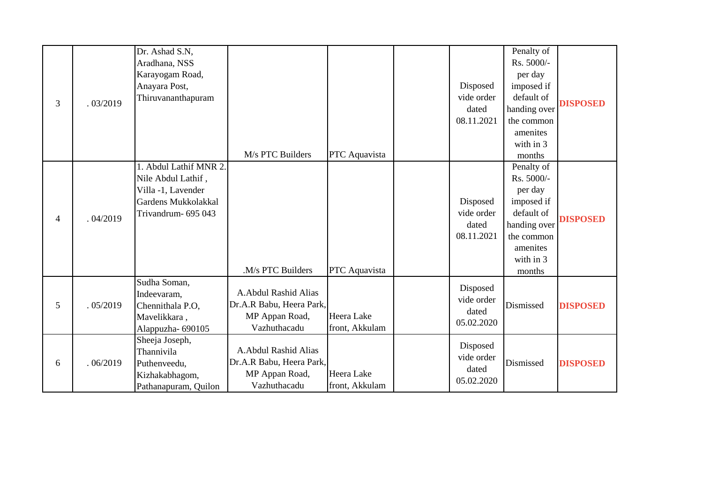| 3 | .03/2019 | Dr. Ashad S.N,<br>Aradhana, NSS<br>Karayogam Road,<br>Anayara Post,<br>Thiruvananthapuram                     | M/s PTC Builders                                                                   | PTC Aquavista                | Disposed<br>vide order<br>dated<br>08.11.2021 | Penalty of<br>Rs. 5000/-<br>per day<br>imposed if<br>default of<br>handing over<br>the common<br>amenites<br>with in 3<br>months | <b>DISPOSED</b> |
|---|----------|---------------------------------------------------------------------------------------------------------------|------------------------------------------------------------------------------------|------------------------------|-----------------------------------------------|----------------------------------------------------------------------------------------------------------------------------------|-----------------|
| 4 | .04/2019 | Abdul Lathif MNR 2.<br>Nile Abdul Lathif,<br>Villa -1, Lavender<br>Gardens Mukkolakkal<br>Trivandrum- 695 043 | .M/s PTC Builders                                                                  | PTC Aquavista                | Disposed<br>vide order<br>dated<br>08.11.2021 | Penalty of<br>Rs. 5000/-<br>per day<br>imposed if<br>default of<br>handing over<br>the common<br>amenites<br>with in 3<br>months | <b>DISPOSED</b> |
| 5 | .05/2019 | Sudha Soman,<br>Indeevaram,<br>Chennithala P.O,<br>Mavelikkara,<br>Alappuzha- 690105                          | A.Abdul Rashid Alias<br>Dr.A.R Babu, Heera Park,<br>MP Appan Road,<br>Vazhuthacadu | Heera Lake<br>front, Akkulam | Disposed<br>vide order<br>dated<br>05.02.2020 | Dismissed                                                                                                                        | <b>DISPOSED</b> |
| 6 | .06/2019 | Sheeja Joseph,<br>Thannivila<br>Puthenveedu,<br>Kizhakabhagom,<br>Pathanapuram, Quilon                        | A.Abdul Rashid Alias<br>Dr.A.R Babu, Heera Park,<br>MP Appan Road,<br>Vazhuthacadu | Heera Lake<br>front, Akkulam | Disposed<br>vide order<br>dated<br>05.02.2020 | Dismissed                                                                                                                        | <b>DISPOSED</b> |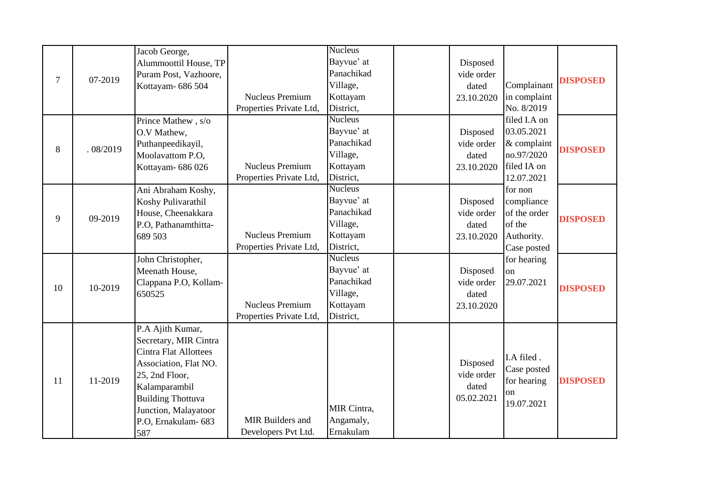|                |          | Jacob George,                |                         | <b>Nucleus</b> |            |                             |                                                                                             |
|----------------|----------|------------------------------|-------------------------|----------------|------------|-----------------------------|---------------------------------------------------------------------------------------------|
|                |          | Alummoottil House, TP        |                         | Bayvue' at     | Disposed   |                             |                                                                                             |
|                |          | Puram Post, Vazhoore,        |                         | Panachikad     | vide order |                             |                                                                                             |
| $\overline{7}$ | 07-2019  | Kottayam- 686 504            |                         | Village,       | dated      | Complainant                 |                                                                                             |
|                |          |                              | <b>Nucleus Premium</b>  | Kottayam       | 23.10.2020 | in complaint                |                                                                                             |
|                |          |                              | Properties Private Ltd, | District,      |            | No. 8/2019                  | <b>DISPOSED</b><br><b>DISPOSED</b><br><b>DISPOSED</b><br><b>DISPOSED</b><br><b>DISPOSED</b> |
|                |          | Prince Mathew, s/o           |                         | <b>Nucleus</b> |            | filed I.A on                |                                                                                             |
|                |          | O.V Mathew,                  |                         | Bayvue' at     | Disposed   | 03.05.2021                  |                                                                                             |
|                | .08/2019 | Puthanpeedikayil,            |                         | Panachikad     | vide order | $\&$ complaint              |                                                                                             |
| 8              |          | Moolavattom P.O,             |                         | Village,       | dated      | no.97/2020                  |                                                                                             |
|                |          | Kottayam- 686 026            | <b>Nucleus Premium</b>  | Kottayam       | 23.10.2020 | filed IA on                 |                                                                                             |
|                |          |                              | Properties Private Ltd, | District,      |            | 12.07.2021                  |                                                                                             |
|                |          | Ani Abraham Koshy,           |                         | <b>Nucleus</b> |            | for non                     |                                                                                             |
|                |          | Koshy Pulivarathil           |                         | Bayvue' at     | Disposed   | compliance                  |                                                                                             |
| 9              | 09-2019  | House, Cheenakkara           |                         | Panachikad     | vide order | of the order                |                                                                                             |
|                |          | P.O, Pathanamthitta-         |                         | Village,       | dated      | of the                      |                                                                                             |
|                |          | 689 503                      | <b>Nucleus Premium</b>  | Kottayam       | 23.10.2020 | Authority.                  |                                                                                             |
|                |          |                              | Properties Private Ltd, | District,      |            | Case posted                 |                                                                                             |
|                |          | John Christopher,            |                         | <b>Nucleus</b> |            | for hearing                 |                                                                                             |
|                |          | Meenath House,               |                         | Bayvue' at     | Disposed   | <sub>on</sub>               |                                                                                             |
| 10             | 10-2019  | Clappana P.O, Kollam-        |                         | Panachikad     | vide order | 29.07.2021                  |                                                                                             |
|                |          | 650525                       |                         | Village,       | dated      |                             |                                                                                             |
|                |          |                              | <b>Nucleus Premium</b>  | Kottayam       | 23.10.2020 |                             |                                                                                             |
|                |          |                              | Properties Private Ltd, | District,      |            |                             |                                                                                             |
|                |          | P.A Ajith Kumar,             |                         |                |            |                             |                                                                                             |
|                |          | Secretary, MIR Cintra        |                         |                |            |                             |                                                                                             |
|                |          | <b>Cintra Flat Allottees</b> |                         |                |            | I.A filed.                  |                                                                                             |
|                |          | Association, Flat NO.        |                         |                | Disposed   | Case posted                 |                                                                                             |
|                | 11-2019  | 25, 2nd Floor,               |                         |                | vide order | for hearing                 |                                                                                             |
| 11             |          | Kalamparambil                |                         |                | dated      |                             |                                                                                             |
|                |          | <b>Building Thottuva</b>     |                         |                | 05.02.2021 | <sub>on</sub><br>19.07.2021 |                                                                                             |
|                |          | Junction, Malayatoor         |                         | MIR Cintra,    |            |                             |                                                                                             |
|                |          | P.O. Ernakulam-683           | MIR Builders and        | Angamaly,      |            |                             |                                                                                             |
|                |          | 587                          | Developers Pvt Ltd.     | Ernakulam      |            |                             |                                                                                             |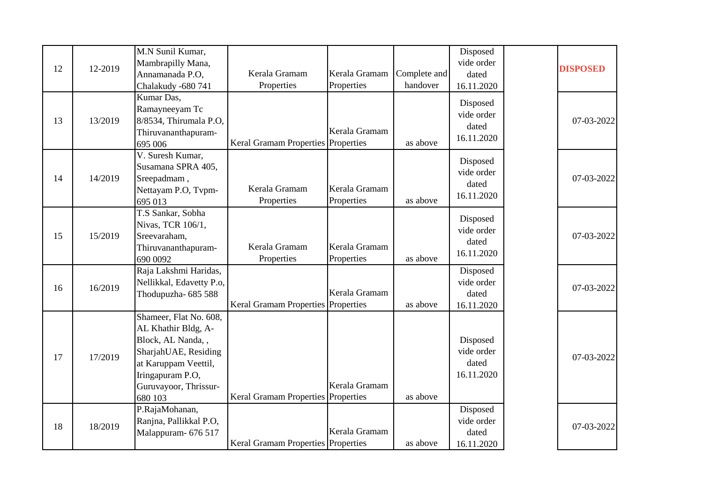| 12 | 12-2019 | M.N Sunil Kumar,<br>Mambrapilly Mana,<br>Annamanada P.O,<br>Chalakudy -680 741                                                                                              | Kerala Gramam<br>Properties        | Kerala Gramam<br>Properties | Complete and<br>handover | Disposed<br>vide order<br>dated<br>16.11.2020 | <b>DISPOSED</b> |
|----|---------|-----------------------------------------------------------------------------------------------------------------------------------------------------------------------------|------------------------------------|-----------------------------|--------------------------|-----------------------------------------------|-----------------|
| 13 | 13/2019 | Kumar Das,<br>Ramayneeyam Tc<br>8/8534, Thirumala P.O,<br>Thiruvananthapuram-<br>695 006                                                                                    | Keral Gramam Properties Properties | Kerala Gramam               | as above                 | Disposed<br>vide order<br>dated<br>16.11.2020 | 07-03-2022      |
| 14 | 14/2019 | V. Suresh Kumar,<br>Susamana SPRA 405,<br>Sreepadmam,<br>Nettayam P.O, Tvpm-<br>695 013                                                                                     | Kerala Gramam<br>Properties        | Kerala Gramam<br>Properties | as above                 | Disposed<br>vide order<br>dated<br>16.11.2020 | 07-03-2022      |
| 15 | 15/2019 | T.S Sankar, Sobha<br>Nivas, TCR 106/1,<br>Sreevaraham,<br>Thiruvananthapuram-<br>690 0092                                                                                   | Kerala Gramam<br>Properties        | Kerala Gramam<br>Properties | as above                 | Disposed<br>vide order<br>dated<br>16.11.2020 | 07-03-2022      |
| 16 | 16/2019 | Raja Lakshmi Haridas,<br>Nellikkal, Edavetty P.o,<br>Thodupuzha- 685 588                                                                                                    | Keral Gramam Properties Properties | Kerala Gramam               | as above                 | Disposed<br>vide order<br>dated<br>16.11.2020 | 07-03-2022      |
| 17 | 17/2019 | Shameer, Flat No. 608,<br>AL Khathir Bldg, A-<br>Block, AL Nanda, ,<br>SharjahUAE, Residing<br>at Karuppam Veettil,<br>Iringapuram P.O,<br>Guruvayoor, Thrissur-<br>680 103 | Keral Gramam Properties Properties | Kerala Gramam               | as above                 | Disposed<br>vide order<br>dated<br>16.11.2020 | 07-03-2022      |
| 18 | 18/2019 | P.RajaMohanan,<br>Ranjna, Pallikkal P.O,<br>Malappuram- 676 517                                                                                                             | Keral Gramam Properties Properties | Kerala Gramam               | as above                 | Disposed<br>vide order<br>dated<br>16.11.2020 | 07-03-2022      |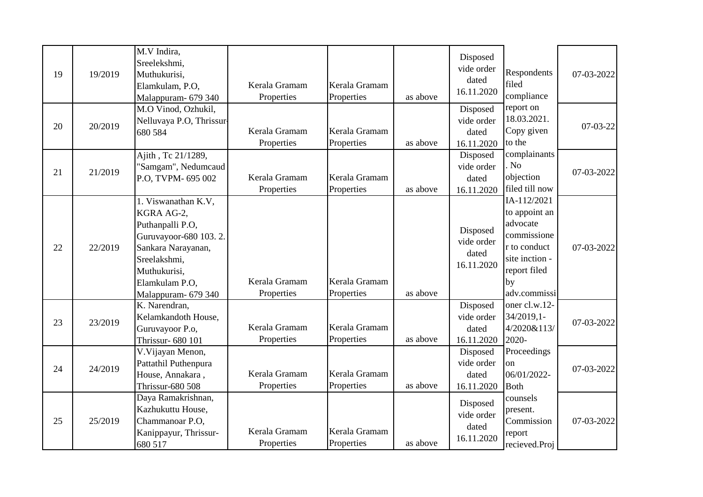| 19 | 19/2019 | M.V Indira,<br>Sreelekshmi,<br>Muthukurisi,<br>Elamkulam, P.O,<br>Malappuram- 679 340                                                                                         | Kerala Gramam<br>Properties | Kerala Gramam<br>Properties | as above | Disposed<br>vide order<br>dated<br>16.11.2020 | Respondents<br>filed<br>compliance                                                                                              | 07-03-2022 |
|----|---------|-------------------------------------------------------------------------------------------------------------------------------------------------------------------------------|-----------------------------|-----------------------------|----------|-----------------------------------------------|---------------------------------------------------------------------------------------------------------------------------------|------------|
| 20 | 20/2019 | M.O Vinod, Ozhukil,<br>Nelluvaya P.O, Thrissur-<br>680 584                                                                                                                    | Kerala Gramam<br>Properties | Kerala Gramam<br>Properties | as above | Disposed<br>vide order<br>dated<br>16.11.2020 | report on<br>18.03.2021.<br>Copy given<br>to the                                                                                | $07-03-22$ |
| 21 | 21/2019 | Ajith, Tc 21/1289,<br>'Samgam'', Nedumcaud<br>P.O, TVPM- 695 002                                                                                                              | Kerala Gramam<br>Properties | Kerala Gramam<br>Properties | as above | Disposed<br>vide order<br>dated<br>16.11.2020 | complainants<br>N <sub>o</sub><br>objection<br>filed till now                                                                   | 07-03-2022 |
| 22 | 22/2019 | 1. Viswanathan K.V,<br>KGRA AG-2,<br>Puthanpalli P.O,<br>Guruvayoor-680 103.2.<br>Sankara Narayanan,<br>Sreelakshmi,<br>Muthukurisi,<br>Elamkulam P.O,<br>Malappuram- 679 340 | Kerala Gramam<br>Properties | Kerala Gramam<br>Properties | as above | Disposed<br>vide order<br>dated<br>16.11.2020 | IA-112/2021<br>to appoint an<br>advocate<br>commissione<br>r to conduct<br>site inction -<br>report filed<br>by<br>adv.commissi | 07-03-2022 |
| 23 | 23/2019 | K. Narendran,<br>Kelamkandoth House,<br>Guruvayoor P.o,<br>Thrissur- 680 101                                                                                                  | Kerala Gramam<br>Properties | Kerala Gramam<br>Properties | as above | Disposed<br>vide order<br>dated<br>16.11.2020 | oner cl.w.12-<br>34/2019,1-<br>4/2020&113/<br>2020-                                                                             | 07-03-2022 |
| 24 | 24/2019 | V. Vijayan Menon,<br>Pattathil Puthenpura<br>House, Annakara,<br><b>Thrissur-680 508</b>                                                                                      | Kerala Gramam<br>Properties | Kerala Gramam<br>Properties | as above | Disposed<br>vide order<br>dated<br>16.11.2020 | Proceedings<br>on<br>06/01/2022-<br><b>Both</b>                                                                                 | 07-03-2022 |
| 25 | 25/2019 | Daya Ramakrishnan,<br>Kazhukuttu House,<br>Chammanoar P.O.<br>Kanippayur, Thrissur-<br>680 517                                                                                | Kerala Gramam<br>Properties | Kerala Gramam<br>Properties | as above | Disposed<br>vide order<br>dated<br>16.11.2020 | counsels<br>present.<br>Commission<br>report<br>recieved.Proj                                                                   | 07-03-2022 |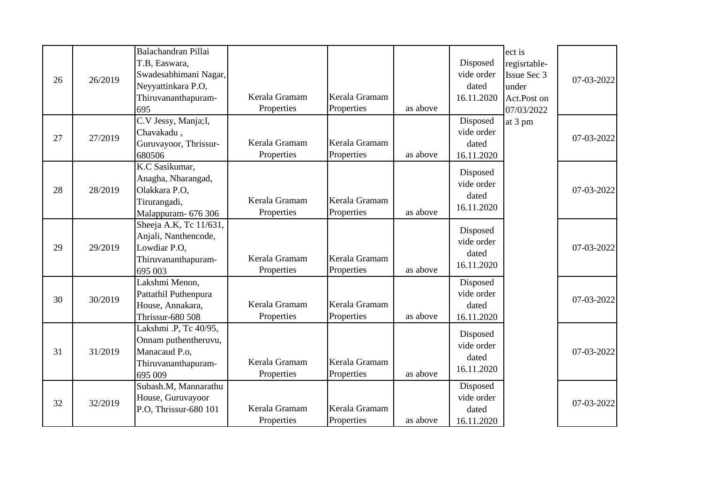| 26 | 26/2019 | Balachandran Pillai<br>T.B, Easwara,<br>Swadesabhimani Nagar,<br>Neyyattinkara P.O,<br>Thiruvananthapuram-<br>695 | Kerala Gramam<br>Properties | Kerala Gramam<br>Properties | as above | Disposed<br>vide order<br>dated<br>16.11.2020 | ect is<br>regisrtable-<br>Issue Sec 3<br>under<br>Act.Post on<br>07/03/2022 | 07-03-2022 |
|----|---------|-------------------------------------------------------------------------------------------------------------------|-----------------------------|-----------------------------|----------|-----------------------------------------------|-----------------------------------------------------------------------------|------------|
| 27 | 27/2019 | C.V Jessy, Manja;I,<br>Chavakadu,<br>Guruvayoor, Thrissur-<br>680506                                              | Kerala Gramam<br>Properties | Kerala Gramam<br>Properties | as above | Disposed<br>vide order<br>dated<br>16.11.2020 | at 3 pm                                                                     | 07-03-2022 |
| 28 | 28/2019 | K.C Sasikumar,<br>Anagha, Nharangad,<br>Olakkara P.O,<br>Tirurangadi,<br>Malappuram- 676 306                      | Kerala Gramam<br>Properties | Kerala Gramam<br>Properties | as above | Disposed<br>vide order<br>dated<br>16.11.2020 |                                                                             | 07-03-2022 |
| 29 | 29/2019 | Sheeja A.K, Tc 11/631,<br>Anjali, Nanthencode,<br>Lowdiar P.O.<br>Thiruvananthapuram-<br>695 003                  | Kerala Gramam<br>Properties | Kerala Gramam<br>Properties | as above | Disposed<br>vide order<br>dated<br>16.11.2020 |                                                                             | 07-03-2022 |
| 30 | 30/2019 | Lakshmi Menon,<br>Pattathil Puthenpura<br>House, Annakara,<br><b>Thrissur-680 508</b>                             | Kerala Gramam<br>Properties | Kerala Gramam<br>Properties | as above | Disposed<br>vide order<br>dated<br>16.11.2020 |                                                                             | 07-03-2022 |
| 31 | 31/2019 | Lakshmi .P, Tc 40/95,<br>Onnam puthentheruvu,<br>Manacaud P.o,<br>Thiruvananthapuram-<br>695 009                  | Kerala Gramam<br>Properties | Kerala Gramam<br>Properties | as above | Disposed<br>vide order<br>dated<br>16.11.2020 |                                                                             | 07-03-2022 |
| 32 | 32/2019 | Subash.M, Mannarathu<br>House, Guruvayoor<br>P.O, Thrissur-680 101                                                | Kerala Gramam<br>Properties | Kerala Gramam<br>Properties | as above | Disposed<br>vide order<br>dated<br>16.11.2020 |                                                                             | 07-03-2022 |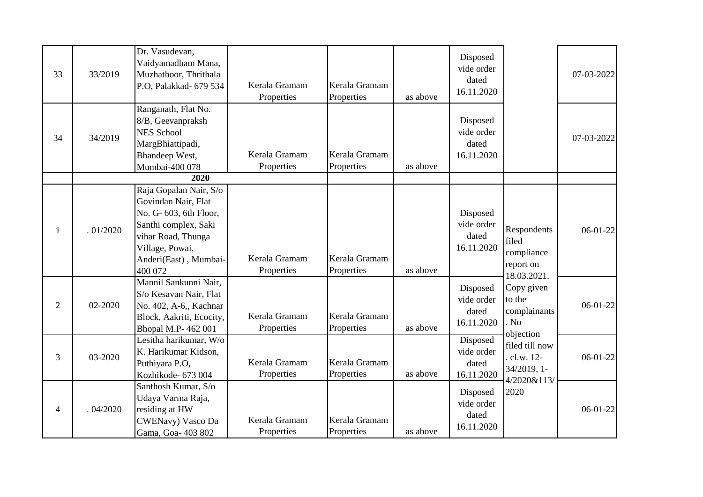| 33 | 33/2019  | Dr. Vasudevan,<br>Vaidyamadham Mana,<br>Muzhathoor, Thrithala<br>P.O, Palakkad- 679 534                                                                                      | Kerala Gramam<br>Properties | Kerala Gramam<br>Properties | as above | Disposed<br>vide order<br>dated<br>16.11.2020 |                                                                | 07-03-2022 |
|----|----------|------------------------------------------------------------------------------------------------------------------------------------------------------------------------------|-----------------------------|-----------------------------|----------|-----------------------------------------------|----------------------------------------------------------------|------------|
| 34 | 34/2019  | Ranganath, Flat No.<br>8/B, Geevanpraksh<br><b>NES School</b><br>MargBhiattipadi,<br>Bhandeep West,<br>Mumbai-400 078                                                        | Kerala Gramam<br>Properties | Kerala Gramam<br>Properties | as above | Disposed<br>vide order<br>dated<br>16.11.2020 |                                                                | 07-03-2022 |
|    |          | 2020                                                                                                                                                                         |                             |                             |          |                                               |                                                                |            |
| 1  | .01/2020 | Raja Gopalan Nair, S/o<br>Govindan Nair, Flat<br>No. G- 603, 6th Floor,<br>Santhi complex, Saki<br>vihar Road, Thunga<br>Village, Powai,<br>Anderi(East), Mumbai-<br>400 072 | Kerala Gramam<br>Properties | Kerala Gramam<br>Properties | as above | Disposed<br>vide order<br>dated<br>16.11.2020 | Respondents<br>filed<br>compliance<br>report on<br>18.03.2021. | $06-01-22$ |
| 2  | 02-2020  | Mannil Sankunni Nair,<br>S/o Kesavan Nair, Flat<br>No. 402, A-6,, Kachnar<br>Block, Aakriti, Ecocity,<br>Bhopal M.P- 462 001                                                 | Kerala Gramam<br>Properties | Kerala Gramam<br>Properties | as above | Disposed<br>vide order<br>dated<br>16.11.2020 | Copy given<br>to the<br>complainants<br>. No<br>objection      | $06-01-22$ |
| 3  | 03-2020  | Lesitha harikumar, W/o<br>K. Harikumar Kidson,<br>Puthiyara P.O,<br>Kozhikode- 673 004                                                                                       | Kerala Gramam<br>Properties | Kerala Gramam<br>Properties | as above | Disposed<br>vide order<br>dated<br>16.11.2020 | filed till now<br>cl.w. 12-<br>34/2019, 1-<br>4/2020&113/      | $06-01-22$ |
| 4  | .04/2020 | Santhosh Kumar, S/o<br>Udaya Varma Raja,<br>residing at HW<br>CWENavy) Vasco Da<br>Gama, Goa- 403 802                                                                        | Kerala Gramam<br>Properties | Kerala Gramam<br>Properties | as above | Disposed<br>vide order<br>dated<br>16.11.2020 | 2020                                                           | $06-01-22$ |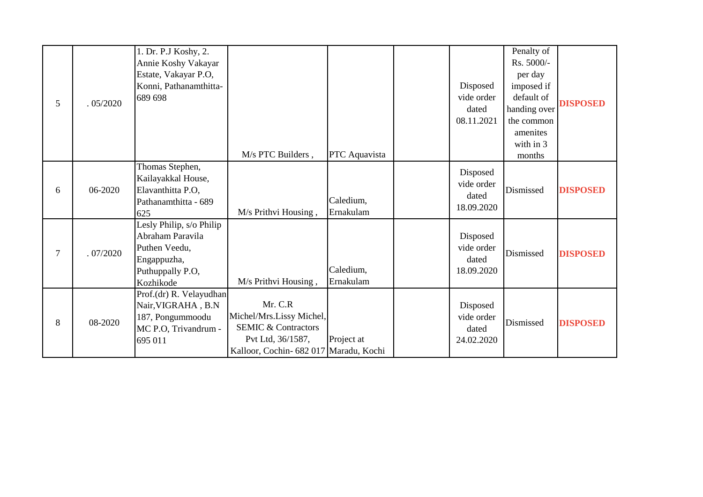| 5              | .05/2020 | 1. Dr. P.J Koshy, 2.<br>Annie Koshy Vakayar<br>Estate, Vakayar P.O,<br>Konni, Pathanamthitta-<br>689 698      | M/s PTC Builders,                                                                                                                    | PTC Aquavista          | Disposed<br>vide order<br>dated<br>08.11.2021 | Penalty of<br>Rs. 5000/-<br>per day<br>imposed if<br>default of<br>handing over<br>the common<br>amenites<br>with in 3<br>months | <b>DISPOSED</b> |
|----------------|----------|---------------------------------------------------------------------------------------------------------------|--------------------------------------------------------------------------------------------------------------------------------------|------------------------|-----------------------------------------------|----------------------------------------------------------------------------------------------------------------------------------|-----------------|
| 6              | 06-2020  | Thomas Stephen,<br>Kailayakkal House,<br>Elavanthitta P.O,<br>Pathanamthitta - 689<br>625                     | M/s Prithvi Housing,                                                                                                                 | Caledium,<br>Ernakulam | Disposed<br>vide order<br>dated<br>18.09.2020 | Dismissed                                                                                                                        | <b>DISPOSED</b> |
| $\overline{7}$ | .07/2020 | Lesly Philip, s/o Philip<br>Abraham Paravila<br>Puthen Veedu,<br>Engappuzha,<br>Puthuppally P.O,<br>Kozhikode | M/s Prithvi Housing,                                                                                                                 | Caledium,<br>Ernakulam | Disposed<br>vide order<br>dated<br>18.09.2020 | Dismissed                                                                                                                        | <b>DISPOSED</b> |
| 8              | 08-2020  | Prof.(dr) R. Velayudhan<br>Nair, VIGRAHA, B.N<br>187, Pongummoodu<br>MC P.O, Trivandrum -<br>695 011          | Mr. C.R<br>Michel/Mrs.Lissy Michel,<br><b>SEMIC &amp; Contractors</b><br>Pvt Ltd, 36/1587,<br>Kalloor, Cochin- 682 017 Maradu, Kochi | Project at             | Disposed<br>vide order<br>dated<br>24.02.2020 | Dismissed                                                                                                                        | <b>DISPOSED</b> |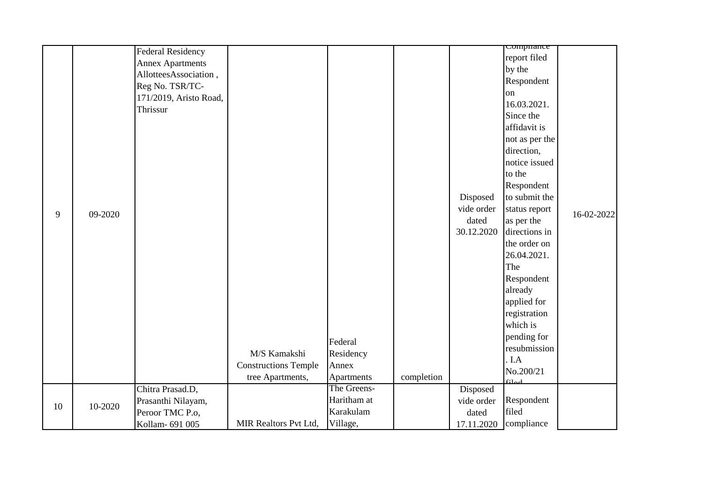|    |         | <b>Federal Residency</b>              |                              |                           |            |                        | Comphance        |            |
|----|---------|---------------------------------------|------------------------------|---------------------------|------------|------------------------|------------------|------------|
|    |         | <b>Annex Apartments</b>               |                              |                           |            |                        | report filed     |            |
|    |         | AllotteesAssociation,                 |                              |                           |            |                        | by the           |            |
|    |         | Reg No. TSR/TC-                       |                              |                           |            |                        | Respondent       |            |
|    |         |                                       |                              |                           |            |                        | on               |            |
|    |         | 171/2019, Aristo Road,<br>Thrissur    |                              |                           |            |                        | 16.03.2021.      |            |
|    |         |                                       |                              |                           |            |                        | Since the        |            |
|    |         |                                       |                              |                           |            |                        | affidavit is     |            |
|    |         |                                       |                              |                           |            |                        | not as per the   |            |
|    |         |                                       |                              |                           |            |                        | direction,       |            |
|    |         |                                       |                              |                           |            |                        | notice issued    |            |
|    |         |                                       |                              |                           |            |                        | to the           |            |
|    |         |                                       |                              |                           |            |                        | Respondent       |            |
|    |         |                                       |                              |                           |            | Disposed               | to submit the    |            |
|    |         |                                       |                              |                           |            | vide order             | status report    |            |
| 9  | 09-2020 |                                       |                              |                           |            | dated                  | as per the       | 16-02-2022 |
|    |         |                                       |                              |                           |            | 30.12.2020             | directions in    |            |
|    |         |                                       |                              |                           |            |                        | the order on     |            |
|    |         |                                       |                              |                           |            |                        | 26.04.2021.      |            |
|    |         |                                       |                              |                           |            |                        | The              |            |
|    |         |                                       |                              |                           |            |                        | Respondent       |            |
|    |         |                                       |                              |                           |            |                        | already          |            |
|    |         |                                       |                              |                           |            |                        | applied for      |            |
|    |         |                                       |                              |                           |            |                        | registration     |            |
|    |         |                                       |                              |                           |            |                        | which is         |            |
|    |         |                                       |                              | Federal                   |            |                        | pending for      |            |
|    |         |                                       | M/S Kamakshi                 | Residency                 |            |                        | resubmission     |            |
|    |         |                                       | <b>Constructions Temple</b>  | Annex                     |            |                        | . I.A            |            |
|    |         |                                       |                              |                           |            |                        | No.200/21        |            |
|    |         |                                       | tree Apartments,             | Apartments<br>The Greens- | completion |                        | 61 <sub>od</sub> |            |
|    |         | Chitra Prasad.D,                      |                              | Haritham at               |            | Disposed<br>vide order | Respondent       |            |
| 10 | 10-2020 | Prasanthi Nilayam,<br>Peroor TMC P.o, |                              | Karakulam                 |            | dated                  | filed            |            |
|    |         | Kollam- 691 005                       | <b>MIR Realtors Pvt Ltd,</b> | Village,                  |            | 17.11.2020             | compliance       |            |
|    |         |                                       |                              |                           |            |                        |                  |            |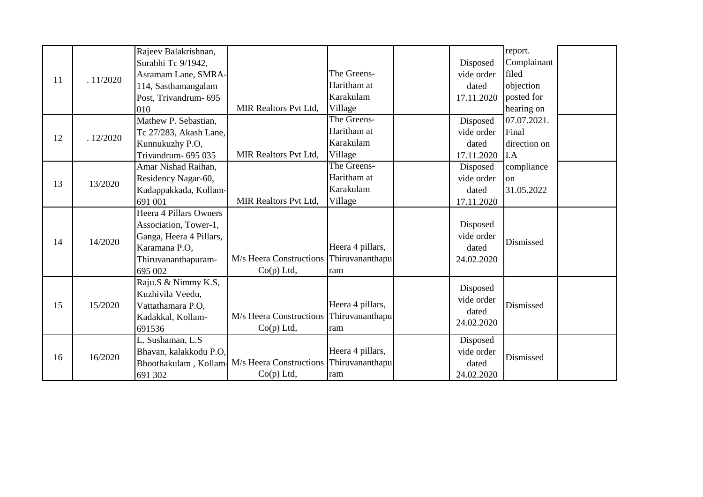|    |          | Rajeev Balakrishnan,    |                                           |                  |            | report.                                    |  |
|----|----------|-------------------------|-------------------------------------------|------------------|------------|--------------------------------------------|--|
|    |          | Surabhi Tc 9/1942,      |                                           |                  | Disposed   | Complainant                                |  |
| 11 | .11/2020 | Asramam Lane, SMRA-     |                                           | The Greens-      | vide order | filed                                      |  |
|    |          | 114, Sasthamangalam     |                                           | Haritham at      | dated      | objection                                  |  |
|    |          | Post, Trivandrum- 695   |                                           | Karakulam        | 17.11.2020 | posted for                                 |  |
|    |          | 010                     | <b>MIR Realtors Pvt Ltd,</b>              | Village          |            | hearing on                                 |  |
|    |          | Mathew P. Sebastian,    |                                           | The Greens-      | Disposed   | 07.07.2021.                                |  |
| 12 | .12/2020 | Tc 27/283, Akash Lane,  |                                           | Haritham at      | vide order | Final                                      |  |
|    |          | Kunnukuzhy P.O,         |                                           | Karakulam        | dated      | direction on                               |  |
|    |          | Trivandrum- 695 035     | <b>MIR Realtors Pvt Ltd.</b>              | Village          | 17.11.2020 |                                            |  |
|    |          | Amar Nishad Raihan,     |                                           | The Greens-      | Disposed   | compliance                                 |  |
| 13 | 13/2020  | Residency Nagar-60,     |                                           | Haritham at      | vide order | on                                         |  |
|    |          | Kadappakkada, Kollam-   |                                           | Karakulam        | dated      | 31.05.2022                                 |  |
|    |          | 691 001                 | <b>MIR Realtors Pvt Ltd.</b>              | Village          | 17.11.2020 |                                            |  |
|    |          | Heera 4 Pillars Owners  |                                           |                  |            |                                            |  |
|    |          | Association, Tower-1,   |                                           |                  | Disposed   |                                            |  |
| 14 | 14/2020  | Ganga, Heera 4 Pillars, |                                           |                  | vide order |                                            |  |
|    |          | Karamana P.O,           |                                           | Heera 4 pillars, | dated      |                                            |  |
|    |          | Thiruvananthapuram-     | M/s Heera Constructions   Thiruvananthapu |                  | 24.02.2020 | I.A<br>Dismissed<br>Dismissed<br>Dismissed |  |
|    |          | 695 002                 | $Co(p)$ Ltd,                              | ram              |            |                                            |  |
|    |          | Raju.S & Nimmy K.S,     |                                           |                  | Disposed   |                                            |  |
|    |          | Kuzhivila Veedu,        |                                           |                  | vide order |                                            |  |
| 15 | 15/2020  | Vattathamara P.O.       |                                           | Heera 4 pillars, | dated      |                                            |  |
|    |          | Kadakkal, Kollam-       | M/s Heera Constructions Thiruvananthapu   |                  | 24.02.2020 |                                            |  |
|    |          | 691536                  | $Co(p)$ Ltd,                              | ram              |            |                                            |  |
|    |          | L. Sushaman, L.S        |                                           |                  | Disposed   |                                            |  |
| 16 | 16/2020  | Bhavan, kalakkodu P.O,  |                                           | Heera 4 pillars, | vide order |                                            |  |
|    |          | Bhoothakulam, Kollam-   | M/s Heera Constructions Thiruvananthapu   |                  | dated      |                                            |  |
|    |          | 691 302                 | $Co(p)$ Ltd,                              | ram              | 24.02.2020 |                                            |  |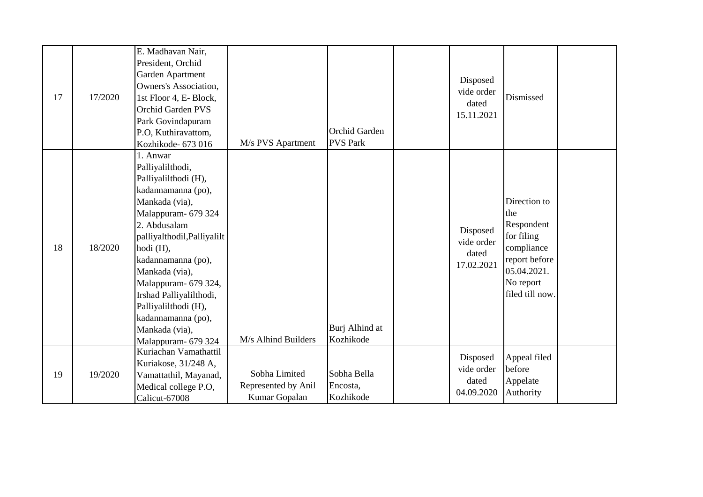| 17 | 17/2020 | E. Madhavan Nair,<br>President, Orchid<br>Garden Apartment<br><b>Owners's Association,</b><br>1st Floor 4, E- Block,<br><b>Orchid Garden PVS</b><br>Park Govindapuram<br>P.O, Kuthiravattom,<br>Kozhikode- 673 016                                                                                                                                                | M/s PVS Apartment                                     | Orchid Garden<br><b>PVS Park</b>     | Disposed<br>vide order<br>dated<br>15.11.2021 | Dismissed                                                                                                                     |  |
|----|---------|-------------------------------------------------------------------------------------------------------------------------------------------------------------------------------------------------------------------------------------------------------------------------------------------------------------------------------------------------------------------|-------------------------------------------------------|--------------------------------------|-----------------------------------------------|-------------------------------------------------------------------------------------------------------------------------------|--|
| 18 | 18/2020 | 1. Anwar<br>Palliyalilthodi,<br>Palliyalilthodi (H),<br>kadannamanna (po),<br>Mankada (via),<br>Malappuram- 679 324<br>2. Abdusalam<br>palliyalthodil, Palliyalilt<br>hodi (H),<br>kadannamanna (po),<br>Mankada (via),<br>Malappuram- 679 324,<br>Irshad Palliyalilthodi,<br>Palliyalilthodi (H),<br>kadannamanna (po),<br>Mankada (via),<br>Malappuram- 679 324 | M/s Alhind Builders                                   | Burj Alhind at<br>Kozhikode          | Disposed<br>vide order<br>dated<br>17.02.2021 | Direction to<br>the<br>Respondent<br>for filing<br>compliance<br>report before<br>05.04.2021.<br>No report<br>filed till now. |  |
| 19 | 19/2020 | Kuriachan Vamathattil<br>Kuriakose, 31/248 A,<br>Vamattathil, Mayanad,<br>Medical college P.O,<br>Calicut-67008                                                                                                                                                                                                                                                   | Sobha Limited<br>Represented by Anil<br>Kumar Gopalan | Sobha Bella<br>Encosta,<br>Kozhikode | Disposed<br>vide order<br>dated<br>04.09.2020 | Appeal filed<br>before<br>Appelate<br>Authority                                                                               |  |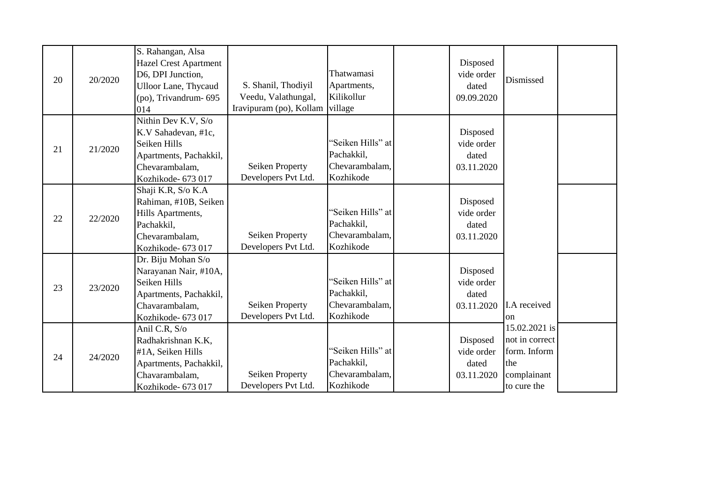| 20 | 20/2020 | S. Rahangan, Alsa<br><b>Hazel Crest Apartment</b><br>D6, DPI Junction,<br><b>Ulloor Lane, Thycaud</b><br>$(po)$ , Trivandrum- $695$<br>014 | S. Shanil, Thodiyil<br>Veedu, Valathungal,<br>Iravipuram (po), Kollam village | Thatwamasi<br>Apartments,<br>Kilikollur                        | Disposed<br>vide order<br>dated<br>09.09.2020 | Dismissed                                                                            |  |
|----|---------|--------------------------------------------------------------------------------------------------------------------------------------------|-------------------------------------------------------------------------------|----------------------------------------------------------------|-----------------------------------------------|--------------------------------------------------------------------------------------|--|
| 21 | 21/2020 | Nithin Dev K.V, S/o<br>K.V Sahadevan, #1c,<br>Seiken Hills<br>Apartments, Pachakkil,<br>Chevarambalam,<br>Kozhikode- 673 017               | Seiken Property<br>Developers Pvt Ltd.                                        | "Seiken Hills" at<br>Pachakkil,<br>Chevarambalam,<br>Kozhikode | Disposed<br>vide order<br>dated<br>03.11.2020 |                                                                                      |  |
| 22 | 22/2020 | Shaji K.R, S/o K.A<br>Rahiman, #10B, Seiken<br>Hills Apartments,<br>Pachakkil,<br>Chevarambalam,<br>Kozhikode- 673 017                     | <b>Seiken Property</b><br>Developers Pvt Ltd.                                 | "Seiken Hills" at<br>Pachakkil,<br>Chevarambalam,<br>Kozhikode | Disposed<br>vide order<br>dated<br>03.11.2020 |                                                                                      |  |
| 23 | 23/2020 | Dr. Biju Mohan S/o<br>Narayanan Nair, #10A,<br>Seiken Hills<br>Apartments, Pachakkil,<br>Chavarambalam,<br>Kozhikode- 673 017              | <b>Seiken Property</b><br>Developers Pvt Ltd.                                 | "Seiken Hills" at<br>Pachakkil,<br>Chevarambalam,<br>Kozhikode | Disposed<br>vide order<br>dated<br>03.11.2020 | I.A received<br><sub>on</sub>                                                        |  |
| 24 | 24/2020 | Anil C.R, S/o<br>Radhakrishnan K.K,<br>#1A, Seiken Hills<br>Apartments, Pachakkil,<br>Chavarambalam,<br>Kozhikode- 673 017                 | <b>Seiken Property</b><br>Developers Pvt Ltd.                                 | "Seiken Hills" at<br>Pachakkil,<br>Chevarambalam,<br>Kozhikode | Disposed<br>vide order<br>dated<br>03.11.2020 | 15.02.2021 is<br>not in correct<br>form. Inform<br>the<br>complainant<br>to cure the |  |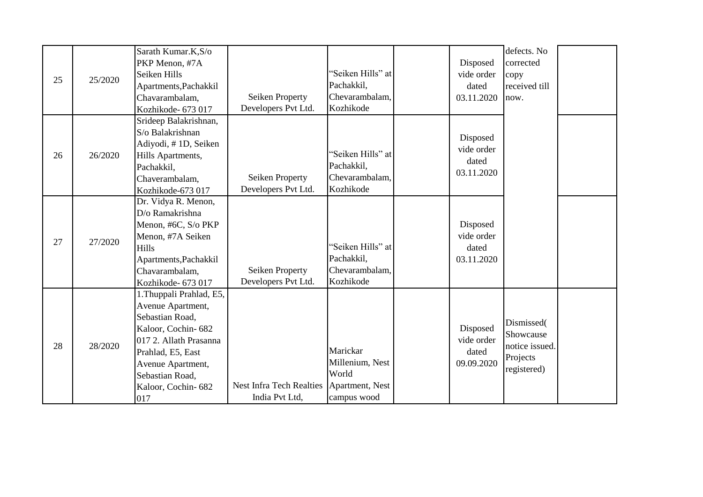| 25 | 25/2020 | Sarath Kumar.K,S/o<br>PKP Menon, #7A<br>Seiken Hills<br>Apartments, Pachakkil<br>Chavarambalam,<br>Kozhikode- 673 017                                                                                      | Seiken Property<br>Developers Pvt Ltd.            | "Seiken Hills" at<br>Pachakkil,<br>Chevarambalam,<br>Kozhikode         | Disposed<br>vide order<br>dated<br>03.11.2020 | defects. No<br>corrected<br>copy<br>received till<br>now.            |  |
|----|---------|------------------------------------------------------------------------------------------------------------------------------------------------------------------------------------------------------------|---------------------------------------------------|------------------------------------------------------------------------|-----------------------------------------------|----------------------------------------------------------------------|--|
| 26 | 26/2020 | Srideep Balakrishnan,<br>S/o Balakrishnan<br>Adiyodi, #1D, Seiken<br>Hills Apartments,<br>Pachakkil,<br>Chaverambalam,<br>Kozhikode-673 017                                                                | Seiken Property<br>Developers Pvt Ltd.            | "Seiken Hills" at<br>Pachakkil,<br>Chevarambalam,<br>Kozhikode         | Disposed<br>vide order<br>dated<br>03.11.2020 |                                                                      |  |
| 27 | 27/2020 | Dr. Vidya R. Menon,<br>D/o Ramakrishna<br>Menon, #6C, S/o PKP<br>Menon, #7A Seiken<br>Hills<br>Apartments, Pachakkil<br>Chavarambalam,<br>Kozhikode- 673 017                                               | Seiken Property<br>Developers Pvt Ltd.            | "Seiken Hills" at<br>Pachakkil,<br>Chevarambalam,<br>Kozhikode         | Disposed<br>vide order<br>dated<br>03.11.2020 |                                                                      |  |
| 28 | 28/2020 | 1. Thuppali Prahlad, E5,<br>Avenue Apartment,<br>Sebastian Road,<br>Kaloor, Cochin-682<br>017 2. Allath Prasanna<br>Prahlad, E5, East<br>Avenue Apartment,<br>Sebastian Road,<br>Kaloor, Cochin-682<br>017 | <b>Nest Infra Tech Realties</b><br>India Pvt Ltd, | Marickar<br>Millenium, Nest<br>World<br>Apartment, Nest<br>campus wood | Disposed<br>vide order<br>dated<br>09.09.2020 | Dismissed(<br>Showcause<br>notice issued.<br>Projects<br>registered) |  |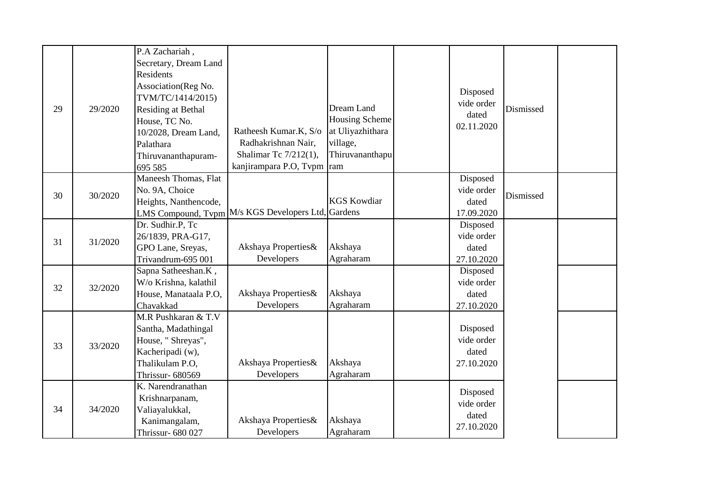|    |         | P.A Zachariah,        |                                                    |                    |            |           |  |
|----|---------|-----------------------|----------------------------------------------------|--------------------|------------|-----------|--|
|    |         | Secretary, Dream Land |                                                    |                    |            |           |  |
|    |         | Residents             |                                                    |                    |            |           |  |
|    |         | Association(Reg No.   |                                                    |                    | Disposed   |           |  |
|    |         | TVM/TC/1414/2015)     |                                                    |                    | vide order |           |  |
| 29 | 29/2020 | Residing at Bethal    |                                                    | Dream Land         | dated      | Dismissed |  |
|    |         | House, TC No.         |                                                    | Housing Scheme     | 02.11.2020 |           |  |
|    |         | 10/2028, Dream Land,  | Ratheesh Kumar.K, S/o                              | at Uliyazhithara   |            |           |  |
|    |         | Palathara             | Radhakrishnan Nair,                                | village,           |            |           |  |
|    |         | Thiruvananthapuram-   | Shalimar Tc 7/212(1),                              | Thiruvananthapu    |            |           |  |
|    |         | 695 585               | kanjirampara P.O, Tvpm ram                         |                    |            |           |  |
|    |         | Maneesh Thomas, Flat  |                                                    |                    | Disposed   |           |  |
| 30 | 30/2020 | No. 9A, Choice        |                                                    |                    | vide order |           |  |
|    |         | Heights, Nanthencode, |                                                    | <b>KGS Kowdiar</b> | dated      | Dismissed |  |
|    |         |                       | LMS Compound, Tvpm M/s KGS Developers Ltd, Gardens |                    | 17.09.2020 |           |  |
|    |         | Dr. Sudhir.P, Tc      |                                                    |                    | Disposed   |           |  |
| 31 | 31/2020 | 26/1839, PRA-G17,     |                                                    |                    | vide order |           |  |
|    |         | GPO Lane, Sreyas,     | Akshaya Properties&                                | Akshaya            | dated      |           |  |
|    |         | Trivandrum-695 001    | Developers                                         | Agraharam          | 27.10.2020 |           |  |
|    |         | Sapna Satheeshan.K,   |                                                    |                    | Disposed   |           |  |
| 32 | 32/2020 | W/o Krishna, kalathil |                                                    |                    | vide order |           |  |
|    |         | House, Manataala P.O, | Akshaya Properties&                                | Akshaya            | dated      |           |  |
|    |         | Chavakkad             | Developers                                         | Agraharam          | 27.10.2020 |           |  |
|    |         | M.R Pushkaran & T.V   |                                                    |                    |            |           |  |
|    |         | Santha, Madathingal   |                                                    |                    | Disposed   |           |  |
| 33 | 33/2020 | House, " Shreyas",    |                                                    |                    | vide order |           |  |
|    |         | Kacheripadi (w),      |                                                    |                    | dated      |           |  |
|    |         | Thalikulam P.O,       | Akshaya Properties&                                | Akshaya            | 27.10.2020 |           |  |
|    |         | Thrissur- 680569      | Developers                                         | Agraharam          |            |           |  |
|    |         | K. Narendranathan     |                                                    |                    | Disposed   |           |  |
|    |         | Krishnarpanam,        |                                                    |                    | vide order |           |  |
| 34 | 34/2020 | Valiayalukkal,        |                                                    |                    | dated      |           |  |
|    |         | Kanimangalam,         | Akshaya Properties&                                | Akshaya            | 27.10.2020 |           |  |
|    |         | Thrissur- 680 027     | Developers                                         | Agraharam          |            |           |  |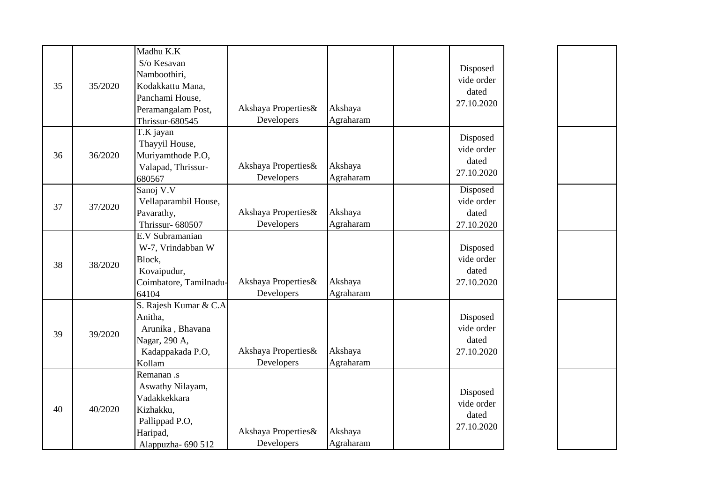| 35 | 35/2020 | Madhu K.K<br>S/o Kesavan<br>Namboothiri,<br>Kodakkattu Mana,<br>Panchami House,<br>Peramangalam Post,<br>Thrissur-680545 | Akshaya Properties&<br>Developers | Akshaya<br>Agraharam | Disposed<br>vide order<br>dated<br>27.10.2020 |
|----|---------|--------------------------------------------------------------------------------------------------------------------------|-----------------------------------|----------------------|-----------------------------------------------|
| 36 | 36/2020 | T.K jayan<br>Thayyil House,<br>Muriyamthode P.O,<br>Valapad, Thrissur-<br>680567                                         | Akshaya Properties&<br>Developers | Akshaya<br>Agraharam | Disposed<br>vide order<br>dated<br>27.10.2020 |
| 37 | 37/2020 | Sanoj V.V<br>Vellaparambil House,<br>Pavarathy,<br>Thrissur-680507                                                       | Akshaya Properties&<br>Developers | Akshaya<br>Agraharam | Disposed<br>vide order<br>dated<br>27.10.2020 |
| 38 | 38/2020 | E.V Subramanian<br>W-7, Vrindabban W<br>Block,<br>Kovaipudur,<br>Coimbatore, Tamilnadu-<br>64104                         | Akshaya Properties&<br>Developers | Akshaya<br>Agraharam | Disposed<br>vide order<br>dated<br>27.10.2020 |
| 39 | 39/2020 | S. Rajesh Kumar & C.A<br>Anitha,<br>Arunika, Bhavana<br>Nagar, 290 A,<br>Kadappakada P.O,<br>Kollam                      | Akshaya Properties&<br>Developers | Akshaya<br>Agraharam | Disposed<br>vide order<br>dated<br>27.10.2020 |
| 40 | 40/2020 | Remanan .s<br>Aswathy Nilayam,<br>Vadakkekkara<br>Kizhakku,<br>Pallippad P.O,<br>Haripad,<br>Alappuzha- 690 512          | Akshaya Properties&<br>Developers | Akshaya<br>Agraharam | Disposed<br>vide order<br>dated<br>27.10.2020 |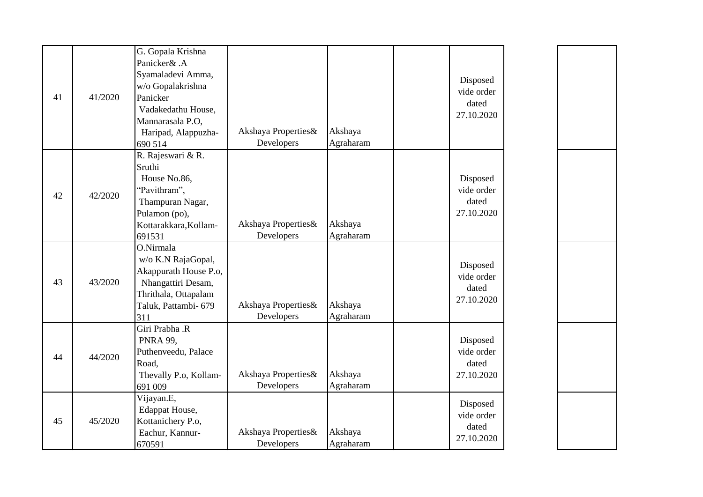|    |         | G. Gopala Krishna     |                     |           |            |
|----|---------|-----------------------|---------------------|-----------|------------|
|    |         | Panicker& .A          |                     |           |            |
|    |         | Syamaladevi Amma,     |                     |           | Disposed   |
|    |         | w/o Gopalakrishna     |                     |           | vide order |
| 41 | 41/2020 | Panicker              |                     |           | dated      |
|    |         | Vadakedathu House,    |                     |           | 27.10.2020 |
|    |         | Mannarasala P.O,      |                     |           |            |
|    |         | Haripad, Alappuzha-   | Akshaya Properties& | Akshaya   |            |
|    |         | 690 514               | Developers          | Agraharam |            |
|    |         | R. Rajeswari & R.     |                     |           |            |
|    |         | Sruthi                |                     |           |            |
|    |         | House No.86,          |                     |           | Disposed   |
| 42 | 42/2020 | "Pavithram",          |                     |           | vide order |
|    |         | Thampuran Nagar,      |                     |           | dated      |
|    |         | Pulamon (po),         |                     |           | 27.10.2020 |
|    |         | Kottarakkara, Kollam- | Akshaya Properties& | Akshaya   |            |
|    |         | 691531                | Developers          | Agraharam |            |
|    |         | O.Nirmala             |                     |           |            |
|    |         | w/o K.N RajaGopal,    |                     |           | Disposed   |
|    |         | Akappurath House P.o, |                     |           | vide order |
| 43 | 43/2020 | Nhangattiri Desam,    |                     |           | dated      |
|    |         | Thrithala, Ottapalam  |                     |           | 27.10.2020 |
|    |         | Taluk, Pattambi- 679  | Akshaya Properties& | Akshaya   |            |
|    |         | 311                   | Developers          | Agraharam |            |
|    |         | Giri Prabha .R        |                     |           |            |
|    |         | <b>PNRA 99,</b>       |                     |           | Disposed   |
|    |         | Puthenveedu, Palace   |                     |           | vide order |
| 44 | 44/2020 | Road,                 |                     |           | dated      |
|    |         | Thevally P.o, Kollam- | Akshaya Properties& | Akshaya   | 27.10.2020 |
|    |         | 691 009               | Developers          | Agraharam |            |
|    |         | Vijayan.E,            |                     |           |            |
|    |         | Edappat House,        |                     |           | Disposed   |
| 45 | 45/2020 | Kottanichery P.o,     |                     |           | vide order |
|    |         | Eachur, Kannur-       | Akshaya Properties& | Akshaya   | dated      |
|    |         | 670591                | Developers          | Agraharam | 27.10.2020 |
|    |         |                       |                     |           |            |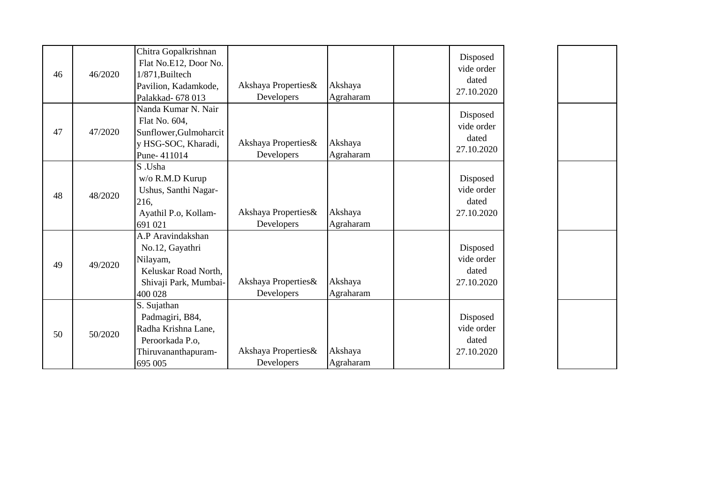| 46 | 46/2020 | Chitra Gopalkrishnan<br>Flat No.E12, Door No.<br>1/871, Builtech<br>Pavilion, Kadamkode,<br>Palakkad- 678 013 | Akshaya Properties&<br>Developers | Akshaya<br>Agraharam | Disposed<br>vide order<br>dated<br>27.10.2020 |
|----|---------|---------------------------------------------------------------------------------------------------------------|-----------------------------------|----------------------|-----------------------------------------------|
| 47 | 47/2020 | Nanda Kumar N. Nair<br>Flat No. 604,<br>Sunflower, Gulmoharcit<br>y HSG-SOC, Kharadi,<br>Pune-411014          | Akshaya Properties&<br>Developers | Akshaya<br>Agraharam | Disposed<br>vide order<br>dated<br>27.10.2020 |
| 48 | 48/2020 | S.Usha<br>w/o R.M.D Kurup<br>Ushus, Santhi Nagar-<br>216,<br>Ayathil P.o, Kollam-<br>691 021                  | Akshaya Properties&<br>Developers | Akshaya<br>Agraharam | Disposed<br>vide order<br>dated<br>27.10.2020 |
| 49 | 49/2020 | A.P Aravindakshan<br>No.12, Gayathri<br>Nilayam,<br>Keluskar Road North,<br>Shivaji Park, Mumbai-<br>400 028  | Akshaya Properties&<br>Developers | Akshaya<br>Agraharam | Disposed<br>vide order<br>dated<br>27.10.2020 |
| 50 | 50/2020 | S. Sujathan<br>Padmagiri, B84,<br>Radha Krishna Lane,<br>Peroorkada P.o.<br>Thiruvananthapuram-<br>695 005    | Akshaya Properties&<br>Developers | Akshaya<br>Agraharam | Disposed<br>vide order<br>dated<br>27.10.2020 |

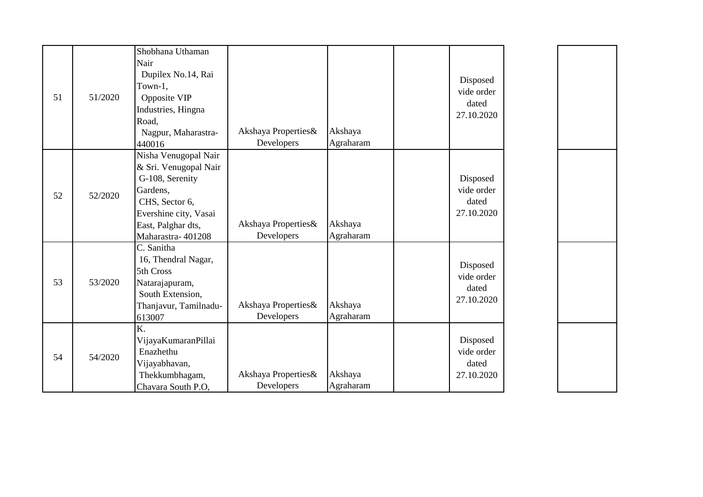|    |         | Shobhana Uthaman      |                     |           |                        |
|----|---------|-----------------------|---------------------|-----------|------------------------|
|    |         | Nair                  |                     |           |                        |
|    |         | Dupilex No.14, Rai    |                     |           |                        |
|    |         | Town-1,               |                     |           | Disposed<br>vide order |
| 51 | 51/2020 | Opposite VIP          |                     |           | dated                  |
|    |         | Industries, Hingna    |                     |           | 27.10.2020             |
|    |         | Road,                 |                     |           |                        |
|    |         | Nagpur, Maharastra-   | Akshaya Properties& | Akshaya   |                        |
|    |         | 440016                | Developers          | Agraharam |                        |
|    |         | Nisha Venugopal Nair  |                     |           |                        |
|    |         | & Sri. Venugopal Nair |                     |           |                        |
|    |         | G-108, Serenity       |                     |           | Disposed               |
| 52 | 52/2020 | Gardens,              |                     |           | vide order             |
|    |         | CHS, Sector 6,        |                     |           | dated                  |
|    |         | Evershine city, Vasai |                     |           | 27.10.2020             |
|    |         | East, Palghar dts,    | Akshaya Properties& | Akshaya   |                        |
|    |         | Maharastra-401208     | Developers          | Agraharam |                        |
|    |         | C. Sanitha            |                     |           |                        |
|    |         | 16, Thendral Nagar,   |                     |           | Disposed               |
|    |         | 5th Cross             |                     |           | vide order             |
| 53 | 53/2020 | Natarajapuram,        |                     |           | dated                  |
|    |         | South Extension,      |                     |           | 27.10.2020             |
|    |         | Thanjavur, Tamilnadu- | Akshaya Properties& | Akshaya   |                        |
|    |         | 613007                | Developers          | Agraharam |                        |
|    |         | K.                    |                     |           |                        |
|    |         | VijayaKumaranPillai   |                     |           | Disposed               |
| 54 | 54/2020 | Enazhethu             |                     |           | vide order             |
|    |         | Vijayabhavan,         |                     |           | dated                  |
|    |         | Thekkumbhagam,        | Akshaya Properties& | Akshaya   | 27.10.2020             |
|    |         | Chavara South P.O,    | Developers          | Agraharam |                        |

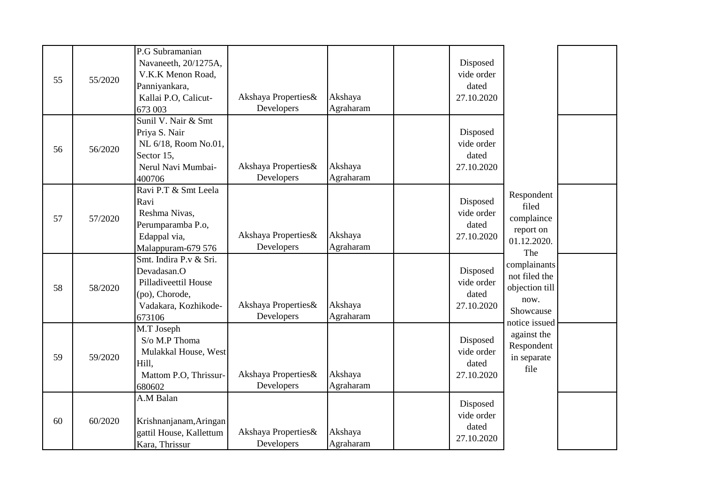| P.G Subramanian<br>Navaneeth, 20/1275A,<br>Disposed<br>V.K.K Menon Road,<br>vide order<br>55<br>55/2020<br>dated<br>Panniyankara,<br>Akshaya Properties&<br>Akshaya<br>Kallai P.O, Calicut-<br>27.10.2020<br>Developers<br>Agraharam<br>673 003 |  |
|-------------------------------------------------------------------------------------------------------------------------------------------------------------------------------------------------------------------------------------------------|--|
|                                                                                                                                                                                                                                                 |  |
|                                                                                                                                                                                                                                                 |  |
|                                                                                                                                                                                                                                                 |  |
|                                                                                                                                                                                                                                                 |  |
|                                                                                                                                                                                                                                                 |  |
|                                                                                                                                                                                                                                                 |  |
| Sunil V. Nair & Smt                                                                                                                                                                                                                             |  |
| Disposed<br>Priya S. Nair                                                                                                                                                                                                                       |  |
| vide order<br>NL 6/18, Room No.01,<br>56/2020<br>56                                                                                                                                                                                             |  |
| Sector 15,<br>dated                                                                                                                                                                                                                             |  |
| Akshaya Properties&<br>Akshaya<br>Nerul Navi Mumbai-<br>27.10.2020                                                                                                                                                                              |  |
| Developers<br>Agraharam<br>400706                                                                                                                                                                                                               |  |
| Ravi P.T & Smt Leela<br>Respondent                                                                                                                                                                                                              |  |
| Disposed<br>Ravi<br>filed                                                                                                                                                                                                                       |  |
| vide order<br>Reshma Nivas,<br>complaince<br>57/2020                                                                                                                                                                                            |  |
| 57<br>Perumparamba P.o,<br>dated<br>report on                                                                                                                                                                                                   |  |
| Akshaya Properties&<br>Akshaya<br>Edappal via,<br>27.10.2020<br>01.12.2020.                                                                                                                                                                     |  |
| Agraharam<br>Developers<br>Malappuram-679 576<br>The                                                                                                                                                                                            |  |
| Smt. Indira P.v & Sri.<br>complainants                                                                                                                                                                                                          |  |
| Devadasan.O<br>Disposed<br>not filed the                                                                                                                                                                                                        |  |
| Pilladiveettil House<br>vide order                                                                                                                                                                                                              |  |
| objection till<br>58<br>58/2020<br>(po), Chorode,<br>dated                                                                                                                                                                                      |  |
| now.<br>Akshaya Properties&<br>Akshaya<br>Vadakara, Kozhikode-<br>27.10.2020                                                                                                                                                                    |  |
| Showcause<br>Developers<br>Agraharam<br>673106                                                                                                                                                                                                  |  |
| notice issued<br>M.T Joseph                                                                                                                                                                                                                     |  |
| against the<br>S/o M.P Thoma<br>Disposed                                                                                                                                                                                                        |  |
| Respondent<br>vide order<br>Mulakkal House, West                                                                                                                                                                                                |  |
| 59/2020<br>59<br>in separate<br>Hill,<br>dated                                                                                                                                                                                                  |  |
| file<br>Akshaya Properties&<br>Akshaya<br>Mattom P.O, Thrissur-<br>27.10.2020                                                                                                                                                                   |  |
| Agraharam<br>Developers<br>680602                                                                                                                                                                                                               |  |
| A.M Balan                                                                                                                                                                                                                                       |  |
| Disposed                                                                                                                                                                                                                                        |  |
| vide order<br>Krishnanjanam, Aringan<br>60/2020<br>60                                                                                                                                                                                           |  |
| dated<br>Akshaya Properties&<br>Akshaya<br>gattil House, Kallettum                                                                                                                                                                              |  |
| 27.10.2020<br>Developers<br>Agraharam<br>Kara, Thrissur                                                                                                                                                                                         |  |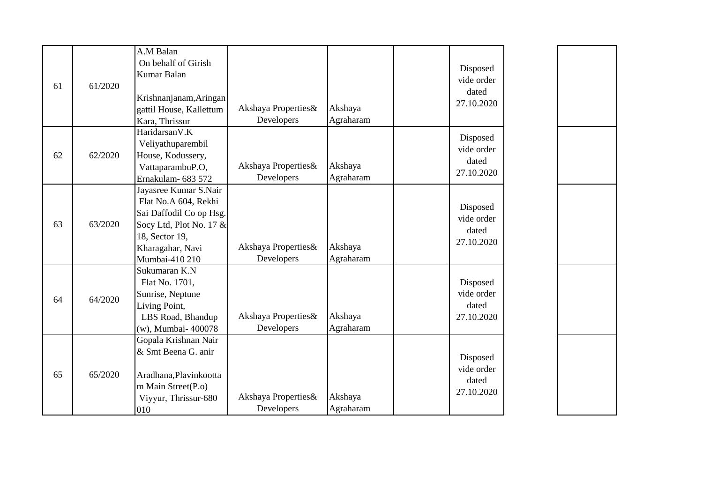| 61 | 61/2020 | A.M Balan<br>On behalf of Girish<br>Kumar Balan<br>Krishnanjanam, Aringan                                                                                   |                                   |                      | Disposed<br>vide order<br>dated<br>27.10.2020 |
|----|---------|-------------------------------------------------------------------------------------------------------------------------------------------------------------|-----------------------------------|----------------------|-----------------------------------------------|
|    |         | gattil House, Kallettum<br>Kara, Thrissur                                                                                                                   | Akshaya Properties&<br>Developers | Akshaya<br>Agraharam |                                               |
| 62 | 62/2020 | HaridarsanV.K<br>Veliyathuparembil<br>House, Kodussery,<br>VattaparambuP.O,<br>Ernakulam- 683 572                                                           | Akshaya Properties&<br>Developers | Akshaya<br>Agraharam | Disposed<br>vide order<br>dated<br>27.10.2020 |
| 63 | 63/2020 | Jayasree Kumar S.Nair<br>Flat No.A 604, Rekhi<br>Sai Daffodil Co op Hsg.<br>Socy Ltd, Plot No. 17 &<br>18, Sector 19,<br>Kharagahar, Navi<br>Mumbai-410 210 | Akshaya Properties&<br>Developers | Akshaya<br>Agraharam | Disposed<br>vide order<br>dated<br>27.10.2020 |
| 64 | 64/2020 | Sukumaran K.N<br>Flat No. 1701,<br>Sunrise, Neptune<br>Living Point,<br>LBS Road, Bhandup<br>(w), Mumbai- 400078                                            | Akshaya Properties&<br>Developers | Akshaya<br>Agraharam | Disposed<br>vide order<br>dated<br>27.10.2020 |
| 65 | 65/2020 | Gopala Krishnan Nair<br>& Smt Beena G. anir<br>Aradhana, Plavinkootta<br>m Main Street(P.o)<br>Viyyur, Thrissur-680<br>010                                  | Akshaya Properties&<br>Developers | Akshaya<br>Agraharam | Disposed<br>vide order<br>dated<br>27.10.2020 |

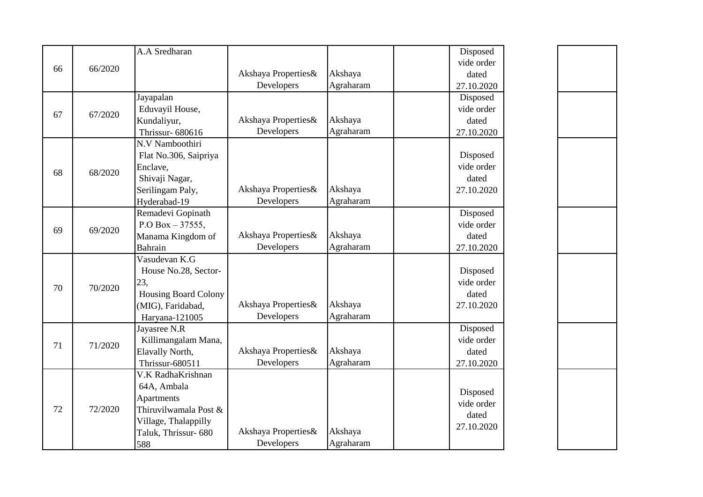|    |         | A.A Sredharan               |                     |           | Disposed   |
|----|---------|-----------------------------|---------------------|-----------|------------|
| 66 | 66/2020 |                             |                     |           | vide order |
|    |         |                             | Akshaya Properties& | Akshaya   | dated      |
|    |         |                             | Developers          | Agraharam | 27.10.2020 |
|    |         | Jayapalan                   |                     |           | Disposed   |
| 67 | 67/2020 | Eduvayil House,             |                     |           | vide order |
|    |         | Kundaliyur,                 | Akshaya Properties& | Akshaya   | dated      |
|    |         | Thrissur- 680616            | Developers          | Agraharam | 27.10.2020 |
|    |         | N.V Namboothiri             |                     |           |            |
|    |         | Flat No.306, Saipriya       |                     |           | Disposed   |
| 68 | 68/2020 | Enclave,                    |                     |           | vide order |
|    |         | Shivaji Nagar,              |                     |           | dated      |
|    |         | Serilingam Paly,            | Akshaya Properties& | Akshaya   | 27.10.2020 |
|    |         | Hyderabad-19                | Developers          | Agraharam |            |
|    |         | Remadevi Gopinath           |                     |           | Disposed   |
| 69 | 69/2020 | P.O Box $-37555$ ,          |                     |           | vide order |
|    |         | Manama Kingdom of           | Akshaya Properties& | Akshaya   | dated      |
|    |         | Bahrain                     | Developers          | Agraharam | 27.10.2020 |
|    |         | Vasudevan K.G               |                     |           |            |
|    | 70/2020 | House No.28, Sector-        |                     |           | Disposed   |
| 70 |         | 23,                         |                     |           | vide order |
|    |         | <b>Housing Board Colony</b> |                     |           | dated      |
|    |         | (MIG), Faridabad,           | Akshaya Properties& | Akshaya   | 27.10.2020 |
|    |         | Haryana-121005              | Developers          | Agraharam |            |
|    |         | Jayasree N.R                |                     |           | Disposed   |
| 71 | 71/2020 | Killimangalam Mana,         |                     |           | vide order |
|    |         | Elavally North,             | Akshaya Properties& | Akshaya   | dated      |
|    |         | Thrissur-680511             | Developers          | Agraharam | 27.10.2020 |
|    |         | V.K RadhaKrishnan           |                     |           |            |
|    |         | 64A, Ambala                 |                     |           | Disposed   |
|    |         | Apartments                  |                     |           | vide order |
| 72 | 72/2020 | Thiruvilwamala Post &       |                     |           | dated      |
|    |         | Village, Thalappilly        |                     |           | 27.10.2020 |
|    |         | Taluk, Thrissur- 680        | Akshaya Properties& | Akshaya   |            |
|    |         | 588                         | Developers          | Agraharam |            |

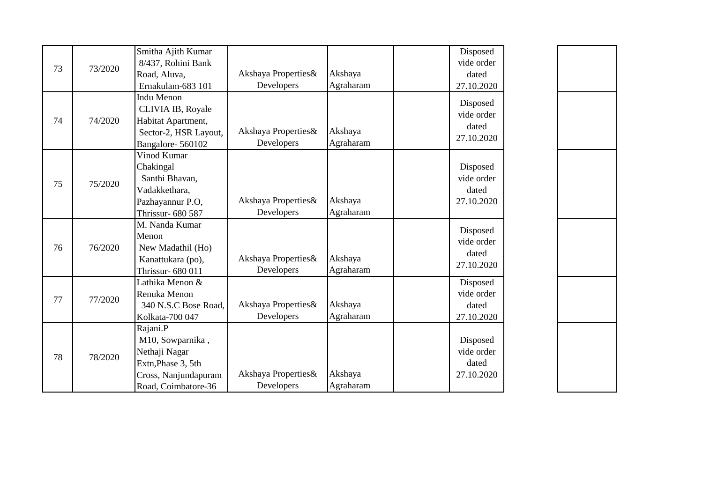| 73 | 73/2020 | Smitha Ajith Kumar<br>8/437, Rohini Bank<br>Road, Aluva,<br>Ernakulam-683 101                                      | Akshaya Properties&<br>Developers | Akshaya<br>Agraharam | Disposed<br>vide order<br>dated<br>27.10.2020 |
|----|---------|--------------------------------------------------------------------------------------------------------------------|-----------------------------------|----------------------|-----------------------------------------------|
| 74 | 74/2020 | <b>Indu Menon</b><br>CLIVIA IB, Royale<br>Habitat Apartment,<br>Sector-2, HSR Layout,<br>Bangalore-560102          | Akshaya Properties&<br>Developers | Akshaya<br>Agraharam | Disposed<br>vide order<br>dated<br>27.10.2020 |
| 75 | 75/2020 | Vinod Kumar<br>Chakingal<br>Santhi Bhavan,<br>Vadakkethara,<br>Pazhayannur P.O,<br>Thrissur- 680 587               | Akshaya Properties&<br>Developers | Akshaya<br>Agraharam | Disposed<br>vide order<br>dated<br>27.10.2020 |
| 76 | 76/2020 | M. Nanda Kumar<br>Menon<br>New Madathil (Ho)<br>Kanattukara (po),<br>Thrissur- 680 011                             | Akshaya Properties&<br>Developers | Akshaya<br>Agraharam | Disposed<br>vide order<br>dated<br>27.10.2020 |
| 77 | 77/2020 | Lathika Menon &<br>Renuka Menon<br>340 N.S.C Bose Road,<br>Kolkata-700 047                                         | Akshaya Properties&<br>Developers | Akshaya<br>Agraharam | Disposed<br>vide order<br>dated<br>27.10.2020 |
| 78 | 78/2020 | Rajani.P<br>M10, Sowparnika,<br>Nethaji Nagar<br>Extn, Phase 3, 5th<br>Cross, Nanjundapuram<br>Road, Coimbatore-36 | Akshaya Properties&<br>Developers | Akshaya<br>Agraharam | Disposed<br>vide order<br>dated<br>27.10.2020 |

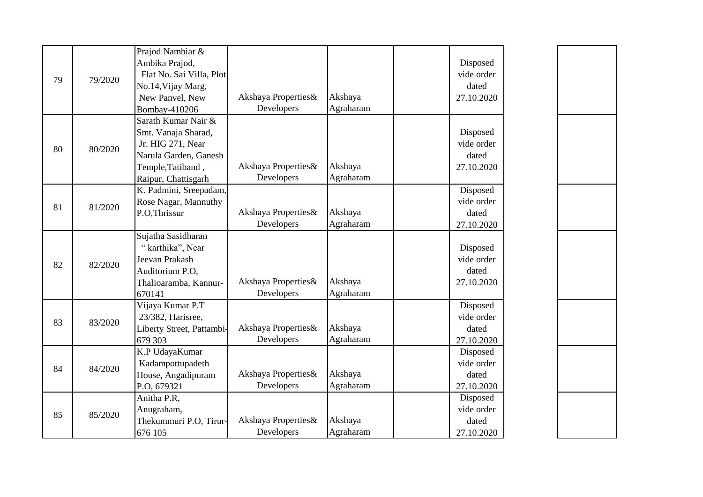| 79 | 79/2020 | Prajod Nambiar &<br>Ambika Prajod,<br>Flat No. Sai Villa, Plot<br>No.14, Vijay Marg,<br>New Panvel, New<br>Bombay-410206             | Akshaya Properties&<br>Developers | Akshaya<br>Agraharam | Disposed<br>vide order<br>dated<br>27.10.2020 |
|----|---------|--------------------------------------------------------------------------------------------------------------------------------------|-----------------------------------|----------------------|-----------------------------------------------|
| 80 | 80/2020 | Sarath Kumar Nair &<br>Smt. Vanaja Sharad,<br>Jr. HIG 271, Near<br>Narula Garden, Ganesh<br>Temple, Tatiband,<br>Raipur, Chattisgarh | Akshaya Properties&<br>Developers | Akshaya<br>Agraharam | Disposed<br>vide order<br>dated<br>27.10.2020 |
| 81 | 81/2020 | K. Padmini, Sreepadam,<br>Rose Nagar, Mannuthy<br>P.O,Thrissur                                                                       | Akshaya Properties&<br>Developers | Akshaya<br>Agraharam | Disposed<br>vide order<br>dated<br>27.10.2020 |
| 82 | 82/2020 | Sujatha Sasidharan<br>"karthika", Near<br>Jeevan Prakash<br>Auditorium P.O.<br>Thalioaramba, Kannur-<br>670141                       | Akshaya Properties&<br>Developers | Akshaya<br>Agraharam | Disposed<br>vide order<br>dated<br>27.10.2020 |
| 83 | 83/2020 | Vijaya Kumar P.T<br>23/382, Harisree,<br>Liberty Street, Pattambi-<br>679 303                                                        | Akshaya Properties&<br>Developers | Akshaya<br>Agraharam | Disposed<br>vide order<br>dated<br>27.10.2020 |
| 84 | 84/2020 | K.P UdayaKumar<br>Kadampottupadeth<br>House, Angadipuram<br>P.O, 679321                                                              | Akshaya Properties&<br>Developers | Akshaya<br>Agraharam | Disposed<br>vide order<br>dated<br>27.10.2020 |
| 85 | 85/2020 | Anitha P.R.<br>Anugraham,<br>Thekummuri P.O, Tirur-<br>676 105                                                                       | Akshaya Properties&<br>Developers | Akshaya<br>Agraharam | Disposed<br>vide order<br>dated<br>27.10.2020 |

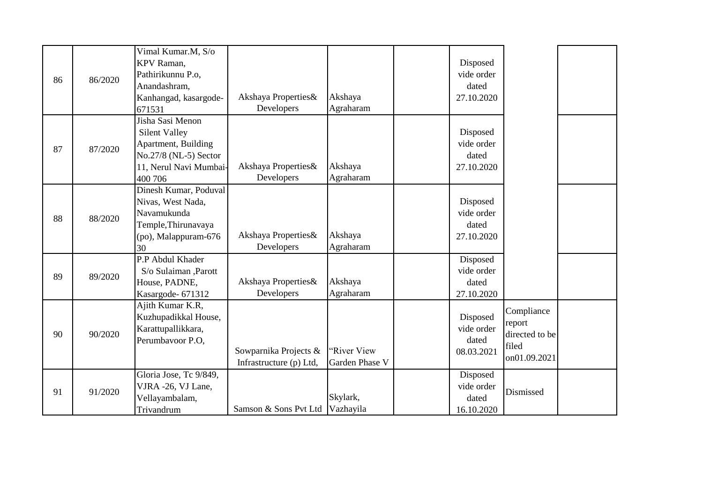| 86 | 86/2020 | Vimal Kumar.M, S/o<br>KPV Raman,<br>Pathirikunnu P.o,<br>Anandashram,<br>Kanhangad, kasargode-<br>671531                      | Akshaya Properties&<br>Developers                | Akshaya<br>Agraharam          | Disposed<br>vide order<br>dated<br>27.10.2020 |                                                                 |  |
|----|---------|-------------------------------------------------------------------------------------------------------------------------------|--------------------------------------------------|-------------------------------|-----------------------------------------------|-----------------------------------------------------------------|--|
| 87 | 87/2020 | Jisha Sasi Menon<br><b>Silent Valley</b><br>Apartment, Building<br>No.27/8 (NL-5) Sector<br>11, Nerul Navi Mumbai-<br>400 706 | Akshaya Properties&<br>Developers                | Akshaya<br>Agraharam          | Disposed<br>vide order<br>dated<br>27.10.2020 |                                                                 |  |
| 88 | 88/2020 | Dinesh Kumar, Poduval<br>Nivas, West Nada,<br>Navamukunda<br>Temple, Thirunavaya<br>(po), Malappuram-676<br>30                | Akshaya Properties&<br>Developers                | Akshaya<br>Agraharam          | Disposed<br>vide order<br>dated<br>27.10.2020 |                                                                 |  |
| 89 | 89/2020 | P.P Abdul Khader<br>S/o Sulaiman ,Parott<br>House, PADNE,<br>Kasargode- 671312                                                | Akshaya Properties&<br>Developers                | Akshaya<br>Agraharam          | Disposed<br>vide order<br>dated<br>27.10.2020 |                                                                 |  |
| 90 | 90/2020 | Ajith Kumar K.R,<br>Kuzhupadikkal House,<br>Karattupallikkara,<br>Perumbavoor P.O.                                            | Sowparnika Projects &<br>Infrastructure (p) Ltd, | "River View<br>Garden Phase V | Disposed<br>vide order<br>dated<br>08.03.2021 | Compliance<br>report<br>directed to be<br>filed<br>on01.09.2021 |  |
| 91 | 91/2020 | Gloria Jose, Tc 9/849,<br>VJRA -26, VJ Lane,<br>Vellayambalam,<br>Trivandrum                                                  | Samson & Sons Pvt Ltd                            | Skylark,<br>Vazhayila         | Disposed<br>vide order<br>dated<br>16.10.2020 | Dismissed                                                       |  |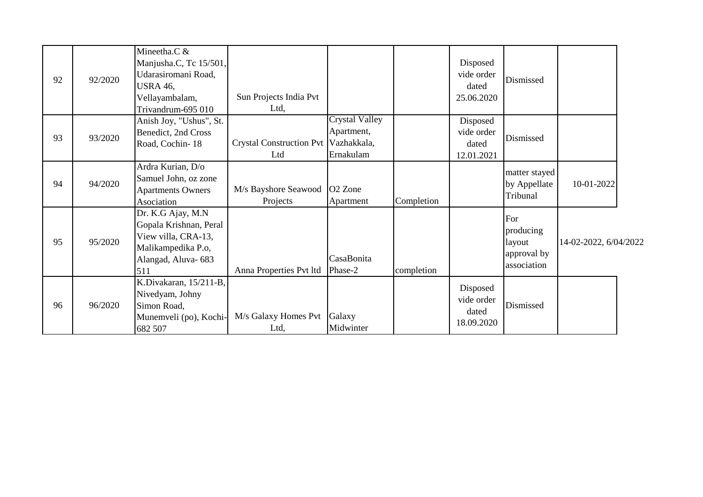| 92 | 92/2020 | Mineetha.C &<br>Manjusha.C, Tc 15/501,<br>Udarasiromani Road,<br><b>USRA 46,</b><br>Vellayambalam,<br>Trivandrum-695 010 | Sun Projects India Pvt<br>Ltd,              |                                                  |            | Disposed<br>vide order<br>dated<br>25.06.2020 | Dismissed                                                |                       |  |
|----|---------|--------------------------------------------------------------------------------------------------------------------------|---------------------------------------------|--------------------------------------------------|------------|-----------------------------------------------|----------------------------------------------------------|-----------------------|--|
| 93 | 93/2020 | Anish Joy, "Ushus", St.<br>Benedict, 2nd Cross<br>Road, Cochin-18                                                        | Crystal Construction Pvt Vazhakkala,<br>Ltd | <b>Crystal Valley</b><br>Apartment,<br>Ernakulam |            | Disposed<br>vide order<br>dated<br>12.01.2021 | Dismissed                                                |                       |  |
| 94 | 94/2020 | Ardra Kurian, D/o<br>Samuel John, oz zone<br><b>Apartments Owners</b><br>Asociation                                      | M/s Bayshore Seawood<br>Projects            | O <sub>2</sub> Zone<br>Apartment                 | Completion |                                               | matter stayed<br>by Appellate<br>Tribunal                | 10-01-2022            |  |
| 95 | 95/2020 | Dr. K.G Ajay, M.N<br>Gopala Krishnan, Peral<br>View villa, CRA-13,<br>Malikampedika P.o,<br>Alangad, Aluva-683<br>511    | Anna Properties Pvt ltd                     | CasaBonita<br>Phase-2                            | completion |                                               | For<br>producing<br>layout<br>approval by<br>association | 14-02-2022, 6/04/2022 |  |
| 96 | 96/2020 | K.Divakaran, 15/211-B,<br>Nivedyam, Johny<br>Simon Road,<br>Munemveli (po), Kochi-<br>682 507                            | M/s Galaxy Homes Pvt Galaxy<br>Ltd,         | Midwinter                                        |            | Disposed<br>vide order<br>dated<br>18.09.2020 | Dismissed                                                |                       |  |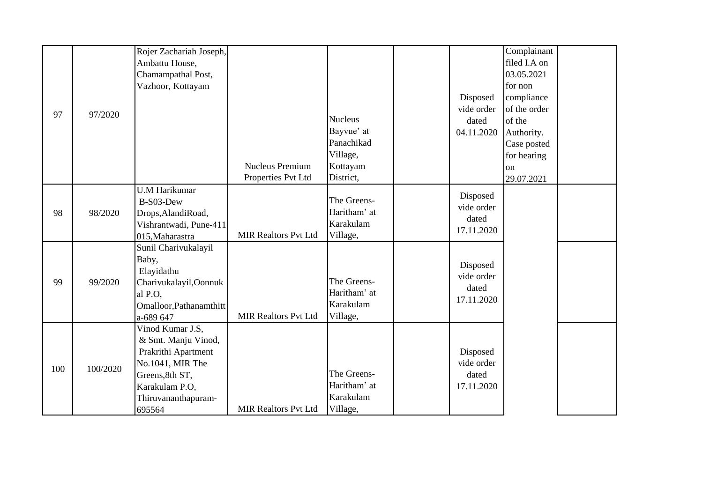|     |          | Rojer Zachariah Joseph, |                             |                |                        | Complainant  |  |
|-----|----------|-------------------------|-----------------------------|----------------|------------------------|--------------|--|
|     |          | Ambattu House,          |                             |                |                        | filed I.A on |  |
|     |          | Chamampathal Post,      |                             |                |                        | 03.05.2021   |  |
|     |          | Vazhoor, Kottayam       |                             |                |                        | for non      |  |
|     |          |                         |                             |                | Disposed               | compliance   |  |
|     |          |                         |                             |                | vide order             | of the order |  |
| 97  | 97/2020  |                         |                             | <b>Nucleus</b> | dated                  | of the       |  |
|     |          |                         |                             | Bayvue' at     | 04.11.2020             | Authority.   |  |
|     |          |                         |                             | Panachikad     |                        | Case posted  |  |
|     |          |                         |                             | Village,       |                        | for hearing  |  |
|     |          |                         | <b>Nucleus Premium</b>      | Kottayam       |                        | on           |  |
|     |          |                         | Properties Pvt Ltd          | District,      |                        | 29.07.2021   |  |
|     |          | <b>U.M Harikumar</b>    |                             |                |                        |              |  |
|     |          | B-S03-Dew               |                             | The Greens-    | Disposed<br>vide order |              |  |
| 98  | 98/2020  | Drops, AlandiRoad,      |                             | Haritham' at   | dated                  |              |  |
|     |          | Vishrantwadi, Pune-411  |                             | Karakulam      |                        |              |  |
|     |          | 015, Maharastra         | <b>MIR Realtors Pvt Ltd</b> | Village,       | 17.11.2020             |              |  |
|     |          | Sunil Charivukalayil    |                             |                |                        |              |  |
|     |          | Baby,                   |                             |                | Disposed               |              |  |
|     |          | Elayidathu              |                             |                | vide order             |              |  |
| 99  | 99/2020  | Charivukalayil, Oonnuk  |                             | The Greens-    | dated                  |              |  |
|     |          | al P.O.                 |                             | Haritham' at   | 17.11.2020             |              |  |
|     |          | Omalloor, Pathanamthitt |                             | Karakulam      |                        |              |  |
|     |          | a-689 647               | <b>MIR Realtors Pvt Ltd</b> | Village,       |                        |              |  |
|     |          | Vinod Kumar J.S,        |                             |                |                        |              |  |
|     |          | & Smt. Manju Vinod,     |                             |                |                        |              |  |
|     |          | Prakrithi Apartment     |                             |                | Disposed               |              |  |
| 100 | 100/2020 | No.1041, MIR The        |                             |                | vide order             |              |  |
|     |          | Greens, 8th ST,         |                             | The Greens-    | dated                  |              |  |
|     |          | Karakulam P.O,          |                             | Haritham' at   | 17.11.2020             |              |  |
|     |          | Thiruvananthapuram-     |                             | Karakulam      |                        |              |  |
|     |          | 695564                  | <b>MIR Realtors Pvt Ltd</b> | Village,       |                        |              |  |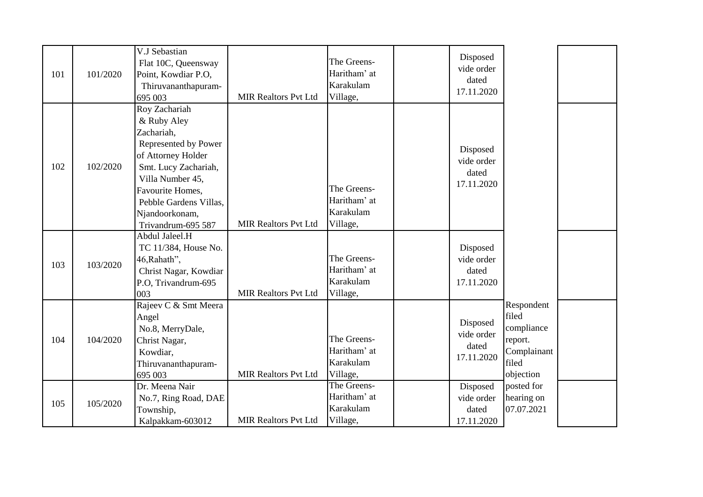| 101 | 101/2020 | V.J Sebastian<br>Flat 10C, Queensway<br>Point, Kowdiar P.O,<br>Thiruvananthapuram-<br>695 003                                                                                                                              | <b>MIR Realtors Pvt Ltd</b> | The Greens-<br>Haritham' at<br>Karakulam<br>Village, | Disposed<br>vide order<br>dated<br>17.11.2020 |                                                                                   |  |
|-----|----------|----------------------------------------------------------------------------------------------------------------------------------------------------------------------------------------------------------------------------|-----------------------------|------------------------------------------------------|-----------------------------------------------|-----------------------------------------------------------------------------------|--|
| 102 | 102/2020 | Roy Zachariah<br>& Ruby Aley<br>Zachariah,<br>Represented by Power<br>of Attorney Holder<br>Smt. Lucy Zachariah,<br>Villa Number 45,<br>Favourite Homes,<br>Pebble Gardens Villas,<br>Njandoorkonam,<br>Trivandrum-695 587 | <b>MIR Realtors Pvt Ltd</b> | The Greens-<br>Haritham' at<br>Karakulam<br>Village, | Disposed<br>vide order<br>dated<br>17.11.2020 |                                                                                   |  |
| 103 | 103/2020 | Abdul Jaleel.H<br>TC 11/384, House No.<br>46, Rahath",<br>Christ Nagar, Kowdiar<br>P.O. Trivandrum-695<br>003                                                                                                              | <b>MIR Realtors Pvt Ltd</b> | The Greens-<br>Haritham' at<br>Karakulam<br>Village, | Disposed<br>vide order<br>dated<br>17.11.2020 |                                                                                   |  |
| 104 | 104/2020 | Rajeev C & Smt Meera<br>Angel<br>No.8, MerryDale,<br>Christ Nagar,<br>Kowdiar,<br>Thiruvananthapuram-<br>695 003                                                                                                           | <b>MIR Realtors Pvt Ltd</b> | The Greens-<br>Haritham' at<br>Karakulam<br>Village, | Disposed<br>vide order<br>dated<br>17.11.2020 | Respondent<br>filed<br>compliance<br>report.<br>Complainant<br>filed<br>objection |  |
| 105 | 105/2020 | Dr. Meena Nair<br>No.7, Ring Road, DAE<br>Township,<br>Kalpakkam-603012                                                                                                                                                    | <b>MIR Realtors Pvt Ltd</b> | The Greens-<br>Haritham' at<br>Karakulam<br>Village, | Disposed<br>vide order<br>dated<br>17.11.2020 | posted for<br>hearing on<br>07.07.2021                                            |  |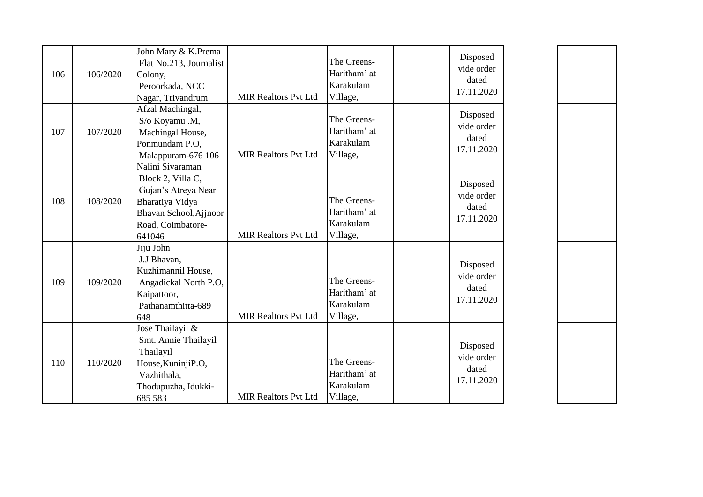| 106 | 106/2020 | John Mary & K.Prema<br>Flat No.213, Journalist<br>Colony,<br>Peroorkada, NCC<br>Nagar, Trivandrum                                        | <b>MIR Realtors Pvt Ltd</b> | The Greens-<br>Haritham' at<br>Karakulam<br>Village, | Disposed<br>vide order<br>dated<br>17.11.2020 |
|-----|----------|------------------------------------------------------------------------------------------------------------------------------------------|-----------------------------|------------------------------------------------------|-----------------------------------------------|
| 107 | 107/2020 | Afzal Machingal,<br>S/o Koyamu .M,<br>Machingal House,<br>Ponmundam P.O,<br>Malappuram-676 106                                           | <b>MIR Realtors Pvt Ltd</b> | The Greens-<br>Haritham' at<br>Karakulam<br>Village, | Disposed<br>vide order<br>dated<br>17.11.2020 |
| 108 | 108/2020 | Nalini Sivaraman<br>Block 2, Villa C,<br>Gujan's Atreya Near<br>Bharatiya Vidya<br>Bhavan School, Ajjnoor<br>Road, Coimbatore-<br>641046 | <b>MIR Realtors Pvt Ltd</b> | The Greens-<br>Haritham' at<br>Karakulam<br>Village, | Disposed<br>vide order<br>dated<br>17.11.2020 |
| 109 | 109/2020 | Jiju John<br>J.J Bhavan,<br>Kuzhimannil House,<br>Angadickal North P.O,<br>Kaipattoor,<br>Pathanamthitta-689<br>648                      | <b>MIR Realtors Pvt Ltd</b> | The Greens-<br>Haritham' at<br>Karakulam<br>Village, | Disposed<br>vide order<br>dated<br>17.11.2020 |
| 110 | 110/2020 | Jose Thailayil &<br>Smt. Annie Thailayil<br>Thailayil<br>House, KuninjiP.O,<br>Vazhithala,<br>Thodupuzha, Idukki-<br>685 583             | <b>MIR Realtors Pvt Ltd</b> | The Greens-<br>Haritham' at<br>Karakulam<br>Village, | Disposed<br>vide order<br>dated<br>17.11.2020 |

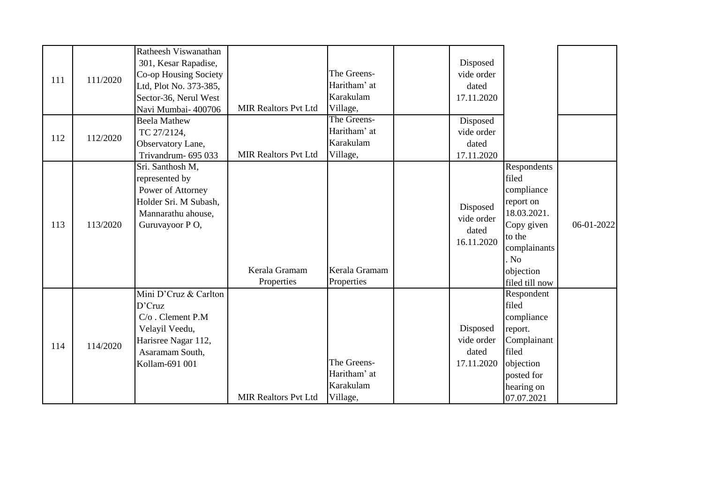|     |          | Ratheesh Viswanathan   |                             |               |            |                |            |
|-----|----------|------------------------|-----------------------------|---------------|------------|----------------|------------|
|     |          | 301, Kesar Rapadise,   |                             |               | Disposed   |                |            |
| 111 | 111/2020 | Co-op Housing Society  |                             | The Greens-   | vide order |                |            |
|     |          | Ltd, Plot No. 373-385, |                             | Haritham' at  | dated      |                |            |
|     |          | Sector-36, Nerul West  |                             | Karakulam     | 17.11.2020 |                |            |
|     |          | Navi Mumbai- 400706    | <b>MIR Realtors Pvt Ltd</b> | Village,      |            |                |            |
|     |          | <b>Beela Mathew</b>    |                             | The Greens-   | Disposed   |                |            |
| 112 | 112/2020 | TC 27/2124,            |                             | Haritham' at  | vide order |                |            |
|     |          | Observatory Lane,      |                             | Karakulam     | dated      |                |            |
|     |          | Trivandrum- 695 033    | <b>MIR Realtors Pvt Ltd</b> | Village,      | 17.11.2020 |                |            |
|     |          | Sri. Santhosh M,       |                             |               |            | Respondents    |            |
|     |          | represented by         |                             |               |            | filed          |            |
|     |          | Power of Attorney      |                             |               |            | compliance     |            |
|     |          | Holder Sri. M Subash,  |                             |               | Disposed   | report on      |            |
|     |          | Mannarathu ahouse,     |                             |               | vide order | 18.03.2021.    |            |
| 113 | 113/2020 | Guruvayoor PO,         |                             |               | dated      | Copy given     | 06-01-2022 |
|     |          |                        |                             |               | 16.11.2020 | to the         |            |
|     |          |                        |                             |               |            | complainants   |            |
|     |          |                        |                             |               |            | . No           |            |
|     |          |                        | Kerala Gramam               | Kerala Gramam |            | objection      |            |
|     |          |                        | Properties                  | Properties    |            | filed till now |            |
|     |          | Mini D'Cruz & Carlton  |                             |               |            | Respondent     |            |
|     |          | D'Cruz                 |                             |               |            | filed          |            |
|     |          | C/o. Clement P.M       |                             |               |            | compliance     |            |
|     |          | Velayil Veedu,         |                             |               | Disposed   | report.        |            |
| 114 | 114/2020 | Harisree Nagar 112,    |                             |               | vide order | Complainant    |            |
|     |          | Asaramam South,        |                             |               | dated      | filed          |            |
|     |          | Kollam-691 001         |                             | The Greens-   | 17.11.2020 | objection      |            |
|     |          |                        |                             | Haritham' at  |            | posted for     |            |
|     |          |                        |                             | Karakulam     |            | hearing on     |            |
|     |          |                        | <b>MIR Realtors Pvt Ltd</b> | Village,      |            | 07.07.2021     |            |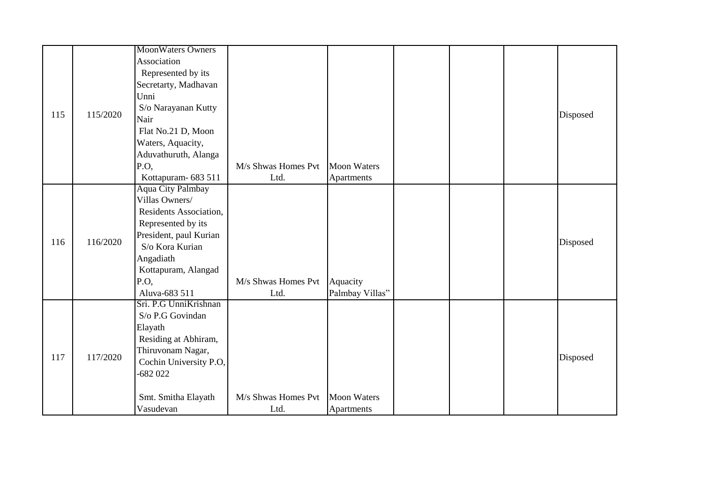|     |          | MoonWaters Owners        |                     |                    |  |                                  |  |
|-----|----------|--------------------------|---------------------|--------------------|--|----------------------------------|--|
|     |          | Association              |                     |                    |  |                                  |  |
|     |          | Represented by its       |                     |                    |  |                                  |  |
|     |          | Secretarty, Madhavan     |                     |                    |  |                                  |  |
|     |          | Unni                     |                     |                    |  |                                  |  |
|     |          | S/o Narayanan Kutty      |                     |                    |  |                                  |  |
| 115 | 115/2020 | Nair                     |                     |                    |  |                                  |  |
|     |          | Flat No.21 D, Moon       |                     |                    |  |                                  |  |
|     |          | Waters, Aquacity,        |                     |                    |  |                                  |  |
|     |          | Aduvathuruth, Alanga     |                     |                    |  |                                  |  |
|     |          | P.O,                     | M/s Shwas Homes Pvt | <b>Moon Waters</b> |  |                                  |  |
|     |          | Kottapuram- 683 511      | Ltd.                | Apartments         |  |                                  |  |
|     |          | <b>Aqua City Palmbay</b> |                     |                    |  |                                  |  |
|     |          | Villas Owners/           |                     |                    |  | Disposed<br>Disposed<br>Disposed |  |
|     |          | Residents Association,   |                     |                    |  |                                  |  |
|     |          | Represented by its       |                     |                    |  |                                  |  |
| 116 | 116/2020 | President, paul Kurian   |                     |                    |  |                                  |  |
|     |          | S/o Kora Kurian          |                     |                    |  |                                  |  |
|     |          | Angadiath                |                     |                    |  |                                  |  |
|     |          | Kottapuram, Alangad      |                     |                    |  |                                  |  |
|     |          | P.O.                     | M/s Shwas Homes Pvt | Aquacity           |  |                                  |  |
|     |          | Aluva-683 511            | Ltd.                | Palmbay Villas"    |  |                                  |  |
|     |          | Sri. P.G UnniKrishnan    |                     |                    |  |                                  |  |
|     |          | S/o P.G Govindan         |                     |                    |  |                                  |  |
|     |          | Elayath                  |                     |                    |  |                                  |  |
|     |          | Residing at Abhiram,     |                     |                    |  |                                  |  |
| 117 | 117/2020 | Thiruvonam Nagar,        |                     |                    |  |                                  |  |
|     |          | Cochin University P.O,   |                     |                    |  |                                  |  |
|     |          | $-682022$                |                     |                    |  |                                  |  |
|     |          |                          |                     |                    |  |                                  |  |
|     |          | Smt. Smitha Elayath      | M/s Shwas Homes Pvt | <b>Moon Waters</b> |  |                                  |  |
|     |          | Vasudevan                | Ltd.                | Apartments         |  |                                  |  |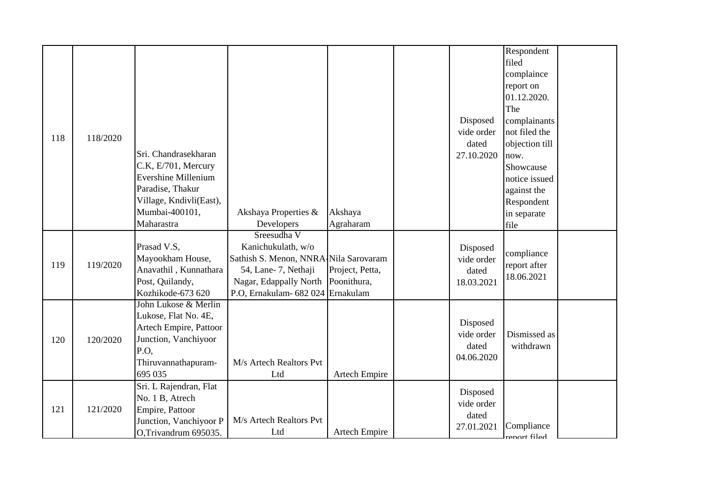| 118 | 118/2020 | Sri. Chandrasekharan<br>C.K, E/701, Mercury<br><b>Evershine Millenium</b><br>Paradise, Thakur<br>Village, Kndivli(East),<br>Mumbai-400101,<br>Maharastra | Akshaya Properties &<br>Developers                                                                                                                                | Akshaya<br>Agraharam           | Disposed<br>vide order<br>dated<br>27.10.2020 | Respondent<br>filed<br>complaince<br>report on<br>01.12.2020.<br>The<br>complainants<br>not filed the<br>objection till<br>now.<br>Showcause<br>notice issued<br>against the<br>Respondent<br>in separate<br>file |  |
|-----|----------|----------------------------------------------------------------------------------------------------------------------------------------------------------|-------------------------------------------------------------------------------------------------------------------------------------------------------------------|--------------------------------|-----------------------------------------------|-------------------------------------------------------------------------------------------------------------------------------------------------------------------------------------------------------------------|--|
| 119 | 119/2020 | Prasad V.S,<br>Mayookham House,<br>Anavathil, Kunnathara<br>Post, Quilandy,<br>Kozhikode-673 620                                                         | Sreesudha V<br>Kanichukulath, w/o<br>Sathish S. Menon, NNRA Nila Sarovaram<br>54, Lane- 7, Nethaji<br>Nagar, Edappally North<br>P.O. Ernakulam- 682 024 Ernakulam | Project, Petta,<br>Poonithura, | Disposed<br>vide order<br>dated<br>18.03.2021 | compliance<br>report after<br>18.06.2021                                                                                                                                                                          |  |
| 120 | 120/2020 | John Lukose & Merlin<br>Lukose, Flat No. 4E,<br>Artech Empire, Pattoor<br>Junction, Vanchiyoor<br>P.O,<br>Thiruvannathapuram-<br>695 035                 | M/s Artech Realtors Pvt<br>Ltd                                                                                                                                    | <b>Artech Empire</b>           | Disposed<br>vide order<br>dated<br>04.06.2020 | Dismissed as<br>withdrawn                                                                                                                                                                                         |  |
| 121 | 121/2020 | Sri. L Rajendran, Flat<br>No. 1 B, Atrech<br>Empire, Pattoor<br>Junction, Vanchiyoor P<br>O,Trivandrum 695035.                                           | M/s Artech Realtors Pvt<br>Ltd                                                                                                                                    | <b>Artech Empire</b>           | Disposed<br>vide order<br>dated<br>27.01.2021 | Compliance<br>renort filed                                                                                                                                                                                        |  |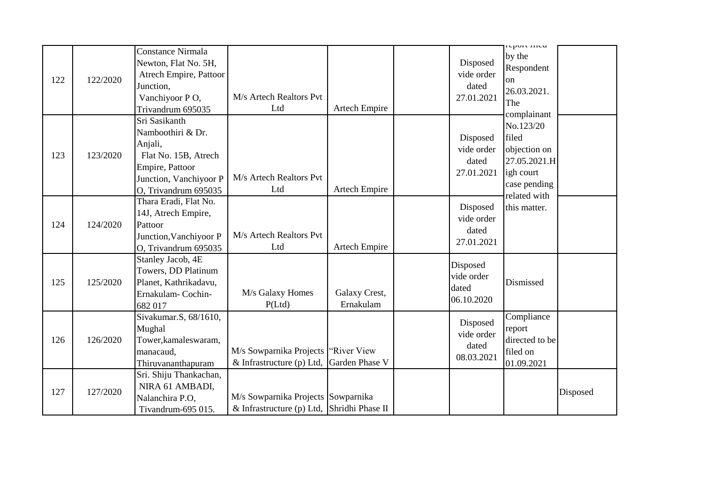| 122 | 122/2020 | Constance Nirmala<br>Newton, Flat No. 5H,<br>Atrech Empire, Pattoor<br>Junction,<br>Vanchiyoor PO,                                                              | M/s Artech Realtors Pvt                                                           |                                              | Disposed<br>vide order<br>dated<br>27.01.2021 | cport med<br>by the<br>Respondent<br>$_{\rm on}$<br>26.03.2021.<br>The                         |          |
|-----|----------|-----------------------------------------------------------------------------------------------------------------------------------------------------------------|-----------------------------------------------------------------------------------|----------------------------------------------|-----------------------------------------------|------------------------------------------------------------------------------------------------|----------|
| 123 | 123/2020 | Trivandrum 695035<br>Sri Sasikanth<br>Namboothiri & Dr.<br>Anjali,<br>Flat No. 15B, Atrech<br>Empire, Pattoor<br>Junction, Vanchiyoor P<br>O, Trivandrum 695035 | Ltd<br>M/s Artech Realtors Pvt<br>Ltd                                             | <b>Artech Empire</b><br><b>Artech Empire</b> | Disposed<br>vide order<br>dated<br>27.01.2021 | complainant<br>No.123/20<br>filed<br>objection on<br>27.05.2021.H<br>igh court<br>case pending |          |
| 124 | 124/2020 | Thara Eradi, Flat No.<br>14J, Atrech Empire,<br>Pattoor<br>Junction, Vanchiyoor P<br>O, Trivandrum 695035                                                       | M/s Artech Realtors Pvt<br>Ltd                                                    | <b>Artech Empire</b>                         | Disposed<br>vide order<br>dated<br>27.01.2021 | related with<br>this matter.                                                                   |          |
| 125 | 125/2020 | Stanley Jacob, 4E<br>Towers, DD Platinum<br>Planet, Kathrikadavu,<br>Ernakulam-Cochin-<br>682 017                                                               | M/s Galaxy Homes<br>P(Ltd)                                                        | Galaxy Crest,<br>Ernakulam                   | Disposed<br>vide order<br>dated<br>06.10.2020 | Dismissed                                                                                      |          |
| 126 | 126/2020 | Sivakumar.S, 68/1610,<br>Mughal<br>Tower, kamaleswaram,<br>manacaud,<br>Thiruvananthapuram                                                                      | M/s Sowparnika Projects   "River View<br>& Infrastructure (p) Ltd, Garden Phase V |                                              | Disposed<br>vide order<br>dated<br>08.03.2021 | Compliance<br>report<br>directed to be<br>filed on<br>01.09.2021                               |          |
| 127 | 127/2020 | Sri. Shiju Thankachan,<br>NIRA 61 AMBADI,<br>Nalanchira P.O,<br>Tivandrum-695 015.                                                                              | M/s Sowparnika Projects Sowparnika<br>& Infrastructure (p) Ltd, Shridhi Phase II  |                                              |                                               |                                                                                                | Disposed |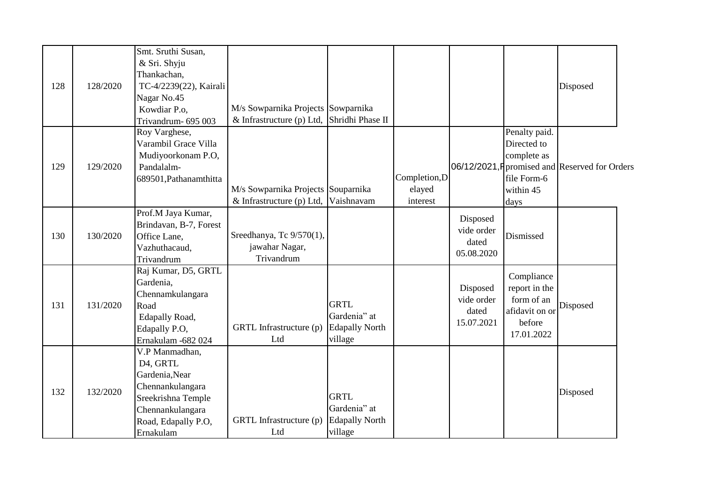| 128 | 128/2020 | Smt. Sruthi Susan,<br>& Sri. Shyju<br>Thankachan,<br>TC-4/2239(22), Kairali<br>Nagar No.45<br>Kowdiar P.o.<br>Trivandrum- 695 003              | M/s Sowparnika Projects Sowparnika<br>& Infrastructure (p) Ltd, Shridhi Phase II |                                                                 |                                     |                                               |                                                                                     | Disposed                                       |  |
|-----|----------|------------------------------------------------------------------------------------------------------------------------------------------------|----------------------------------------------------------------------------------|-----------------------------------------------------------------|-------------------------------------|-----------------------------------------------|-------------------------------------------------------------------------------------|------------------------------------------------|--|
| 129 | 129/2020 | Roy Varghese,<br>Varambil Grace Villa<br>Mudiyoorkonam P.O,<br>Pandalalm-<br>689501, Pathanamthitta                                            | M/s Sowparnika Projects Souparnika<br>$&$ Infrastructure (p) Ltd,                | Vaishnavam                                                      | Completion, D<br>elayed<br>interest |                                               | Penalty paid.<br>Directed to<br>complete as<br>file Form-6<br>within 45<br>days     | 06/12/2021, F promised and Reserved for Orders |  |
| 130 | 130/2020 | Prof.M Jaya Kumar,<br>Brindavan, B-7, Forest<br>Office Lane,<br>Vazhuthacaud,<br>Trivandrum                                                    | Sreedhanya, Tc 9/570(1),<br>jawahar Nagar,<br>Trivandrum                         |                                                                 |                                     | Disposed<br>vide order<br>dated<br>05.08.2020 | Dismissed                                                                           |                                                |  |
| 131 | 131/2020 | Raj Kumar, D5, GRTL<br>Gardenia,<br>Chennamkulangara<br>Road<br>Edapally Road,<br>Edapally P.O,<br>Ernakulam -682 024                          | GRTL Infrastructure (p)<br>Ltd                                                   | <b>GRTL</b><br>Gardenia" at<br><b>Edapally North</b><br>village |                                     | Disposed<br>vide order<br>dated<br>15.07.2021 | Compliance<br>report in the<br>form of an<br>afidavit on or<br>before<br>17.01.2022 | Disposed                                       |  |
| 132 | 132/2020 | V.P Manmadhan,<br>D4, GRTL<br>Gardenia, Near<br>Chennankulangara<br>Sreekrishna Temple<br>Chennankulangara<br>Road, Edapally P.O,<br>Ernakulam | GRTL Infrastructure (p)<br>Ltd                                                   | <b>GRTL</b><br>Gardenia" at<br><b>Edapally North</b><br>village |                                     |                                               |                                                                                     | Disposed                                       |  |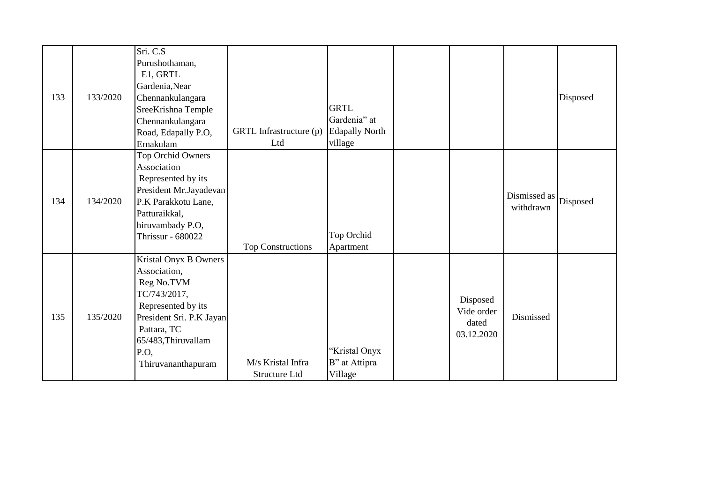| 133 | 133/2020 | Sri. C.S<br>Purushothaman,<br>E1, GRTL<br>Gardenia, Near<br>Chennankulangara<br>SreeKrishna Temple                                                                                        |                                    | <b>GRTL</b>                                      |                                               |                           | Disposed |
|-----|----------|-------------------------------------------------------------------------------------------------------------------------------------------------------------------------------------------|------------------------------------|--------------------------------------------------|-----------------------------------------------|---------------------------|----------|
|     |          | Chennankulangara<br>Road, Edapally P.O,<br>Ernakulam                                                                                                                                      | GRTL Infrastructure (p)<br>Ltd     | Gardenia" at<br><b>Edapally North</b><br>village |                                               |                           |          |
| 134 | 134/2020 | Top Orchid Owners<br>Association<br>Represented by its<br>President Mr.Jayadevan<br>P.K Parakkotu Lane,<br>Patturaikkal,<br>hiruvambady P.O,<br><b>Thrissur - 680022</b>                  | <b>Top Constructions</b>           | Top Orchid<br>Apartment                          |                                               | Dismissed as<br>withdrawn | Disposed |
| 135 | 135/2020 | Kristal Onyx B Owners<br>Association,<br>Reg No.TVM<br>TC/743/2017,<br>Represented by its<br>President Sri. P.K Jayan<br>Pattara, TC<br>65/483, Thiruvallam<br>P.O.<br>Thiruvananthapuram | M/s Kristal Infra<br>Structure Ltd | 'Kristal Onyx<br>B" at Attipra<br>Village        | Disposed<br>Vide order<br>dated<br>03.12.2020 | Dismissed                 |          |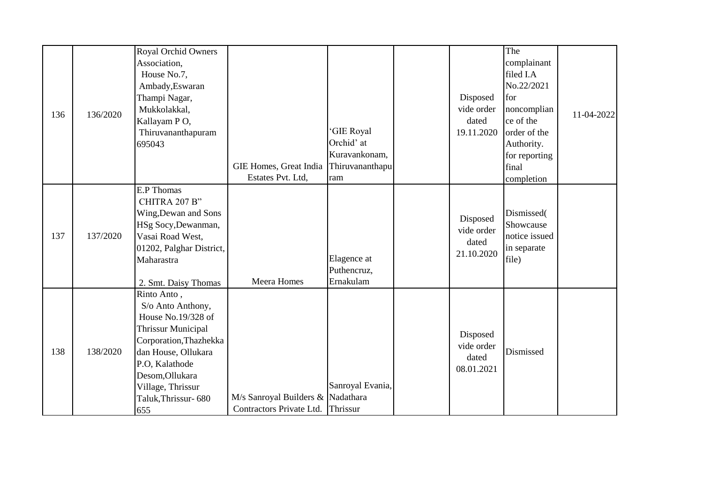| 136 | 136/2020 | <b>Royal Orchid Owners</b><br>Association,<br>House No.7,<br>Ambady, Eswaran<br>Thampi Nagar,<br>Mukkolakkal,<br>Kallayam PO,<br>Thiruvananthapuram<br>695043                                                                | GIE Homes, Great India<br>Estates Pvt. Ltd,                            | 'GIE Royal<br>Orchid' at<br>Kuravankonam,<br>Thiruvananthapu<br>ram | Disposed<br>vide order<br>dated<br>19.11.2020 | The<br>complainant<br>filed I.A<br>No.22/2021<br>for<br>noncomplian<br>ce of the<br>order of the<br>Authority.<br>for reporting<br>final<br>completion | 11-04-2022 |
|-----|----------|------------------------------------------------------------------------------------------------------------------------------------------------------------------------------------------------------------------------------|------------------------------------------------------------------------|---------------------------------------------------------------------|-----------------------------------------------|--------------------------------------------------------------------------------------------------------------------------------------------------------|------------|
| 137 | 137/2020 | <b>E.P</b> Thomas<br>CHITRA 207 B"<br>Wing, Dewan and Sons<br>HSg Socy, Dewanman,<br>Vasai Road West,<br>01202, Palghar District,<br>Maharastra<br>2. Smt. Daisy Thomas                                                      | Meera Homes                                                            | Elagence at<br>Puthencruz,<br>Ernakulam                             | Disposed<br>vide order<br>dated<br>21.10.2020 | Dismissed(<br>Showcause<br>notice issued<br>in separate<br>file)                                                                                       |            |
| 138 | 138/2020 | Rinto Anto,<br>S/o Anto Anthony,<br>House No.19/328 of<br><b>Thrissur Municipal</b><br>Corporation, Thazhekka<br>dan House, Ollukara<br>P.O, Kalathode<br>Desom, Ollukara<br>Village, Thrissur<br>Taluk, Thrissur-680<br>655 | M/s Sanroyal Builders & Nadathara<br>Contractors Private Ltd. Thrissur | Sanroyal Evania,                                                    | Disposed<br>vide order<br>dated<br>08.01.2021 | Dismissed                                                                                                                                              |            |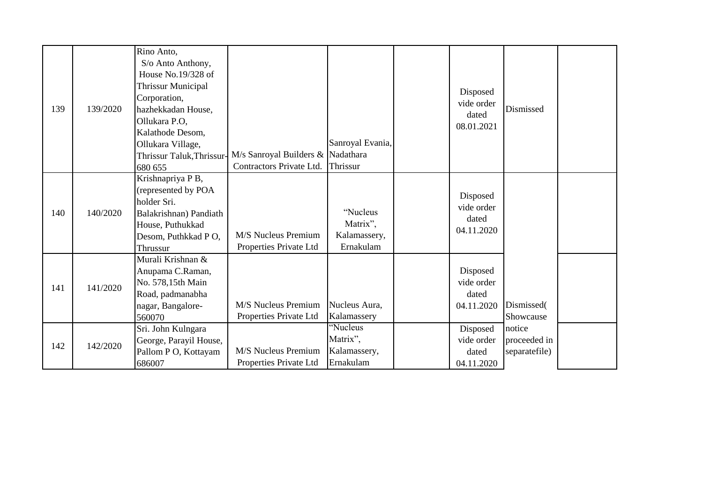| 139 | 139/2020 | Rino Anto,<br>S/o Anto Anthony,<br>House No.19/328 of<br><b>Thrissur Municipal</b><br>Corporation,<br>hazhekkadan House,<br>Ollukara P.O,<br>Kalathode Desom,<br>Ollukara Village,<br>Thrissur Taluk, Thrissur-<br>680 655 | M/s Sanroyal Builders & Nadathara<br>Contractors Private Ltd. | Sanroyal Evania,<br>Thrissur                      | Disposed<br>vide order<br>dated<br>08.01.2021 | Dismissed                               |  |
|-----|----------|----------------------------------------------------------------------------------------------------------------------------------------------------------------------------------------------------------------------------|---------------------------------------------------------------|---------------------------------------------------|-----------------------------------------------|-----------------------------------------|--|
| 140 | 140/2020 | Krishnapriya P B,<br>(represented by POA<br>holder Sri.<br>Balakrishnan) Pandiath<br>House, Puthukkad<br>Desom, Puthkkad PO,<br>Thrussur                                                                                   | M/S Nucleus Premium<br>Properties Private Ltd                 | "Nucleus<br>Matrix",<br>Kalamassery,<br>Ernakulam | Disposed<br>vide order<br>dated<br>04.11.2020 |                                         |  |
| 141 | 141/2020 | Murali Krishnan &<br>Anupama C.Raman,<br>No. 578,15th Main<br>Road, padmanabha<br>nagar, Bangalore-<br>560070                                                                                                              | M/S Nucleus Premium<br>Properties Private Ltd                 | Nucleus Aura,<br>Kalamassery                      | Disposed<br>vide order<br>dated<br>04.11.2020 | Dismissed(<br>Showcause                 |  |
| 142 | 142/2020 | Sri. John Kulngara<br>George, Parayil House,<br>Pallom P O, Kottayam<br>686007                                                                                                                                             | M/S Nucleus Premium<br>Properties Private Ltd                 | "Nucleus<br>Matrix",<br>Kalamassery,<br>Ernakulam | Disposed<br>vide order<br>dated<br>04.11.2020 | notice<br>proceeded in<br>separatefile) |  |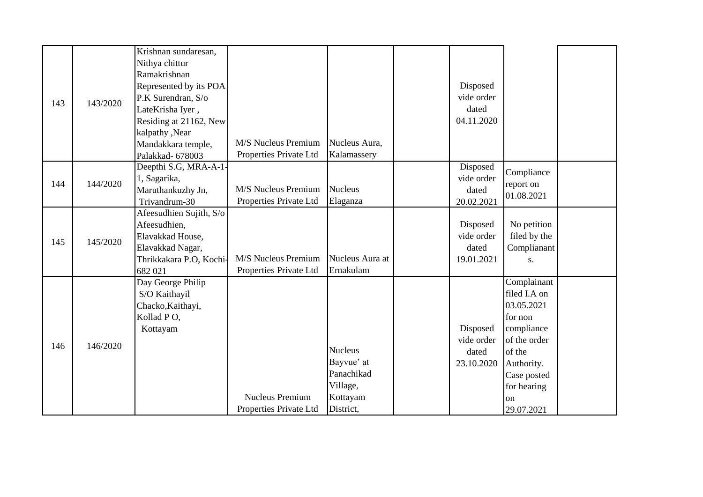|     |          | Krishnan sundaresan,    |                        |                 |            |               |  |
|-----|----------|-------------------------|------------------------|-----------------|------------|---------------|--|
|     |          | Nithya chittur          |                        |                 |            |               |  |
|     |          | Ramakrishnan            |                        |                 |            |               |  |
|     |          | Represented by its POA  |                        |                 | Disposed   |               |  |
|     | 143/2020 | P.K Surendran, S/o      |                        |                 | vide order |               |  |
| 143 |          | LateKrisha Iyer,        |                        |                 | dated      |               |  |
|     |          | Residing at 21162, New  |                        |                 | 04.11.2020 |               |  |
|     |          | kalpathy, Near          |                        |                 |            |               |  |
|     |          | Mandakkara temple,      | M/S Nucleus Premium    | Nucleus Aura,   |            |               |  |
|     |          | Palakkad- 678003        | Properties Private Ltd | Kalamassery     |            |               |  |
|     |          | Deepthi S.G, MRA-A-1-   |                        |                 | Disposed   | Compliance    |  |
| 144 | 144/2020 | 1, Sagarika,            |                        |                 | vide order | report on     |  |
|     |          | Maruthankuzhy Jn,       | M/S Nucleus Premium    | <b>Nucleus</b>  | dated      | 01.08.2021    |  |
|     |          | Trivandrum-30           | Properties Private Ltd | Elaganza        | 20.02.2021 |               |  |
|     |          | Afeesudhien Sujith, S/o |                        |                 |            |               |  |
|     |          | Afeesudhien,            |                        |                 | Disposed   | No petition   |  |
| 145 | 145/2020 | Elavakkad House,        |                        |                 | vide order | filed by the  |  |
|     |          | Elavakkad Nagar,        |                        |                 | dated      | Complianant   |  |
|     |          | Thrikkakara P.O, Kochi- | M/S Nucleus Premium    | Nucleus Aura at | 19.01.2021 | S.            |  |
|     |          | 682 021                 | Properties Private Ltd | Ernakulam       |            |               |  |
|     |          | Day George Philip       |                        |                 |            | Complainant   |  |
|     |          | S/O Kaithayil           |                        |                 |            | filed I.A on  |  |
|     |          | Chacko, Kaithayi,       |                        |                 |            | 03.05.2021    |  |
|     |          | Kollad PO,              |                        |                 |            | for non       |  |
|     |          | Kottayam                |                        |                 | Disposed   | compliance    |  |
| 146 | 146/2020 |                         |                        |                 | vide order | of the order  |  |
|     |          |                         |                        | <b>Nucleus</b>  | dated      | of the        |  |
|     |          |                         |                        | Bayvue' at      | 23.10.2020 | Authority.    |  |
|     |          |                         |                        | Panachikad      |            | Case posted   |  |
|     |          |                         |                        | Village,        |            | for hearing   |  |
|     |          |                         | <b>Nucleus Premium</b> | Kottayam        |            | <sub>on</sub> |  |
|     |          |                         | Properties Private Ltd | District,       |            | 29.07.2021    |  |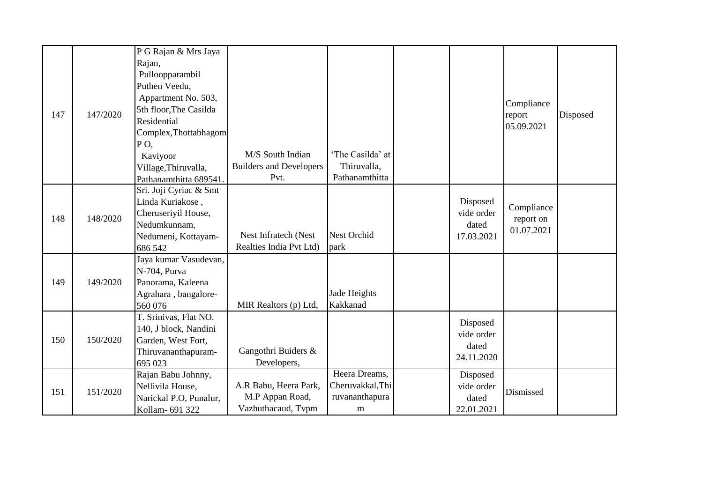|     |          | P G Rajan & Mrs Jaya   |                                |                    |            |            |          |
|-----|----------|------------------------|--------------------------------|--------------------|------------|------------|----------|
|     |          | Rajan,                 |                                |                    |            |            |          |
|     |          | Pulloopparambil        |                                |                    |            |            |          |
|     |          | Puthen Veedu,          |                                |                    |            |            |          |
|     |          | Appartment No. 503,    |                                |                    |            |            |          |
|     |          | 5th floor, The Casilda |                                |                    |            | Compliance |          |
| 147 | 147/2020 | Residential            |                                |                    |            | report     | Disposed |
|     |          | Complex, Thottabhagom  |                                |                    |            | 05.09.2021 |          |
|     |          | PO,                    |                                |                    |            |            |          |
|     |          | Kaviyoor               | M/S South Indian               | 'The Casilda' at   |            |            |          |
|     |          | Village, Thiruvalla,   | <b>Builders and Developers</b> | Thiruvalla,        |            |            |          |
|     |          | Pathanamthitta 689541. | Pvt.                           | Pathanamthitta     |            |            |          |
|     |          | Sri. Joji Cyriac & Smt |                                |                    |            |            |          |
| 148 |          | Linda Kuriakose,       |                                |                    | Disposed   |            |          |
|     |          | Cheruseriyil House,    |                                |                    | vide order | Compliance |          |
|     | 148/2020 | Nedumkunnam,           |                                |                    | dated      | report on  |          |
|     |          | Nedumeni, Kottayam-    | Nest Infratech (Nest           | <b>Nest Orchid</b> | 17.03.2021 | 01.07.2021 |          |
|     |          | 686 542                | Realties India Pvt Ltd)        | park               |            |            |          |
|     |          | Jaya kumar Vasudevan,  |                                |                    |            |            |          |
|     |          | N-704, Purva           |                                |                    |            |            |          |
| 149 | 149/2020 | Panorama, Kaleena      |                                |                    |            |            |          |
|     |          | Agrahara, bangalore-   |                                | Jade Heights       |            |            |          |
|     |          | 560 076                | MIR Realtors (p) Ltd,          | Kakkanad           |            |            |          |
|     |          | T. Srinivas, Flat NO.  |                                |                    |            |            |          |
|     |          | 140, J block, Nandini  |                                |                    | Disposed   |            |          |
| 150 | 150/2020 | Garden, West Fort,     |                                |                    | vide order |            |          |
|     |          | Thiruvananthapuram-    | Gangothri Buiders &            |                    | dated      |            |          |
|     |          | 695 023                | Developers,                    |                    | 24.11.2020 |            |          |
|     |          | Rajan Babu Johnny,     |                                | Heera Dreams,      | Disposed   |            |          |
| 151 | 151/2020 | Nellivila House,       | A.R Babu, Heera Park,          | Cheruvakkal, Thi   | vide order | Dismissed  |          |
|     |          | Narickal P.O, Punalur, | M.P Appan Road,                | ruvananthapura     | dated      |            |          |
|     |          | Kollam- 691 322        | Vazhuthacaud, Tvpm             | m                  | 22.01.2021 |            |          |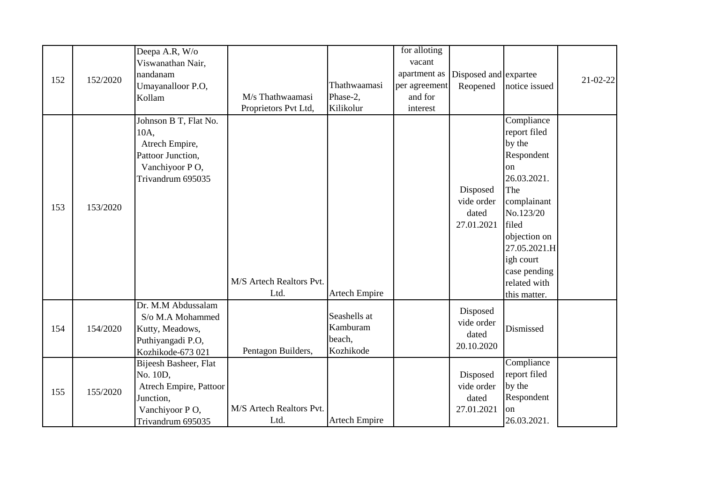|     |          | Deepa A.R, W/o         |                          |                      | for alloting  |                       |               |                |
|-----|----------|------------------------|--------------------------|----------------------|---------------|-----------------------|---------------|----------------|
|     |          | Viswanathan Nair,      |                          |                      | vacant        |                       |               |                |
|     |          | nandanam               |                          |                      | apartment as  | Disposed and expartee |               |                |
| 152 | 152/2020 | Umayanalloor P.O,      |                          | Thathwaamasi         | per agreement | Reopened              | notice issued | $21 - 02 - 22$ |
|     |          | Kollam                 | M/s Thathwaamasi         | Phase-2,             | and for       |                       |               |                |
|     |          |                        | Proprietors Pvt Ltd,     | Kilikolur            | interest      |                       |               |                |
|     |          | Johnson B T, Flat No.  |                          |                      |               |                       | Compliance    |                |
|     |          | 10A,                   |                          |                      |               |                       | report filed  |                |
|     |          | Atrech Empire,         |                          |                      |               |                       | by the        |                |
|     |          | Pattoor Junction,      |                          |                      |               |                       | Respondent    |                |
|     |          | Vanchiyoor PO,         |                          |                      |               |                       | on            |                |
|     |          | Trivandrum 695035      |                          |                      |               |                       | 26.03.2021.   |                |
|     |          |                        |                          |                      |               | Disposed              | The           |                |
| 153 | 153/2020 |                        |                          |                      |               | vide order            | complainant   |                |
|     |          |                        |                          |                      |               | dated                 | No.123/20     |                |
|     |          |                        |                          |                      |               | 27.01.2021            | filed         |                |
|     |          |                        |                          |                      |               |                       | objection on  |                |
|     |          |                        |                          |                      |               |                       | 27.05.2021.H  |                |
|     |          |                        |                          |                      |               |                       | igh court     |                |
|     |          |                        |                          |                      |               |                       | case pending  |                |
|     |          |                        | M/S Artech Realtors Pvt. |                      |               |                       | related with  |                |
|     |          |                        | Ltd.                     | <b>Artech Empire</b> |               |                       | this matter.  |                |
|     |          | Dr. M.M Abdussalam     |                          |                      |               | Disposed              |               |                |
|     |          | S/o M.A Mohammed       |                          | Seashells at         |               | vide order            |               |                |
| 154 | 154/2020 | Kutty, Meadows,        |                          | Kamburam             |               | dated                 | Dismissed     |                |
|     |          | Puthiyangadi P.O,      |                          | beach,               |               | 20.10.2020            |               |                |
|     |          | Kozhikode-673 021      | Pentagon Builders,       | Kozhikode            |               |                       |               |                |
|     |          | Bijeesh Basheer, Flat  |                          |                      |               |                       | Compliance    |                |
| 155 |          | No. 10D,               |                          |                      |               | Disposed              | report filed  |                |
|     | 155/2020 | Atrech Empire, Pattoor |                          |                      |               | vide order            | by the        |                |
|     |          | Junction,              |                          |                      |               | dated                 | Respondent    |                |
|     |          | Vanchiyoor PO,         | M/S Artech Realtors Pvt. |                      |               | 27.01.2021            | on            |                |
|     |          | Trivandrum 695035      | Ltd.                     | <b>Artech Empire</b> |               |                       | 26.03.2021.   |                |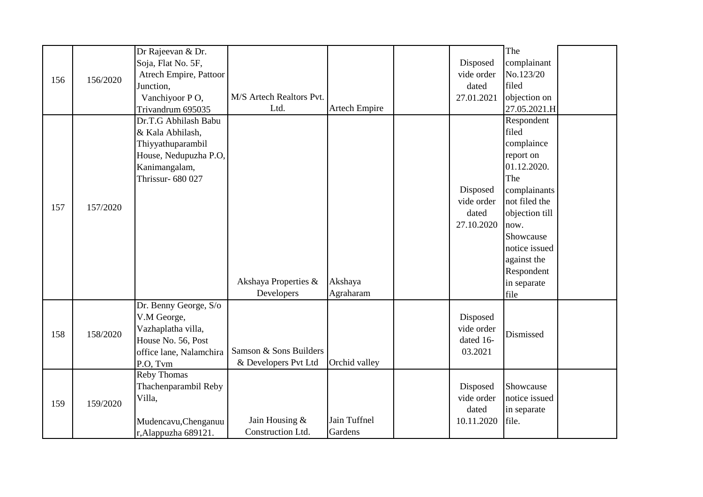|     |          | Dr Rajeevan & Dr.       |                          |                      |            | The            |  |
|-----|----------|-------------------------|--------------------------|----------------------|------------|----------------|--|
|     |          | Soja, Flat No. 5F,      |                          |                      | Disposed   | complainant    |  |
|     |          | Atrech Empire, Pattoor  |                          |                      | vide order | No.123/20      |  |
| 156 | 156/2020 | Junction,               |                          |                      | dated      | filed          |  |
|     |          | Vanchiyoor PO,          | M/S Artech Realtors Pvt. |                      | 27.01.2021 | objection on   |  |
|     |          | Trivandrum 695035       | Ltd.                     | <b>Artech Empire</b> |            | 27.05.2021.H   |  |
|     |          | Dr.T.G Abhilash Babu    |                          |                      |            | Respondent     |  |
|     |          | & Kala Abhilash,        |                          |                      |            | filed          |  |
|     |          | Thiyyathuparambil       |                          |                      |            | complaince     |  |
|     |          | House, Nedupuzha P.O,   |                          |                      |            | report on      |  |
|     |          | Kanimangalam,           |                          |                      |            | 01.12.2020.    |  |
|     |          | Thrissur- 680 027       |                          |                      |            | The            |  |
|     |          |                         |                          |                      | Disposed   | complainants   |  |
| 157 | 157/2020 |                         |                          |                      | vide order | not filed the  |  |
|     |          |                         |                          |                      | dated      | objection till |  |
|     |          |                         |                          |                      | 27.10.2020 | now.           |  |
|     |          |                         |                          |                      |            | Showcause      |  |
|     |          |                         |                          |                      |            | notice issued  |  |
|     |          |                         |                          |                      |            | against the    |  |
|     |          |                         |                          |                      |            | Respondent     |  |
|     |          |                         | Akshaya Properties &     | Akshaya              |            | in separate    |  |
|     |          |                         | Developers               | Agraharam            |            | file           |  |
|     |          | Dr. Benny George, S/o   |                          |                      |            |                |  |
|     |          | V.M George,             |                          |                      | Disposed   |                |  |
| 158 | 158/2020 | Vazhaplatha villa,      |                          |                      | vide order | Dismissed      |  |
|     |          | House No. 56, Post      |                          |                      | dated 16-  |                |  |
|     |          | office lane, Nalamchira | Samson & Sons Builders   |                      | 03.2021    |                |  |
|     |          | P.O, Tvm                | & Developers Pvt Ltd     | Orchid valley        |            |                |  |
|     |          | Reby Thomas             |                          |                      |            |                |  |
|     |          | Thachenparambil Reby    |                          |                      | Disposed   | Showcause      |  |
| 159 | 159/2020 | Villa,                  |                          |                      | vide order | notice issued  |  |
|     |          |                         |                          |                      | dated      | in separate    |  |
|     |          | Mudencavu, Chenganuu    | Jain Housing &           | Jain Tuffnel         | 10.11.2020 | file.          |  |
|     |          | r, Alappuzha 689121.    | Construction Ltd.        | Gardens              |            |                |  |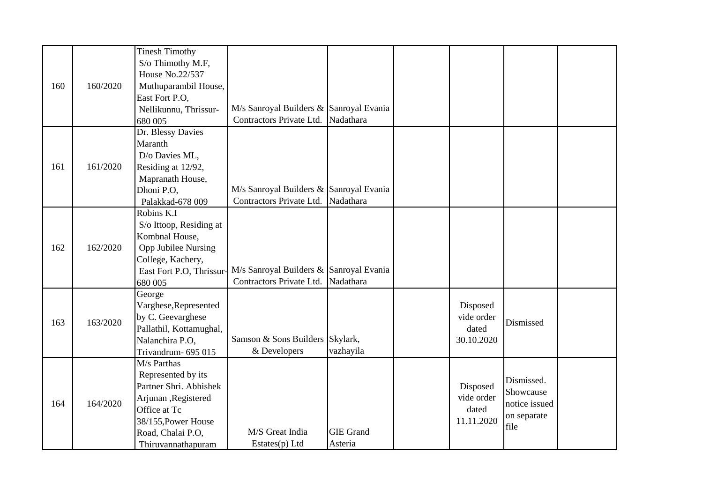|     |          | <b>Tinesh Timothy</b><br>S/o Thimothy M.F, |                                         |                  |            |               |  |
|-----|----------|--------------------------------------------|-----------------------------------------|------------------|------------|---------------|--|
|     |          | House No.22/537                            |                                         |                  |            |               |  |
| 160 | 160/2020 | Muthuparambil House,                       |                                         |                  |            |               |  |
|     |          | East Fort P.O,                             |                                         |                  |            |               |  |
|     |          | Nellikunnu, Thrissur-                      | M/s Sanroyal Builders & Sanroyal Evania |                  |            |               |  |
|     |          | 680 005                                    | Contractors Private Ltd.                | Nadathara        |            |               |  |
|     |          | Dr. Blessy Davies                          |                                         |                  |            |               |  |
|     |          | Maranth                                    |                                         |                  |            |               |  |
|     |          | D/o Davies ML,                             |                                         |                  |            |               |  |
| 161 | 161/2020 | Residing at 12/92,                         |                                         |                  |            |               |  |
|     |          | Mapranath House,                           |                                         |                  |            |               |  |
|     |          | Dhoni P.O,                                 | M/s Sanroyal Builders & Sanroyal Evania |                  |            |               |  |
|     |          | Palakkad-678 009                           | Contractors Private Ltd.                | Nadathara        |            |               |  |
|     |          | Robins K.I                                 |                                         |                  |            |               |  |
|     |          | S/o Ittoop, Residing at                    |                                         |                  |            |               |  |
|     |          | Kombnal House,                             |                                         |                  |            |               |  |
| 162 | 162/2020 | <b>Opp Jubilee Nursing</b>                 |                                         |                  |            |               |  |
|     |          | College, Kachery,                          |                                         |                  |            |               |  |
|     |          | East Fort P.O, Thrissur-                   | M/s Sanroyal Builders & Sanroyal Evania |                  |            |               |  |
|     |          | 680 005                                    | Contractors Private Ltd. Nadathara      |                  |            |               |  |
|     |          | George                                     |                                         |                  |            |               |  |
|     |          | Varghese, Represented                      |                                         |                  | Disposed   |               |  |
| 163 | 163/2020 | by C. Geevarghese                          |                                         |                  | vide order | Dismissed     |  |
|     |          | Pallathil, Kottamughal,                    |                                         |                  | dated      |               |  |
|     |          | Nalanchira P.O,                            | Samson & Sons Builders Skylark,         |                  | 30.10.2020 |               |  |
|     |          | Trivandrum- 695 015                        | & Developers                            | vazhayila        |            |               |  |
|     |          | M/s Parthas                                |                                         |                  |            |               |  |
|     |          | Represented by its                         |                                         |                  |            | Dismissed.    |  |
|     |          | Partner Shri. Abhishek                     |                                         |                  | Disposed   | Showcause     |  |
| 164 | 164/2020 | Arjunan , Registered                       |                                         |                  | vide order | notice issued |  |
|     |          | Office at Tc                               |                                         |                  | dated      | on separate   |  |
|     |          | 38/155, Power House                        |                                         |                  | 11.11.2020 | file          |  |
|     |          | Road, Chalai P.O,                          | M/S Great India                         | <b>GIE Grand</b> |            |               |  |
|     |          | Thiruvannathapuram                         | Estates(p) Ltd                          | Asteria          |            |               |  |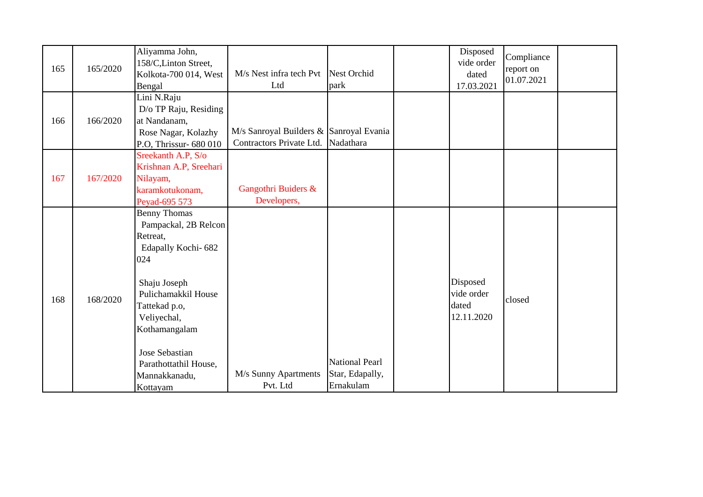| 165 | 165/2020 | Aliyamma John,<br>158/C, Linton Street,<br>Kolkota-700 014, West<br>Bengal                                                                                                                                                                                  | M/s Nest infra tech Pvt<br>Ltd                                                | Nest Orchid<br>park                                   | Disposed<br>vide order<br>dated<br>17.03.2021 | Compliance<br>report on<br>01.07.2021 |  |
|-----|----------|-------------------------------------------------------------------------------------------------------------------------------------------------------------------------------------------------------------------------------------------------------------|-------------------------------------------------------------------------------|-------------------------------------------------------|-----------------------------------------------|---------------------------------------|--|
| 166 | 166/2020 | Lini N.Raju<br>D/o TP Raju, Residing<br>at Nandanam,<br>Rose Nagar, Kolazhy<br>P.O, Thrissur-680 010                                                                                                                                                        | M/s Sanroyal Builders & Sanroyal Evania<br>Contractors Private Ltd. Nadathara |                                                       |                                               |                                       |  |
| 167 | 167/2020 | Sreekanth A.P, S/o<br>Krishnan A.P, Sreehari<br>Nilayam,<br>karamkotukonam,<br>Peyad-695 573                                                                                                                                                                | Gangothri Buiders &<br>Developers,                                            |                                                       |                                               |                                       |  |
| 168 | 168/2020 | <b>Benny Thomas</b><br>Pampackal, 2B Relcon<br>Retreat,<br>Edapally Kochi-682<br>024<br>Shaju Joseph<br>Pulichamakkil House<br>Tattekad p.o,<br>Veliyechal,<br>Kothamangalam<br><b>Jose Sebastian</b><br>Parathottathil House,<br>Mannakkanadu,<br>Kottayam | M/s Sunny Apartments<br>Pvt. Ltd                                              | <b>National Pearl</b><br>Star, Edapally,<br>Ernakulam | Disposed<br>vide order<br>dated<br>12.11.2020 | closed                                |  |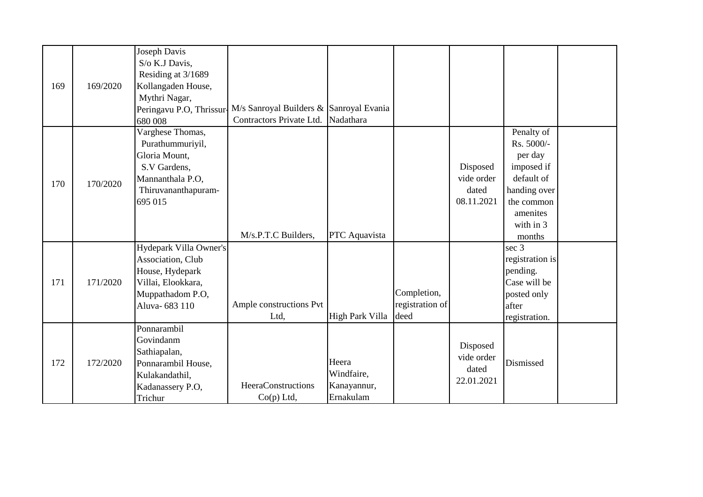|     |          | Joseph Davis             |                                         |                        |                 |            |                 |  |
|-----|----------|--------------------------|-----------------------------------------|------------------------|-----------------|------------|-----------------|--|
|     |          | S/o K.J Davis,           |                                         |                        |                 |            |                 |  |
|     |          | Residing at 3/1689       |                                         |                        |                 |            |                 |  |
| 169 | 169/2020 | Kollangaden House,       |                                         |                        |                 |            |                 |  |
|     |          | Mythri Nagar,            |                                         |                        |                 |            |                 |  |
|     |          | Peringavu P.O, Thrissur- | M/s Sanroyal Builders & Sanroyal Evania |                        |                 |            |                 |  |
|     |          | 680 008                  | Contractors Private Ltd.                | Nadathara              |                 |            |                 |  |
|     |          | Varghese Thomas,         |                                         |                        |                 |            | Penalty of      |  |
|     |          | Purathummuriyil,         |                                         |                        |                 |            | Rs. 5000/-      |  |
|     |          | Gloria Mount,            |                                         |                        |                 |            | per day         |  |
|     |          | S.V Gardens,             |                                         |                        |                 | Disposed   | imposed if      |  |
| 170 | 170/2020 | Mannanthala P.O,         |                                         |                        |                 | vide order | default of      |  |
|     |          | Thiruvananthapuram-      |                                         |                        |                 | dated      | handing over    |  |
|     |          | 695 015                  |                                         |                        |                 | 08.11.2021 | the common      |  |
|     |          |                          |                                         |                        |                 |            | amenites        |  |
|     |          |                          |                                         |                        |                 |            | with in 3       |  |
|     |          |                          | M/s.P.T.C Builders,                     | PTC Aquavista          |                 |            | months          |  |
|     |          | Hydepark Villa Owner's   |                                         |                        |                 |            | sec 3           |  |
|     |          | Association, Club        |                                         |                        |                 |            | registration is |  |
|     |          | House, Hydepark          |                                         |                        |                 |            | pending.        |  |
| 171 | 171/2020 | Villai, Elookkara,       |                                         |                        |                 |            | Case will be    |  |
|     |          | Muppathadom P.O,         |                                         |                        | Completion,     |            | posted only     |  |
|     |          | Aluva-683 110            | Ample constructions Pvt                 |                        | registration of |            | after           |  |
|     |          |                          | Ltd,                                    | <b>High Park Villa</b> | deed            |            | registration.   |  |
|     |          | Ponnarambil              |                                         |                        |                 |            |                 |  |
|     |          | Govindanm                |                                         |                        |                 | Disposed   |                 |  |
| 172 |          | Sathiapalan,             |                                         |                        |                 | vide order |                 |  |
|     | 172/2020 | Ponnarambil House,       |                                         | Heera                  |                 | dated      | Dismissed       |  |
|     |          | Kulakandathil,           |                                         | Windfaire,             |                 | 22.01.2021 |                 |  |
|     |          | Kadanassery P.O,         | HeeraConstructions                      | Kanayannur,            |                 |            |                 |  |
|     |          | Trichur                  | $Co(p)$ Ltd,                            | Ernakulam              |                 |            |                 |  |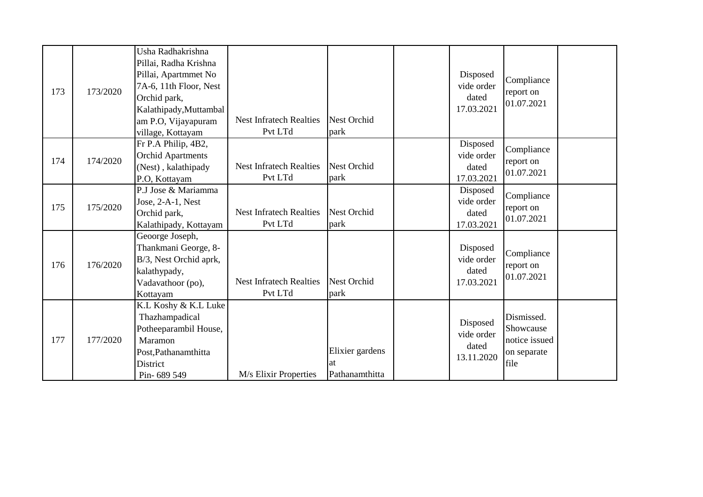| 173 | 173/2020 | Usha Radhakrishna<br>Pillai, Radha Krishna<br>Pillai, Apartmmet No<br>7A-6, 11th Floor, Nest<br>Orchid park,<br>Kalathipady, Muttambal<br>am P.O, Vijayapuram<br>village, Kottayam | <b>Nest Infratech Realties</b><br>Pvt LTd | <b>Nest Orchid</b><br>park               | Disposed<br>vide order<br>dated<br>17.03.2021 | Compliance<br>report on<br>01.07.2021                           |  |
|-----|----------|------------------------------------------------------------------------------------------------------------------------------------------------------------------------------------|-------------------------------------------|------------------------------------------|-----------------------------------------------|-----------------------------------------------------------------|--|
| 174 | 174/2020 | Fr P.A Philip, 4B2,<br><b>Orchid Apartments</b><br>(Nest), kalathipady<br>P.O, Kottayam                                                                                            | <b>Nest Infratech Realties</b><br>Pvt LTd | <b>Nest Orchid</b><br>park               | Disposed<br>vide order<br>dated<br>17.03.2021 | Compliance<br>report on<br>01.07.2021                           |  |
| 175 | 175/2020 | P.J Jose & Mariamma<br>Jose, $2-A-1$ , Nest<br>Orchid park,<br>Kalathipady, Kottayam                                                                                               | <b>Nest Infratech Realties</b><br>Pvt LTd | <b>Nest Orchid</b><br>park               | Disposed<br>vide order<br>dated<br>17.03.2021 | Compliance<br>report on<br>01.07.2021                           |  |
| 176 | 176/2020 | Geoorge Joseph,<br>Thankmani George, 8-<br>B/3, Nest Orchid aprk,<br>kalathypady,<br>Vadavathoor (po),<br>Kottayam                                                                 | <b>Nest Infratech Realties</b><br>Pvt LTd | <b>Nest Orchid</b><br>park               | Disposed<br>vide order<br>dated<br>17.03.2021 | Compliance<br>report on<br>01.07.2021                           |  |
| 177 | 177/2020 | K.L Koshy & K.L Luke<br>Thazhampadical<br>Potheeparambil House,<br>Maramon<br>Post, Pathanamthitta<br>District<br>Pin-689 549                                                      | M/s Elixir Properties                     | Elixier gardens<br>lat<br>Pathanamthitta | Disposed<br>vide order<br>dated<br>13.11.2020 | Dismissed.<br>Showcause<br>notice issued<br>on separate<br>file |  |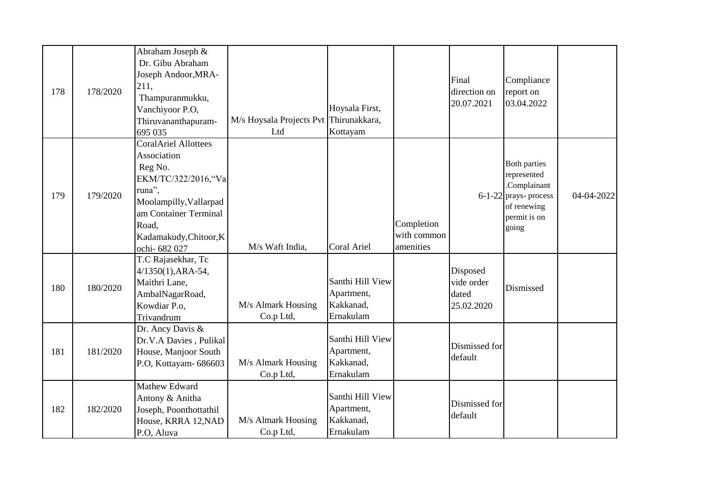|     |          | Abraham Joseph &            |                                        |                  |             |               |                                        |            |
|-----|----------|-----------------------------|----------------------------------------|------------------|-------------|---------------|----------------------------------------|------------|
|     |          | Dr. Gibu Abraham            |                                        |                  |             |               |                                        |            |
|     |          | Joseph Andoor, MRA-         |                                        |                  |             | Final         | Compliance                             |            |
| 178 | 178/2020 | 211,                        |                                        |                  |             | direction on  | report on                              |            |
|     |          | Thampuranmukku,             |                                        |                  |             | 20.07.2021    | 03.04.2022                             |            |
|     |          | Vanchiyoor P.O,             |                                        | Hoysala First,   |             |               |                                        |            |
|     |          | Thiruvananthapuram-         | M/s Hoysala Projects Pvt Thirunakkara, |                  |             |               |                                        |            |
|     |          | 695 035                     | Ltd                                    | Kottayam         |             |               |                                        |            |
|     |          | <b>CoralAriel Allottees</b> |                                        |                  |             |               |                                        |            |
|     |          | Association                 |                                        |                  |             |               |                                        |            |
|     |          | Reg No.                     |                                        |                  |             |               | <b>Both parties</b>                    |            |
|     |          | EKM/TC/322/2016, "Va        |                                        |                  |             |               | represented                            |            |
| 179 | 179/2020 | runa",                      |                                        |                  |             |               | .Complainant                           | 04-04-2022 |
|     |          | Moolampilly, Vallarpad      |                                        |                  |             |               | $6-1-22$ prays- process<br>of renewing |            |
|     |          | am Container Terminal       |                                        |                  |             |               | permit is on                           |            |
|     |          | Road,                       |                                        |                  | Completion  |               | going                                  |            |
|     |          | Kadamakudy, Chitoor, K      |                                        |                  | with common |               |                                        |            |
|     |          | ochi- 682 027               | M/s Waft India,                        | Coral Ariel      | amenities   |               |                                        |            |
|     |          | T.C Rajasekhar, Tc          |                                        |                  |             |               |                                        |            |
|     |          | $4/1350(1)$ , ARA-54,       |                                        |                  |             | Disposed      |                                        |            |
|     |          | Maithri Lane,               |                                        | Santhi Hill View |             | vide order    |                                        |            |
| 180 | 180/2020 | AmbalNagarRoad,             |                                        | Apartment,       |             | dated         | Dismissed                              |            |
|     |          | Kowdiar P.o.                | M/s Almark Housing                     | Kakkanad,        |             | 25.02.2020    |                                        |            |
|     |          | Trivandrum                  | Co.p Ltd,                              | Ernakulam        |             |               |                                        |            |
|     |          | Dr. Ancy Davis &            |                                        |                  |             |               |                                        |            |
|     |          | Dr.V.A Davies, Pulikal      |                                        | Santhi Hill View |             | Dismissed for |                                        |            |
| 181 | 181/2020 | House, Manjoor South        |                                        | Apartment,       |             | default       |                                        |            |
|     |          | P.O, Kottayam- 686603       | M/s Almark Housing                     | Kakkanad,        |             |               |                                        |            |
|     |          |                             | Co.p Ltd,                              | Ernakulam        |             |               |                                        |            |
|     |          | Mathew Edward               |                                        |                  |             |               |                                        |            |
|     |          | Antony & Anitha             |                                        | Santhi Hill View |             |               |                                        |            |
| 182 | 182/2020 | Joseph, Poonthottathil      |                                        | Apartment,       |             | Dismissed for |                                        |            |
|     |          | House, KRRA 12, NAD         | M/s Almark Housing                     | Kakkanad,        | default     |               |                                        |            |
|     |          | P.O. Aluva                  | Co.p Ltd,                              | Ernakulam        |             |               |                                        |            |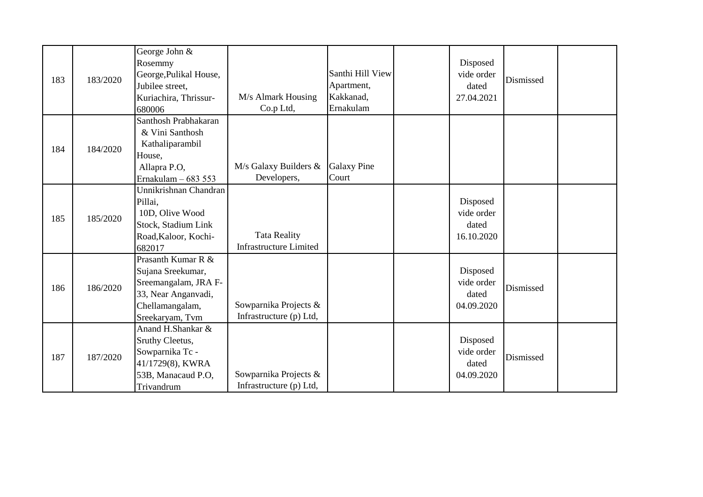| 183 | 183/2020 | George John &<br>Rosemmy<br>George, Pulikal House,<br>Jubilee street,<br>Kuriachira, Thrissur-<br>680006                     | M/s Almark Housing<br>Co.p Ltd,                      | Santhi Hill View<br>Apartment,<br>Kakkanad,<br>Ernakulam | Disposed<br>vide order<br>dated<br>27.04.2021 | Dismissed |  |
|-----|----------|------------------------------------------------------------------------------------------------------------------------------|------------------------------------------------------|----------------------------------------------------------|-----------------------------------------------|-----------|--|
| 184 | 184/2020 | Santhosh Prabhakaran<br>& Vini Santhosh<br>Kathaliparambil<br>House,<br>Allapra P.O,<br>Ernakulam - 683 553                  | M/s Galaxy Builders &<br>Developers,                 | <b>Galaxy Pine</b><br>Court                              |                                               |           |  |
| 185 | 185/2020 | Unnikrishnan Chandran<br>Pillai,<br>10D, Olive Wood<br>Stock, Stadium Link<br>Road, Kaloor, Kochi-<br>682017                 | <b>Tata Reality</b><br><b>Infrastructure Limited</b> |                                                          | Disposed<br>vide order<br>dated<br>16.10.2020 |           |  |
| 186 | 186/2020 | Prasanth Kumar R &<br>Sujana Sreekumar,<br>Sreemangalam, JRA F-<br>33, Near Anganvadi,<br>Chellamangalam,<br>Sreekaryam, Tvm | Sowparnika Projects &<br>Infrastructure (p) Ltd,     |                                                          | Disposed<br>vide order<br>dated<br>04.09.2020 | Dismissed |  |
| 187 | 187/2020 | Anand H.Shankar &<br>Sruthy Cleetus,<br>Sowparnika Tc -<br>41/1729(8), KWRA<br>53B, Manacaud P.O,<br>Trivandrum              | Sowparnika Projects &<br>Infrastructure (p) Ltd,     |                                                          | Disposed<br>vide order<br>dated<br>04.09.2020 | Dismissed |  |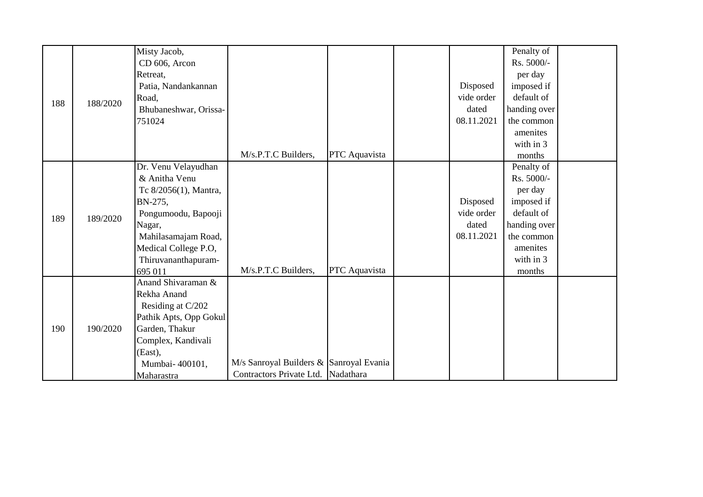|     |          | Misty Jacob,           |                                         |               |            | Penalty of   |  |
|-----|----------|------------------------|-----------------------------------------|---------------|------------|--------------|--|
|     |          | CD 606, Arcon          |                                         |               |            | Rs. 5000/-   |  |
|     |          | Retreat,               |                                         |               |            | per day      |  |
|     |          | Patia, Nandankannan    |                                         |               | Disposed   | imposed if   |  |
| 188 | 188/2020 | Road,                  |                                         |               | vide order | default of   |  |
|     |          | Bhubaneshwar, Orissa-  |                                         |               | dated      | handing over |  |
|     |          | 751024                 |                                         |               | 08.11.2021 | the common   |  |
|     |          |                        |                                         |               |            | amenites     |  |
|     |          |                        |                                         |               |            | with in 3    |  |
|     |          |                        | M/s.P.T.C Builders,                     | PTC Aquavista |            | months       |  |
|     |          | Dr. Venu Velayudhan    |                                         |               |            | Penalty of   |  |
|     |          | & Anitha Venu          |                                         |               |            | Rs. 5000/-   |  |
|     |          | Tc 8/2056(1), Mantra,  |                                         |               |            | per day      |  |
|     |          | BN-275,                |                                         |               | Disposed   | imposed if   |  |
| 189 | 189/2020 | Pongumoodu, Bapooji    |                                         |               | vide order | default of   |  |
|     |          | Nagar,                 |                                         |               | dated      | handing over |  |
|     |          | Mahilasamajam Road,    |                                         |               | 08.11.2021 | the common   |  |
|     |          | Medical College P.O,   |                                         |               |            | amenites     |  |
|     |          | Thiruvananthapuram-    |                                         |               |            | with in 3    |  |
|     |          | 695 011                | M/s.P.T.C Builders,                     | PTC Aquavista |            | months       |  |
|     |          | Anand Shivaraman &     |                                         |               |            |              |  |
|     |          | Rekha Anand            |                                         |               |            |              |  |
|     |          | Residing at C/202      |                                         |               |            |              |  |
|     |          | Pathik Apts, Opp Gokul |                                         |               |            |              |  |
| 190 | 190/2020 | Garden, Thakur         |                                         |               |            |              |  |
|     |          | Complex, Kandivali     |                                         |               |            |              |  |
|     |          | (East),                |                                         |               |            |              |  |
|     |          | Mumbai-400101,         | M/s Sanroyal Builders & Sanroyal Evania |               |            |              |  |
|     |          | Maharastra             | Contractors Private Ltd. Nadathara      |               |            |              |  |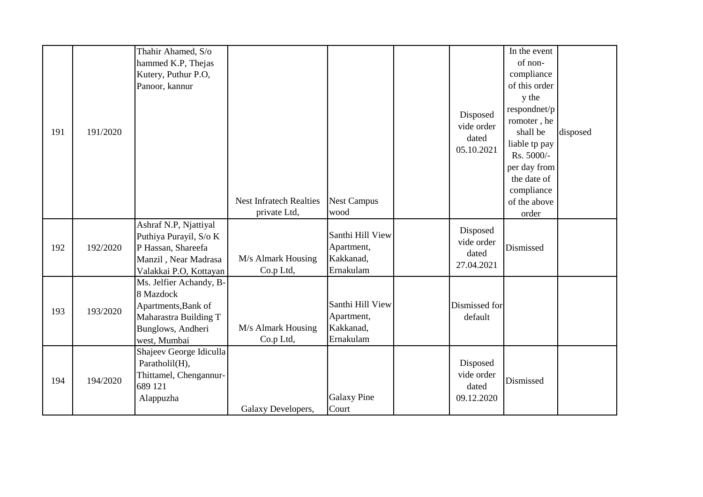| 191 | 191/2020 | Thahir Ahamed, S/o<br>hammed K.P, Thejas<br>Kutery, Puthur P.O,<br>Panoor, kannur                                         | <b>Nest Infratech Realties</b><br>private Ltd, | <b>Nest Campus</b><br>wood                               | Disposed<br>vide order<br>dated<br>05.10.2021 | In the event<br>of non-<br>compliance<br>of this order<br>y the<br>respondnet/p<br>romoter, he<br>shall be<br>liable tp pay<br>Rs. 5000/-<br>per day from<br>the date of<br>compliance<br>of the above<br>order | disposed |
|-----|----------|---------------------------------------------------------------------------------------------------------------------------|------------------------------------------------|----------------------------------------------------------|-----------------------------------------------|-----------------------------------------------------------------------------------------------------------------------------------------------------------------------------------------------------------------|----------|
| 192 | 192/2020 | Ashraf N.P, Njattiyal<br>Puthiya Purayil, S/o K<br>P Hassan, Shareefa<br>Manzil, Near Madrasa<br>Valakkai P.O, Kottayan   | M/s Almark Housing<br>Co.p Ltd,                | Santhi Hill View<br>Apartment,<br>Kakkanad,<br>Ernakulam | Disposed<br>vide order<br>dated<br>27.04.2021 | Dismissed                                                                                                                                                                                                       |          |
| 193 | 193/2020 | Ms. Jelfier Achandy, B-<br>8 Mazdock<br>Apartments, Bank of<br>Maharastra Building T<br>Bunglows, Andheri<br>west, Mumbai | M/s Almark Housing<br>Co.p Ltd,                | Santhi Hill View<br>Apartment,<br>Kakkanad,<br>Ernakulam | Dismissed for<br>default                      |                                                                                                                                                                                                                 |          |
| 194 | 194/2020 | Shajeev George Idiculla<br>Paratholil(H),<br>Thittamel, Chengannur-<br>689 121<br>Alappuzha                               | Galaxy Developers,                             | <b>Galaxy Pine</b><br>Court                              | Disposed<br>vide order<br>dated<br>09.12.2020 | Dismissed                                                                                                                                                                                                       |          |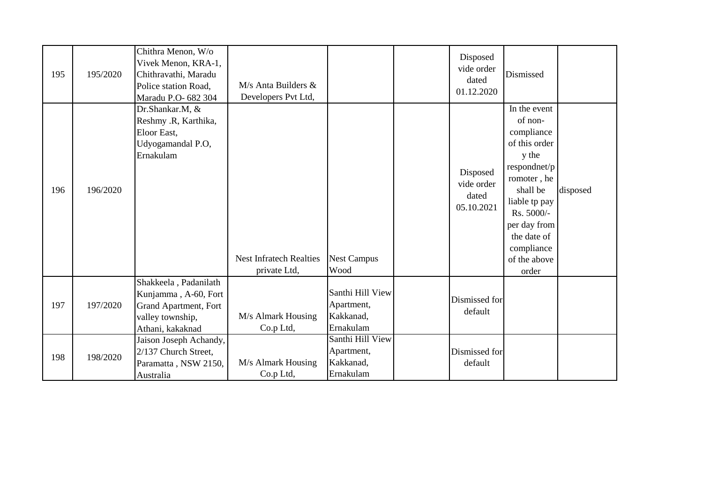| 195 | 195/2020 | Chithra Menon, W/o<br>Vivek Menon, KRA-1,<br>Chithravathi, Maradu<br>Police station Road,<br>Maradu P.O- 682 304 | $M/s$ Anta Builders $&$<br>Developers Pvt Ltd, |                                                          | Disposed<br>vide order<br>dated<br>01.12.2020 | Dismissed                                                                                                                                                                                                       |          |
|-----|----------|------------------------------------------------------------------------------------------------------------------|------------------------------------------------|----------------------------------------------------------|-----------------------------------------------|-----------------------------------------------------------------------------------------------------------------------------------------------------------------------------------------------------------------|----------|
| 196 | 196/2020 | Dr.Shankar.M, &<br>Reshmy .R, Karthika,<br>Eloor East,<br>Udyogamandal P.O,<br>Ernakulam                         | <b>Nest Infratech Realties</b><br>private Ltd, | <b>Nest Campus</b><br>Wood                               | Disposed<br>vide order<br>dated<br>05.10.2021 | In the event<br>of non-<br>compliance<br>of this order<br>y the<br>respondnet/p<br>romoter, he<br>shall be<br>liable tp pay<br>Rs. 5000/-<br>per day from<br>the date of<br>compliance<br>of the above<br>order | disposed |
| 197 | 197/2020 | Shakkeela, Padanilath<br>Kunjamma, A-60, Fort<br>Grand Apartment, Fort<br>valley township,<br>Athani, kakaknad   | M/s Almark Housing<br>Co.p Ltd,                | Santhi Hill View<br>Apartment,<br>Kakkanad,<br>Ernakulam | Dismissed for<br>default                      |                                                                                                                                                                                                                 |          |
| 198 | 198/2020 | Jaison Joseph Achandy,<br>2/137 Church Street,<br>Paramatta, NSW 2150,<br>Australia                              | M/s Almark Housing<br>Co.p Ltd,                | Santhi Hill View<br>Apartment,<br>Kakkanad,<br>Ernakulam | Dismissed for<br>default                      |                                                                                                                                                                                                                 |          |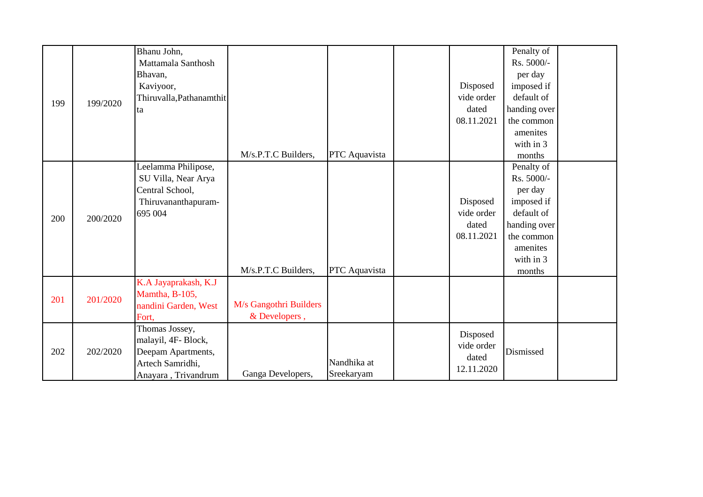| 199 | 199/2020 | Bhanu John,<br>Mattamala Santhosh<br>Bhavan,<br>Kaviyoor,<br>Thiruvalla, Pathanamthit<br>ta           | M/s.P.T.C Builders,                     | PTC Aquavista             | Disposed<br>vide order<br>dated<br>08.11.2021 | Penalty of<br>Rs. 5000/-<br>per day<br>imposed if<br>default of<br>handing over<br>the common<br>amenites<br>with in 3<br>months |  |
|-----|----------|-------------------------------------------------------------------------------------------------------|-----------------------------------------|---------------------------|-----------------------------------------------|----------------------------------------------------------------------------------------------------------------------------------|--|
| 200 | 200/2020 | Leelamma Philipose,<br>SU Villa, Near Arya<br>Central School,<br>Thiruvananthapuram-<br>695 004       | M/s.P.T.C Builders,                     | PTC Aquavista             | Disposed<br>vide order<br>dated<br>08.11.2021 | Penalty of<br>Rs. 5000/-<br>per day<br>imposed if<br>default of<br>handing over<br>the common<br>amenites<br>with in 3<br>months |  |
| 201 | 201/2020 | K.A Jayaprakash, K.J<br>Mamtha, B-105,<br>nandini Garden, West<br>Fort,                               | M/s Gangothri Builders<br>& Developers, |                           |                                               |                                                                                                                                  |  |
| 202 | 202/2020 | Thomas Jossey,<br>malayil, 4F-Block,<br>Deepam Apartments,<br>Artech Samridhi,<br>Anayara, Trivandrum | Ganga Developers,                       | Nandhika at<br>Sreekaryam | Disposed<br>vide order<br>dated<br>12.11.2020 | Dismissed                                                                                                                        |  |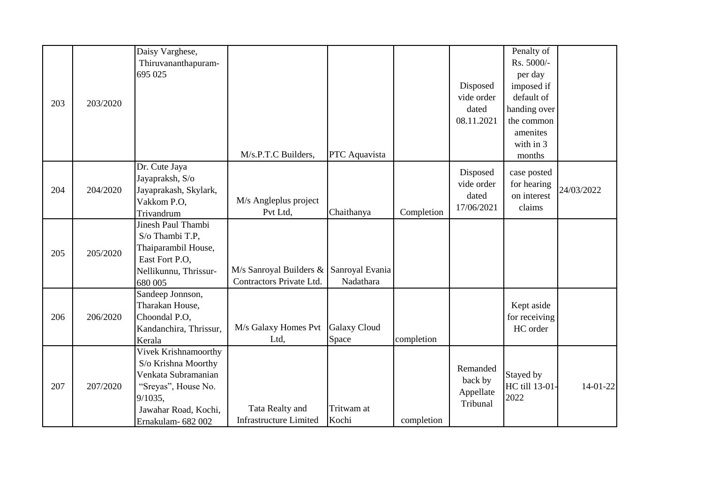|     |          | Daisy Varghese,        |                                         |                     |            |            | Penalty of     |            |
|-----|----------|------------------------|-----------------------------------------|---------------------|------------|------------|----------------|------------|
|     |          | Thiruvananthapuram-    |                                         |                     |            |            | Rs. 5000/-     |            |
|     |          | 695 025                |                                         |                     |            |            | per day        |            |
|     |          |                        |                                         |                     |            | Disposed   | imposed if     |            |
|     |          |                        |                                         |                     |            | vide order | default of     |            |
| 203 | 203/2020 |                        |                                         |                     |            | dated      | handing over   |            |
|     |          |                        |                                         |                     |            | 08.11.2021 | the common     |            |
|     |          |                        |                                         |                     |            |            | amenites       |            |
|     |          |                        |                                         |                     |            |            | with in 3      |            |
|     |          |                        | M/s.P.T.C Builders,                     | PTC Aquavista       |            |            | months         |            |
|     |          | Dr. Cute Jaya          |                                         |                     |            | Disposed   | case posted    |            |
|     |          | Jayapraksh, S/o        |                                         |                     |            | vide order | for hearing    |            |
| 204 | 204/2020 | Jayaprakash, Skylark,  |                                         |                     |            | dated      | on interest    | 24/03/2022 |
|     |          | Vakkom P.O,            | M/s Angleplus project                   |                     |            | 17/06/2021 | claims         |            |
|     |          | Trivandrum             | Pvt Ltd,                                | Chaithanya          | Completion |            |                |            |
|     |          | Jinesh Paul Thambi     |                                         |                     |            |            |                |            |
|     |          | S/o Thambi T.P,        |                                         |                     |            |            |                |            |
| 205 | 205/2020 | Thaiparambil House,    |                                         |                     |            |            |                |            |
|     |          | East Fort P.O.         |                                         |                     |            |            |                |            |
|     |          | Nellikunnu, Thrissur-  | M/s Sanroyal Builders & Sanroyal Evania |                     |            |            |                |            |
|     |          | 680 005                | Contractors Private Ltd.                | Nadathara           |            |            |                |            |
|     |          | Sandeep Jonnson,       |                                         |                     |            |            |                |            |
|     |          | Tharakan House,        |                                         |                     |            |            | Kept aside     |            |
| 206 | 206/2020 | Choondal P.O,          |                                         |                     |            |            | for receiving  |            |
|     |          | Kandanchira, Thrissur, | M/s Galaxy Homes Pvt                    | <b>Galaxy Cloud</b> |            |            | HC order       |            |
|     |          | Kerala                 | Ltd,                                    | Space               | completion |            |                |            |
|     |          | Vivek Krishnamoorthy   |                                         |                     |            |            |                |            |
|     |          | S/o Krishna Moorthy    |                                         |                     |            | Remanded   |                |            |
|     |          | Venkata Subramanian    |                                         |                     |            | back by    | Stayed by      |            |
| 207 | 207/2020 | "Sreyas", House No.    |                                         |                     |            | Appellate  | HC till 13-01- | $14-01-22$ |
|     |          | 9/1035,                |                                         |                     |            | Tribunal   | 2022           |            |
|     |          | Jawahar Road, Kochi,   | Tata Realty and                         | Tritwam at          |            |            |                |            |
|     |          | Ernakulam- 682 002     | <b>Infrastructure Limited</b>           | Kochi               | completion |            |                |            |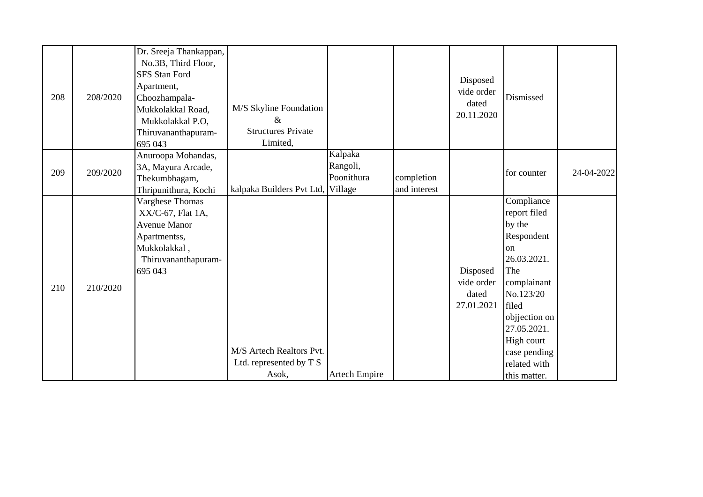| 208 | 208/2020 | Dr. Sreeja Thankappan,<br>No.3B, Third Floor,<br><b>SFS Stan Ford</b><br>Apartment,<br>Choozhampala-<br>Mukkolakkal Road,<br>Mukkolakkal P.O,<br>Thiruvananthapuram-<br>695 043 | M/S Skyline Foundation<br>$\mathcal{R}_{\mathcal{L}}$<br><b>Structures Private</b><br>Limited, |                                   |                            | Disposed<br>vide order<br>dated<br>20.11.2020 | Dismissed                                                                                                                                                                                                                    |            |
|-----|----------|---------------------------------------------------------------------------------------------------------------------------------------------------------------------------------|------------------------------------------------------------------------------------------------|-----------------------------------|----------------------------|-----------------------------------------------|------------------------------------------------------------------------------------------------------------------------------------------------------------------------------------------------------------------------------|------------|
| 209 | 209/2020 | Anuroopa Mohandas,<br>3A, Mayura Arcade,<br>Thekumbhagam,<br>Thripunithura, Kochi                                                                                               | kalpaka Builders Pvt Ltd, Village                                                              | Kalpaka<br>Rangoli,<br>Poonithura | completion<br>and interest |                                               | for counter                                                                                                                                                                                                                  | 24-04-2022 |
| 210 | 210/2020 | Varghese Thomas<br>$XX/C-67$ , Flat 1A,<br><b>Avenue Manor</b><br>Apartmentss,<br>Mukkolakkal,<br>Thiruvananthapuram-<br>695 043                                                | M/S Artech Realtors Pvt.<br>Ltd. represented by T S<br>Asok,                                   | <b>Artech Empire</b>              |                            | Disposed<br>vide order<br>dated<br>27.01.2021 | Compliance<br>report filed<br>by the<br>Respondent<br><sub>on</sub><br>26.03.2021.<br>The<br>complainant<br>No.123/20<br>filed<br>objjection on<br>27.05.2021.<br>High court<br>case pending<br>related with<br>this matter. |            |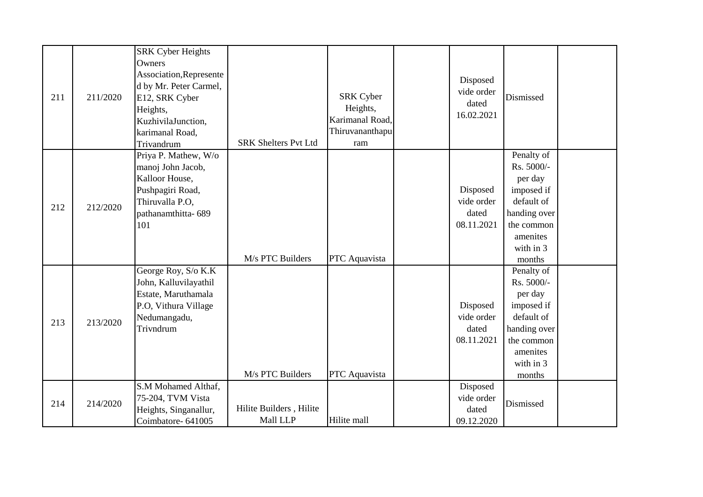| 211 | 211/2020 | <b>SRK Cyber Heights</b><br>Owners<br>Association, Represente<br>d by Mr. Peter Carmel,<br>E12, SRK Cyber<br>Heights,<br>KuzhivilaJunction,<br>karimanal Road,<br>Trivandrum | <b>SRK Shelters Pvt Ltd</b>         | <b>SRK Cyber</b><br>Heights,<br>Karimanal Road,<br>Thiruvananthapu<br>ram | Disposed<br>vide order<br>dated<br>16.02.2021 | Dismissed                                                                                                                        |  |
|-----|----------|------------------------------------------------------------------------------------------------------------------------------------------------------------------------------|-------------------------------------|---------------------------------------------------------------------------|-----------------------------------------------|----------------------------------------------------------------------------------------------------------------------------------|--|
| 212 | 212/2020 | Priya P. Mathew, W/o<br>manoj John Jacob,<br>Kalloor House,<br>Pushpagiri Road,<br>Thiruvalla P.O,<br>pathanamthitta-689<br>101                                              | M/s PTC Builders                    | PTC Aquavista                                                             | Disposed<br>vide order<br>dated<br>08.11.2021 | Penalty of<br>Rs. 5000/-<br>per day<br>imposed if<br>default of<br>handing over<br>the common<br>amenites<br>with in 3<br>months |  |
| 213 | 213/2020 | George Roy, S/o K.K<br>John, Kalluvilayathil<br>Estate, Maruthamala<br>P.O, Vithura Village<br>Nedumangadu,<br>Trivndrum                                                     | M/s PTC Builders                    | PTC Aquavista                                                             | Disposed<br>vide order<br>dated<br>08.11.2021 | Penalty of<br>Rs. 5000/-<br>per day<br>imposed if<br>default of<br>handing over<br>the common<br>amenites<br>with in 3<br>months |  |
| 214 | 214/2020 | S.M Mohamed Althaf,<br>75-204, TVM Vista<br>Heights, Singanallur,<br>Coimbatore-641005                                                                                       | Hilite Builders, Hilite<br>Mall LLP | Hilite mall                                                               | Disposed<br>vide order<br>dated<br>09.12.2020 | Dismissed                                                                                                                        |  |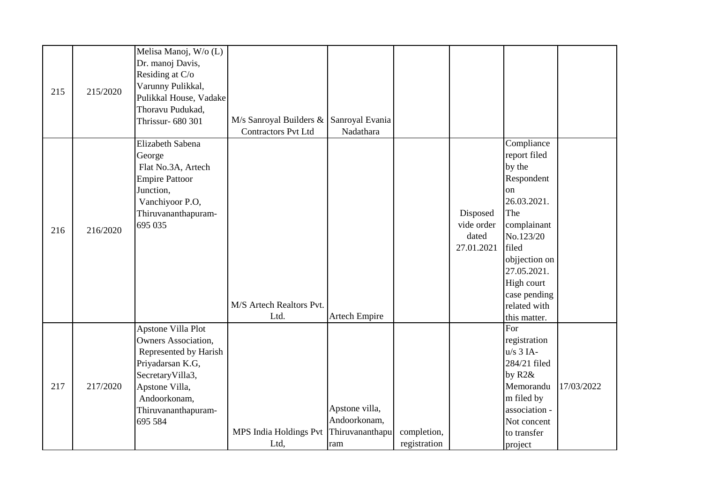| 215 | 215/2020 | Melisa Manoj, W/o (L)<br>Dr. manoj Davis,<br>Residing at C/o<br>Varunny Pulikkal,<br>Pulikkal House, Vadake<br>Thoravu Pudukad,<br>Thrissur- 680 301                                  | $M/s$ Sanroyal Builders & Sanroyal Evania<br><b>Contractors Pvt Ltd</b> | Nadathara                                                |                             |                                               |                                                                                                                                                                                                                              |            |
|-----|----------|---------------------------------------------------------------------------------------------------------------------------------------------------------------------------------------|-------------------------------------------------------------------------|----------------------------------------------------------|-----------------------------|-----------------------------------------------|------------------------------------------------------------------------------------------------------------------------------------------------------------------------------------------------------------------------------|------------|
| 216 | 216/2020 | Elizabeth Sabena<br>George<br>Flat No.3A, Artech<br><b>Empire Pattoor</b><br>Junction,<br>Vanchiyoor P.O,<br>Thiruvananthapuram-<br>695 035                                           | M/S Artech Realtors Pvt.<br>Ltd.                                        | <b>Artech Empire</b>                                     |                             | Disposed<br>vide order<br>dated<br>27.01.2021 | Compliance<br>report filed<br>by the<br>Respondent<br><sub>on</sub><br>26.03.2021.<br>The<br>complainant<br>No.123/20<br>filed<br>objjection on<br>27.05.2021.<br>High court<br>case pending<br>related with<br>this matter. |            |
| 217 | 217/2020 | Apstone Villa Plot<br><b>Owners Association,</b><br>Represented by Harish<br>Priyadarsan K.G,<br>SecretaryVilla3,<br>Apstone Villa,<br>Andoorkonam,<br>Thiruvananthapuram-<br>695 584 | MPS India Holdings Pvt<br>Ltd,                                          | Apstone villa,<br>Andoorkonam,<br>Thiruvananthapu<br>ram | completion,<br>registration |                                               | For<br>registration<br>$u/s$ 3 IA-<br>284/21 filed<br>by $R2&$<br>Memorandu<br>m filed by<br>association -<br>Not concent<br>to transfer<br>project                                                                          | 17/03/2022 |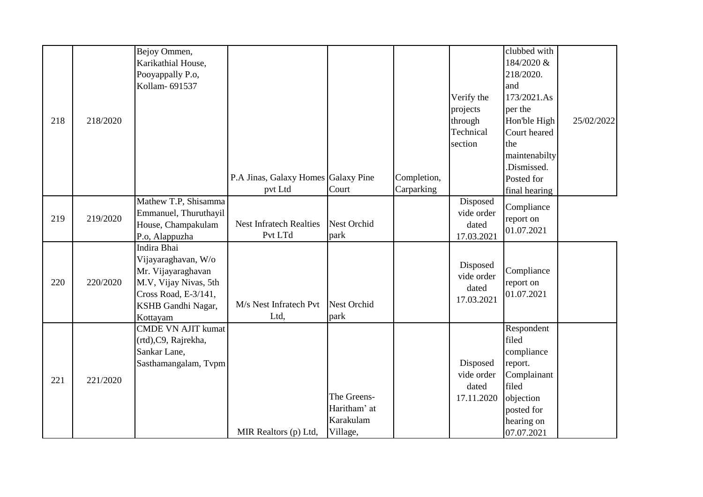|     |          | Bejoy Ommen,              |                                     |                    |             |            | clubbed with         |            |
|-----|----------|---------------------------|-------------------------------------|--------------------|-------------|------------|----------------------|------------|
|     |          | Karikathial House,        |                                     |                    |             |            | 184/2020 &           |            |
|     |          | Pooyappally P.o,          |                                     |                    |             |            | 218/2020.            |            |
|     |          | Kollam- 691537            |                                     |                    |             |            | land                 |            |
|     |          |                           |                                     |                    |             | Verify the | 173/2021.As          |            |
|     |          |                           |                                     |                    |             | projects   | per the              |            |
| 218 | 218/2020 |                           |                                     |                    |             | through    | Hon'ble High         | 25/02/2022 |
|     |          |                           |                                     |                    |             | Technical  | Court heared         |            |
|     |          |                           |                                     |                    |             | section    | the                  |            |
|     |          |                           |                                     |                    |             |            | maintenabilty        |            |
|     |          |                           |                                     |                    |             |            | .Dismissed.          |            |
|     |          |                           | P.A Jinas, Galaxy Homes Galaxy Pine |                    | Completion, |            | Posted for           |            |
|     |          |                           | pvt Ltd                             | Court              | Carparking  |            | final hearing        |            |
|     |          | Mathew T.P, Shisamma      |                                     |                    |             | Disposed   | Compliance           |            |
| 219 | 219/2020 | Emmanuel, Thuruthayil     |                                     |                    |             | vide order | report on            |            |
|     |          | House, Champakulam        | <b>Nest Infratech Realties</b>      | Nest Orchid        |             | dated      | 01.07.2021           |            |
|     |          | P.o, Alappuzha            | Pvt LTd                             | park               |             | 17.03.2021 |                      |            |
|     |          | Indira Bhai               |                                     |                    |             |            |                      |            |
|     |          | Vijayaraghavan, W/o       |                                     |                    |             | Disposed   |                      |            |
|     |          | Mr. Vijayaraghavan        |                                     |                    |             | vide order | Compliance           |            |
| 220 | 220/2020 | M.V, Vijay Nivas, 5th     |                                     |                    |             | dated      | report on            |            |
|     |          | Cross Road, E-3/141,      |                                     |                    |             | 17.03.2021 | 01.07.2021           |            |
|     |          | KSHB Gandhi Nagar,        | M/s Nest Infratech Pvt              | <b>Nest Orchid</b> |             |            |                      |            |
|     |          | Kottayam                  | Ltd,                                | park               |             |            |                      |            |
|     |          | <b>CMDE VN AJIT kumat</b> |                                     |                    |             |            | Respondent<br>filed  |            |
|     |          | (rtd), C9, Rajrekha,      |                                     |                    |             |            |                      |            |
|     |          | Sankar Lane,              |                                     |                    |             | Disposed   | compliance           |            |
|     |          | Sasthamangalam, Tvpm      |                                     |                    |             | vide order | report.              |            |
| 221 | 221/2020 |                           |                                     |                    |             | dated      | Complainant<br>filed |            |
|     |          |                           |                                     | The Greens-        |             | 17.11.2020 | objection            |            |
|     |          |                           |                                     | Haritham' at       |             |            | posted for           |            |
|     |          |                           |                                     | Karakulam          |             |            | hearing on           |            |
|     |          |                           | MIR Realtors (p) Ltd,               | Village,           |             |            | 07.07.2021           |            |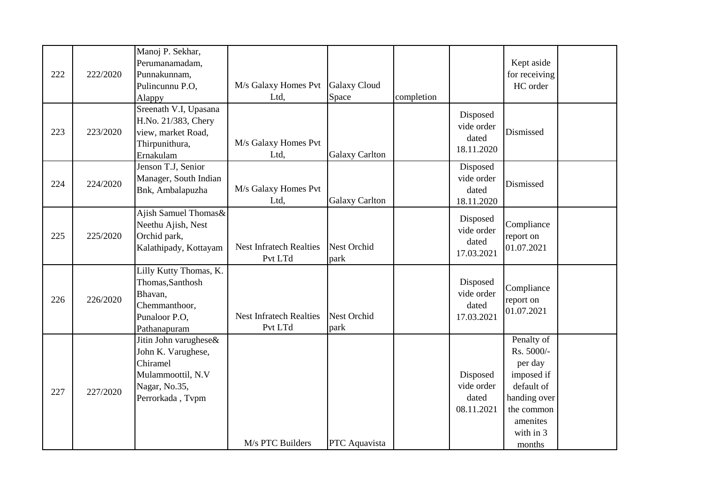| 222 | 222/2020 | Manoj P. Sekhar,<br>Perumanamadam,<br>Punnakunnam,<br>Pulincunnu P.O,<br>Alappy                                   | M/s Galaxy Homes Pvt<br>Ltd,              | <b>Galaxy Cloud</b><br>Space | completion |                                               | Kept aside<br>for receiving<br>HC order                                                                                          |  |
|-----|----------|-------------------------------------------------------------------------------------------------------------------|-------------------------------------------|------------------------------|------------|-----------------------------------------------|----------------------------------------------------------------------------------------------------------------------------------|--|
| 223 | 223/2020 | Sreenath V.I, Upasana<br>H.No. 21/383, Chery<br>view, market Road,<br>Thirpunithura,<br>Ernakulam                 | M/s Galaxy Homes Pvt<br>Ltd,              | <b>Galaxy Carlton</b>        |            | Disposed<br>vide order<br>dated<br>18.11.2020 | Dismissed                                                                                                                        |  |
| 224 | 224/2020 | Jenson T.J, Senior<br>Manager, South Indian<br>Bnk, Ambalapuzha                                                   | M/s Galaxy Homes Pvt<br>Ltd,              | <b>Galaxy Carlton</b>        |            | Disposed<br>vide order<br>dated<br>18.11.2020 | Dismissed                                                                                                                        |  |
| 225 | 225/2020 | Ajish Samuel Thomas&<br>Neethu Ajish, Nest<br>Orchid park,<br>Kalathipady, Kottayam                               | <b>Nest Infratech Realties</b><br>Pvt LTd | Nest Orchid<br>park          |            | Disposed<br>vide order<br>dated<br>17.03.2021 | Compliance<br>report on<br>01.07.2021                                                                                            |  |
| 226 | 226/2020 | Lilly Kutty Thomas, K.<br>Thomas, Santhosh<br>Bhavan,<br>Chemmanthoor,<br>Punaloor P.O,<br>Pathanapuram           | <b>Nest Infratech Realties</b><br>Pvt LTd | <b>Nest Orchid</b><br>park   |            | Disposed<br>vide order<br>dated<br>17.03.2021 | Compliance<br>report on<br>01.07.2021                                                                                            |  |
| 227 | 227/2020 | Jitin John varughese&<br>John K. Varughese,<br>Chiramel<br>Mulammoottil, N.V<br>Nagar, No.35,<br>Perrorkada, Tvpm | M/s PTC Builders                          | PTC Aquavista                |            | Disposed<br>vide order<br>dated<br>08.11.2021 | Penalty of<br>Rs. 5000/-<br>per day<br>imposed if<br>default of<br>handing over<br>the common<br>amenites<br>with in 3<br>months |  |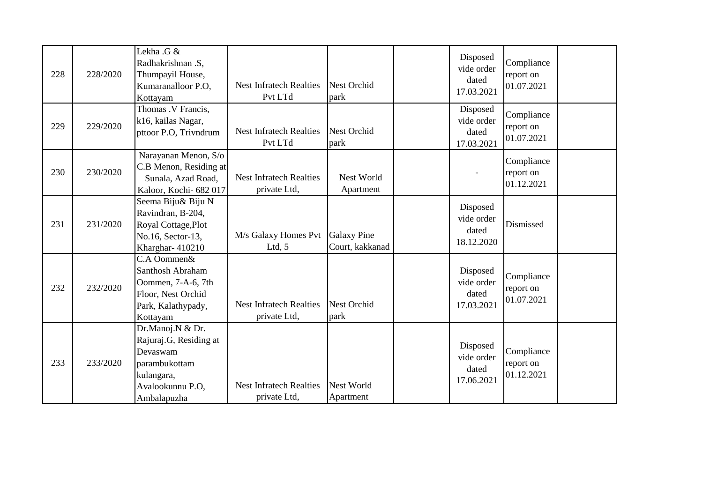| 228 | 228/2020 | Lekha .G &<br>Radhakrishnan .S,<br>Thumpayil House,<br>Kumaranalloor P.O.<br>Kottayam                                    | <b>Nest Infratech Realties</b><br>Pvt LTd      | <b>Nest Orchid</b><br>park            | Disposed<br>vide order<br>dated<br>17.03.2021 | Compliance<br>report on<br>01.07.2021 |  |
|-----|----------|--------------------------------------------------------------------------------------------------------------------------|------------------------------------------------|---------------------------------------|-----------------------------------------------|---------------------------------------|--|
| 229 | 229/2020 | Thomas .V Francis,<br>k16, kailas Nagar,<br>pttoor P.O, Trivndrum                                                        | <b>Nest Infratech Realties</b><br>Pvt LTd      | Nest Orchid<br>park                   | Disposed<br>vide order<br>dated<br>17.03.2021 | Compliance<br>report on<br>01.07.2021 |  |
| 230 | 230/2020 | Narayanan Menon, S/o<br>C.B Menon, Residing at<br>Sunala, Azad Road,<br>Kaloor, Kochi- 682 017                           | <b>Nest Infratech Realties</b><br>private Ltd, | Nest World<br>Apartment               |                                               | Compliance<br>report on<br>01.12.2021 |  |
| 231 | 231/2020 | Seema Biju& Biju N<br>Ravindran, B-204,<br>Royal Cottage, Plot<br>No.16, Sector-13,<br>Kharghar-410210                   | M/s Galaxy Homes Pvt<br>Ltd, $5$               | <b>Galaxy Pine</b><br>Court, kakkanad | Disposed<br>vide order<br>dated<br>18.12.2020 | Dismissed                             |  |
| 232 | 232/2020 | C.A Oommen&<br>Santhosh Abraham<br>Oommen, 7-A-6, 7th<br>Floor, Nest Orchid<br>Park, Kalathypady,<br>Kottayam            | <b>Nest Infratech Realties</b><br>private Ltd, | Nest Orchid<br>park                   | Disposed<br>vide order<br>dated<br>17.03.2021 | Compliance<br>report on<br>01.07.2021 |  |
| 233 | 233/2020 | Dr.Manoj.N & Dr.<br>Rajuraj.G, Residing at<br>Devaswam<br>parambukottam<br>kulangara,<br>Avalookunnu P.O,<br>Ambalapuzha | <b>Nest Infratech Realties</b><br>private Ltd, | Nest World<br>Apartment               | Disposed<br>vide order<br>dated<br>17.06.2021 | Compliance<br>report on<br>01.12.2021 |  |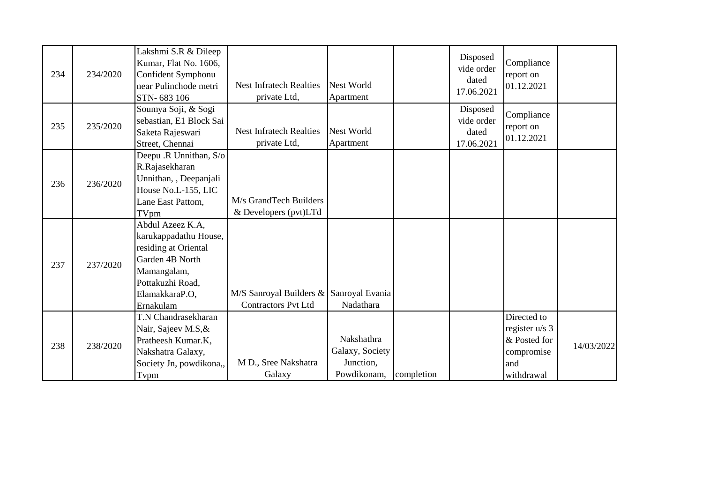| 234 | 234/2020 | Lakshmi S.R & Dileep<br>Kumar, Flat No. 1606,<br>Confident Symphonu<br>near Pulinchode metri<br>STN-683 106                                            | <b>Nest Infratech Realties</b><br>private Ltd,                        | Nest World<br>Apartment                                   |            | Disposed<br>vide order<br>dated<br>17.06.2021 | Compliance<br>report on<br>01.12.2021                                              |            |
|-----|----------|--------------------------------------------------------------------------------------------------------------------------------------------------------|-----------------------------------------------------------------------|-----------------------------------------------------------|------------|-----------------------------------------------|------------------------------------------------------------------------------------|------------|
| 235 | 235/2020 | Soumya Soji, & Sogi<br>sebastian, E1 Block Sai<br>Saketa Rajeswari<br>Street, Chennai                                                                  | <b>Nest Infratech Realties</b><br>private Ltd,                        | Nest World<br>Apartment                                   |            | Disposed<br>vide order<br>dated<br>17.06.2021 | Compliance<br>report on<br>01.12.2021                                              |            |
| 236 | 236/2020 | Deepu .R Unnithan, S/o<br>R.Rajasekharan<br>Unnithan, , Deepanjali<br>House No.L-155, LIC<br>Lane East Pattom,<br>TVpm                                 | M/s GrandTech Builders<br>& Developers (pvt)LTd                       |                                                           |            |                                               |                                                                                    |            |
| 237 | 237/2020 | Abdul Azeez K.A,<br>karukappadathu House,<br>residing at Oriental<br>Garden 4B North<br>Mamangalam,<br>Pottakuzhi Road,<br>ElamakkaraP.O,<br>Ernakulam | M/S Sanroyal Builders & Sanroyal Evania<br><b>Contractors Pvt Ltd</b> | Nadathara                                                 |            |                                               |                                                                                    |            |
| 238 | 238/2020 | T.N Chandrasekharan<br>Nair, Sajeev M.S, &<br>Pratheesh Kumar.K,<br>Nakshatra Galaxy,<br>Society Jn, powdikona,,<br>Tvpm                               | M D., Sree Nakshatra<br>Galaxy                                        | Nakshathra<br>Galaxy, Society<br>Junction,<br>Powdikonam, | completion |                                               | Directed to<br>register $u/s$ 3<br>& Posted for<br>compromise<br>and<br>withdrawal | 14/03/2022 |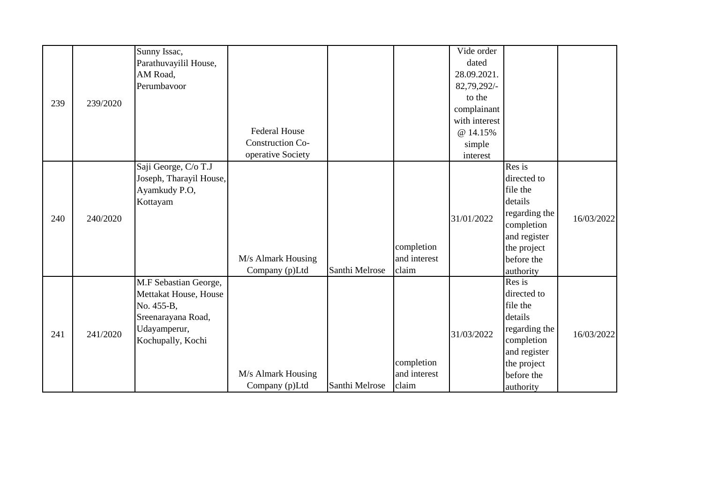|     |          | Sunny Issac,            |                         |                |              | Vide order    |               |            |
|-----|----------|-------------------------|-------------------------|----------------|--------------|---------------|---------------|------------|
|     |          | Parathuvayilil House,   |                         |                |              | dated         |               |            |
|     |          | AM Road,                |                         |                |              | 28.09.2021.   |               |            |
|     |          | Perumbavoor             |                         |                |              | 82,79,292/-   |               |            |
|     |          |                         |                         |                |              | to the        |               |            |
| 239 | 239/2020 |                         |                         |                |              | complainant   |               |            |
|     |          |                         |                         |                |              | with interest |               |            |
|     |          |                         | <b>Federal House</b>    |                |              | @ 14.15%      |               |            |
|     |          |                         | <b>Construction Co-</b> |                |              | simple        |               |            |
|     |          |                         | operative Society       |                |              | interest      |               |            |
|     |          | Saji George, C/o T.J    |                         |                |              |               | Res is        |            |
|     |          | Joseph, Tharayil House, |                         |                |              |               | directed to   |            |
|     |          | Ayamkudy P.O,           |                         |                |              |               | file the      |            |
|     |          | Kottayam                |                         |                |              |               | details       |            |
| 240 | 240/2020 |                         |                         |                |              | 31/01/2022    | regarding the | 16/03/2022 |
|     |          |                         |                         |                |              |               | completion    |            |
|     |          |                         |                         |                |              |               | and register  |            |
|     |          |                         |                         |                | completion   |               | the project   |            |
|     |          |                         | M/s Almark Housing      |                | and interest |               | before the    |            |
|     |          |                         | Company (p)Ltd          | Santhi Melrose | claim        |               | authority     |            |
|     |          | M.F Sebastian George,   |                         |                |              |               | Res is        |            |
|     |          | Mettakat House, House   |                         |                |              |               | directed to   |            |
|     |          | No. 455-B,              |                         |                |              |               | file the      |            |
|     |          | Sreenarayana Road,      |                         |                |              |               | details       |            |
| 241 | 241/2020 | Udayamperur,            |                         |                |              | 31/03/2022    | regarding the | 16/03/2022 |
|     |          | Kochupally, Kochi       |                         |                |              |               | completion    |            |
|     |          |                         |                         |                |              |               | and register  |            |
|     |          |                         |                         |                | completion   |               | the project   |            |
|     |          |                         | M/s Almark Housing      |                | and interest |               | before the    |            |
|     |          |                         | Company (p)Ltd          | Santhi Melrose | claim        |               | authority     |            |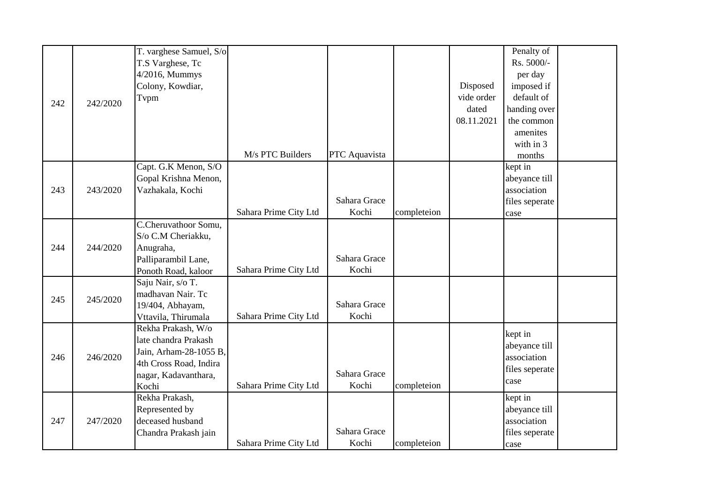|     |          | T. varghese Samuel, S/o |                       |               |             |            | Penalty of                                                                             |  |
|-----|----------|-------------------------|-----------------------|---------------|-------------|------------|----------------------------------------------------------------------------------------|--|
|     |          | T.S Varghese, Tc        |                       |               |             |            | Rs. 5000/-                                                                             |  |
|     |          | 4/2016, Mummys          |                       |               |             |            | per day                                                                                |  |
|     |          | Colony, Kowdiar,        |                       |               |             | Disposed   | imposed if                                                                             |  |
|     |          | Tvpm                    |                       |               |             | vide order | default of                                                                             |  |
| 242 | 242/2020 |                         |                       |               |             | dated      | handing over                                                                           |  |
|     |          |                         |                       |               |             | 08.11.2021 | the common                                                                             |  |
|     |          |                         |                       |               |             |            | amenites                                                                               |  |
|     |          |                         |                       |               |             |            | with in 3                                                                              |  |
|     |          |                         | M/s PTC Builders      | PTC Aquavista |             |            | months                                                                                 |  |
|     |          | Capt. G.K Menon, S/O    |                       |               |             |            | kept in                                                                                |  |
|     |          | Gopal Krishna Menon,    |                       |               |             |            | abeyance till                                                                          |  |
| 243 | 243/2020 | Vazhakala, Kochi        |                       |               |             |            | association                                                                            |  |
|     |          |                         |                       | Sahara Grace  |             |            | files seperate                                                                         |  |
|     |          |                         | Sahara Prime City Ltd | Kochi         | completeion |            | case                                                                                   |  |
|     |          | C.Cheruvathoor Somu,    |                       |               |             |            |                                                                                        |  |
|     |          | S/o C.M Cheriakku,      |                       |               |             |            |                                                                                        |  |
| 244 | 244/2020 | Anugraha,               |                       |               |             |            |                                                                                        |  |
|     |          | Palliparambil Lane,     |                       | Sahara Grace  |             |            |                                                                                        |  |
|     |          | Ponoth Road, kaloor     | Sahara Prime City Ltd | Kochi         |             |            |                                                                                        |  |
|     |          | Saju Nair, s/o T.       |                       |               |             |            |                                                                                        |  |
| 245 | 245/2020 | madhavan Nair. Tc       |                       |               |             |            |                                                                                        |  |
|     |          | 19/404, Abhayam,        |                       | Sahara Grace  |             |            |                                                                                        |  |
|     |          | Vttavila, Thirumala     | Sahara Prime City Ltd | Kochi         |             |            |                                                                                        |  |
|     |          | Rekha Prakash, W/o      |                       |               |             |            |                                                                                        |  |
|     |          | late chandra Prakash    |                       |               |             |            | abeyance till                                                                          |  |
| 246 | 246/2020 | Jain, Arham-28-1055 B,  |                       |               |             |            | association                                                                            |  |
|     |          | 4th Cross Road, Indira  |                       |               |             |            |                                                                                        |  |
|     |          | nagar, Kadavanthara,    |                       | Sahara Grace  |             |            | case                                                                                   |  |
|     |          | Kochi                   | Sahara Prime City Ltd | Kochi         | completeion |            |                                                                                        |  |
|     |          | Rekha Prakash,          |                       |               |             |            |                                                                                        |  |
|     |          | Represented by          |                       |               |             |            |                                                                                        |  |
| 247 | 247/2020 | deceased husband        |                       | Sahara Grace  |             |            |                                                                                        |  |
|     |          | Chandra Prakash jain    |                       |               |             |            | kept in<br>files seperate<br>kept in<br>abeyance till<br>association<br>files seperate |  |
|     |          |                         | Sahara Prime City Ltd | Kochi         | completeion |            | case                                                                                   |  |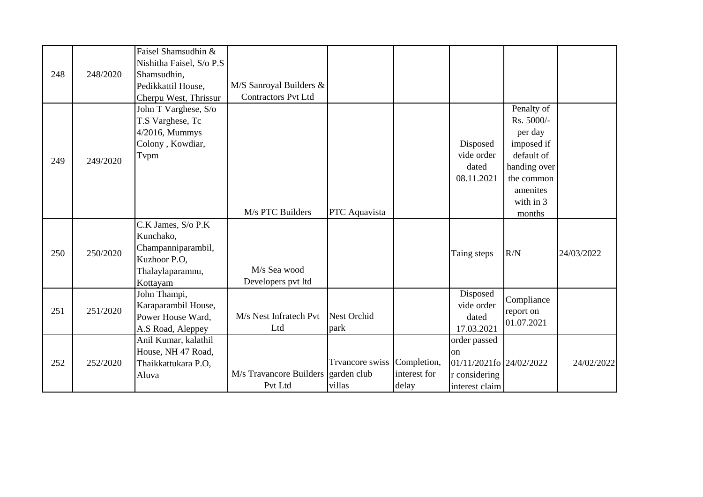| 248 | 248/2020 | Faisel Shamsudhin &<br>Nishitha Faisel, S/o P.S<br>Shamsudhin,<br>Pedikkattil House,                            | M/S Sanroyal Builders &<br><b>Contractors Pvt Ltd</b> |                                  |                                      |                                                                                  |                                                                                                                                  |            |
|-----|----------|-----------------------------------------------------------------------------------------------------------------|-------------------------------------------------------|----------------------------------|--------------------------------------|----------------------------------------------------------------------------------|----------------------------------------------------------------------------------------------------------------------------------|------------|
| 249 | 249/2020 | Cherpu West, Thrissur<br>John T Varghese, S/o<br>T.S Varghese, Tc<br>4/2016, Mummys<br>Colony, Kowdiar,<br>Tvpm | M/s PTC Builders                                      | PTC Aquavista                    |                                      | Disposed<br>vide order<br>dated<br>08.11.2021                                    | Penalty of<br>Rs. 5000/-<br>per day<br>imposed if<br>default of<br>handing over<br>the common<br>amenites<br>with in 3<br>months |            |
| 250 | 250/2020 | C.K James, S/o P.K<br>Kunchako,<br>Champanniparambil,<br>Kuzhoor P.O,<br>Thalaylaparamnu,<br>Kottayam           | M/s Sea wood<br>Developers pvt ltd                    |                                  |                                      | Taing steps                                                                      | R/N                                                                                                                              | 24/03/2022 |
| 251 | 251/2020 | John Thampi,<br>Karaparambil House,<br>Power House Ward,<br>A.S Road, Aleppey                                   | M/s Nest Infratech Pvt<br>Ltd                         | <b>Nest Orchid</b><br>park       |                                      | Disposed<br>vide order<br>dated<br>17.03.2021                                    | Compliance<br>report on<br>01.07.2021                                                                                            |            |
| 252 | 252/2020 | Anil Kumar, kalathil<br>House, NH 47 Road,<br>Thaikkattukara P.O,<br>Aluva                                      | M/s Travancore Builders garden club<br>Pvt Ltd        | <b>Trvancore</b> swiss<br>villas | Completion,<br>interest for<br>delay | order passed<br>on<br>01/11/2021fo 24/02/2022<br>r considering<br>interest claim |                                                                                                                                  | 24/02/2022 |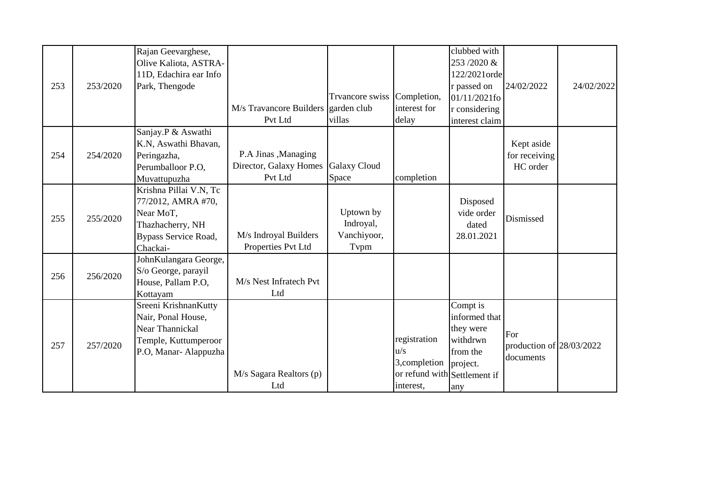| 253 | 253/2020 | Rajan Geevarghese,<br>Olive Kaliota, ASTRA-<br>11D, Edachira ear Info<br>Park, Thengode                           | M/s Travancore Builders garden club<br>Pvt Ltd            | Trvancore swiss<br>villas                     | Completion,<br>interest for<br>delay                                              | clubbed with<br>253/2020 &<br>122/2021orde<br>r passed on<br>$01/11/2021$ fo<br>r considering<br>interest claim | 24/02/2022                                   | 24/02/2022 |
|-----|----------|-------------------------------------------------------------------------------------------------------------------|-----------------------------------------------------------|-----------------------------------------------|-----------------------------------------------------------------------------------|-----------------------------------------------------------------------------------------------------------------|----------------------------------------------|------------|
| 254 | 254/2020 | Sanjay.P & Aswathi<br>K.N, Aswathi Bhavan,<br>Peringazha,<br>Perumballoor P.O.<br>Muvattupuzha                    | P.A Jinas , Managing<br>Director, Galaxy Homes<br>Pvt Ltd | <b>Galaxy Cloud</b><br>Space                  | completion                                                                        |                                                                                                                 | Kept aside<br>for receiving<br>HC order      |            |
| 255 | 255/2020 | Krishna Pillai V.N, Tc<br>77/2012, AMRA #70,<br>Near MoT,<br>Thazhacherry, NH<br>Bypass Service Road,<br>Chackai- | M/s Indroyal Builders<br>Properties Pvt Ltd               | Uptown by<br>Indroyal,<br>Vanchiyoor,<br>Tvpm |                                                                                   | Disposed<br>vide order<br>dated<br>28.01.2021                                                                   | Dismissed                                    |            |
| 256 | 256/2020 | JohnKulangara George,<br>S/o George, parayil<br>House, Pallam P.O,<br>Kottayam                                    | M/s Nest Infratech Pvt<br>Ltd                             |                                               |                                                                                   |                                                                                                                 |                                              |            |
| 257 | 257/2020 | Sreeni KrishnanKutty<br>Nair, Ponal House,<br>Near Thannickal<br>Temple, Kuttumperoor<br>P.O, Manar-Alappuzha     | M/s Sagara Realtors (p)<br>Ltd                            |                                               | registration<br>u/s<br>3, completion<br>or refund with Settlement if<br>interest, | Compt is<br>informed that<br>they were<br>withdrwn<br>from the<br>project.<br>any                               | For<br>production of 28/03/2022<br>documents |            |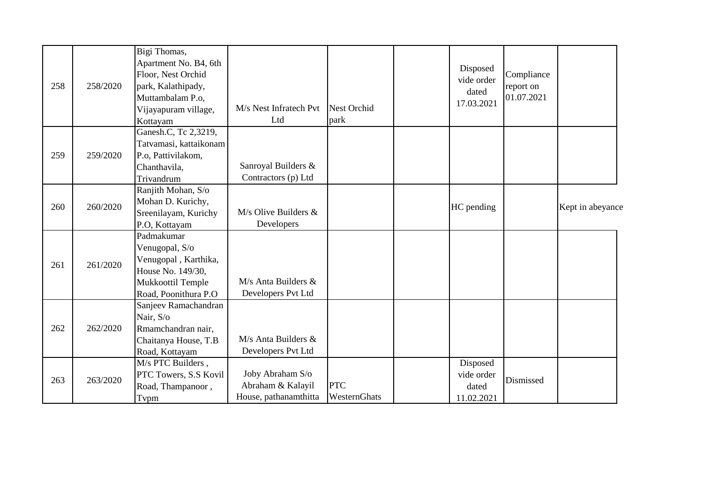| 258 | 258/2020 | Bigi Thomas,<br>Apartment No. B4, 6th<br>Floor, Nest Orchid<br>park, Kalathipady,<br>Muttambalam P.o,<br>Vijayapuram village,<br>Kottayam | M/s Nest Infratech Pvt<br>Ltd                                  | <b>Nest Orchid</b><br>park | Disposed<br>vide order<br>dated<br>17.03.2021 | Compliance<br>report on<br>01.07.2021 |                  |
|-----|----------|-------------------------------------------------------------------------------------------------------------------------------------------|----------------------------------------------------------------|----------------------------|-----------------------------------------------|---------------------------------------|------------------|
| 259 | 259/2020 | Ganesh.C, Tc 2,3219,<br>Tatvamasi, kattaikonam<br>P.o, Pattivilakom,<br>Chanthavila,<br>Trivandrum                                        | Sanroyal Builders &<br>Contractors (p) Ltd                     |                            |                                               |                                       |                  |
| 260 | 260/2020 | Ranjith Mohan, S/o<br>Mohan D. Kurichy,<br>Sreenilayam, Kurichy<br>P.O, Kottayam                                                          | $M/s$ Olive Builders &<br>Developers                           |                            | HC pending                                    |                                       | Kept in abeyance |
| 261 | 261/2020 | Padmakumar<br>Venugopal, S/o<br>Venugopal, Karthika,<br>House No. 149/30,<br>Mukkoottil Temple<br>Road, Poonithura P.O                    | $M/s$ Anta Builders $&$<br>Developers Pvt Ltd                  |                            |                                               |                                       |                  |
| 262 | 262/2020 | Sanjeev Ramachandran<br>Nair, S/o<br>Rmamchandran nair,<br>Chaitanya House, T.B<br>Road, Kottayam                                         | $M/s$ Anta Builders $&$<br>Developers Pvt Ltd                  |                            |                                               |                                       |                  |
| 263 | 263/2020 | M/s PTC Builders,<br>PTC Towers, S.S Kovil<br>Road, Thampanoor,<br>Tvpm                                                                   | Joby Abraham S/o<br>Abraham & Kalayil<br>House, pathanamthitta | <b>PTC</b><br>WesternGhats | Disposed<br>vide order<br>dated<br>11.02.2021 | Dismissed                             |                  |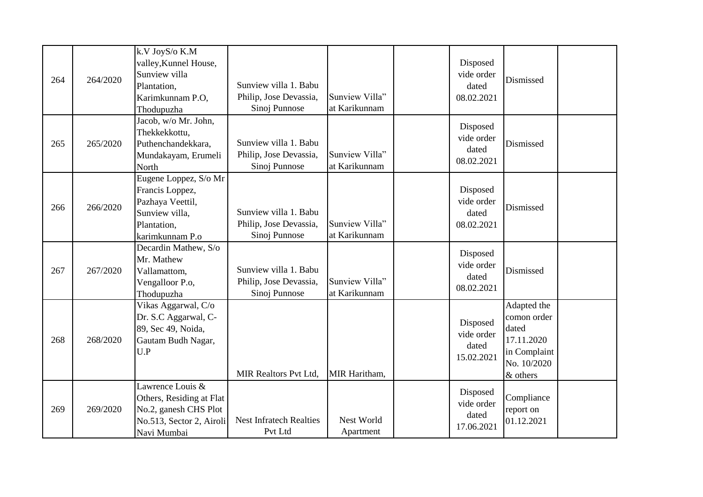| 264 | 264/2020 | k.V JoyS/o K.M<br>valley, Kunnel House,<br>Sunview villa<br>Plantation,<br>Karimkunnam P.O,<br>Thodupuzha        | Sunview villa 1. Babu<br>Philip, Jose Devassia,<br>Sinoj Punnose | Sunview Villa"<br>at Karikunnam | Disposed<br>vide order<br>dated<br>08.02.2021 | Dismissed                                                                                    |  |
|-----|----------|------------------------------------------------------------------------------------------------------------------|------------------------------------------------------------------|---------------------------------|-----------------------------------------------|----------------------------------------------------------------------------------------------|--|
| 265 | 265/2020 | Jacob, w/o Mr. John,<br>Thekkekkottu,<br>Puthenchandekkara,<br>Mundakayam, Erumeli<br>North                      | Sunview villa 1. Babu<br>Philip, Jose Devassia,<br>Sinoj Punnose | Sunview Villa"<br>at Karikunnam | Disposed<br>vide order<br>dated<br>08.02.2021 | Dismissed                                                                                    |  |
| 266 | 266/2020 | Eugene Loppez, S/o Mr<br>Francis Loppez,<br>Pazhaya Veettil,<br>Sunview villa,<br>Plantation,<br>karimkunnam P.o | Sunview villa 1. Babu<br>Philip, Jose Devassia,<br>Sinoj Punnose | Sunview Villa"<br>at Karikunnam | Disposed<br>vide order<br>dated<br>08.02.2021 | Dismissed                                                                                    |  |
| 267 | 267/2020 | Decardin Mathew, S/o<br>Mr. Mathew<br>Vallamattom,<br>Vengalloor P.o,<br>Thodupuzha                              | Sunview villa 1. Babu<br>Philip, Jose Devassia,<br>Sinoj Punnose | Sunview Villa"<br>at Karikunnam | Disposed<br>vide order<br>dated<br>08.02.2021 | Dismissed                                                                                    |  |
| 268 | 268/2020 | Vikas Aggarwal, C/o<br>Dr. S.C Aggarwal, C-<br>89, Sec 49, Noida,<br>Gautam Budh Nagar,<br>U.P                   | <b>MIR Realtors Pvt Ltd,</b>                                     | MIR Haritham,                   | Disposed<br>vide order<br>dated<br>15.02.2021 | Adapted the<br>comon order<br>dated<br>17.11.2020<br>in Complaint<br>No. 10/2020<br>& others |  |
| 269 | 269/2020 | Lawrence Louis &<br>Others, Residing at Flat<br>No.2, ganesh CHS Plot<br>No.513, Sector 2, Airoli<br>Navi Mumbai | <b>Nest Infratech Realties</b><br>Pvt Ltd                        | Nest World<br>Apartment         | Disposed<br>vide order<br>dated<br>17.06.2021 | Compliance<br>report on<br>01.12.2021                                                        |  |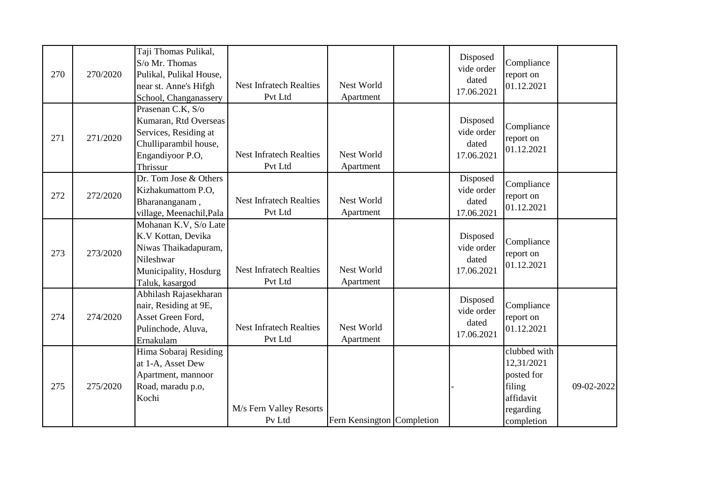| 270 | 270/2020 | Taji Thomas Pulikal,<br>S/o Mr. Thomas<br>Pulikal, Pulikal House,<br>near st. Anne's Hifgh<br>School, Changanassery          | <b>Nest Infratech Realties</b><br>Pvt Ltd | Nest World<br>Apartment    | Disposed<br>vide order<br>dated<br>17.06.2021 | Compliance<br>report on<br>01.12.2021                                                      |            |
|-----|----------|------------------------------------------------------------------------------------------------------------------------------|-------------------------------------------|----------------------------|-----------------------------------------------|--------------------------------------------------------------------------------------------|------------|
| 271 | 271/2020 | Prasenan C.K, S/o<br>Kumaran, Rtd Overseas<br>Services, Residing at<br>Chulliparambil house,<br>Engandiyoor P.O,<br>Thrissur | <b>Nest Infratech Realties</b><br>Pvt Ltd | Nest World<br>Apartment    | Disposed<br>vide order<br>dated<br>17.06.2021 | Compliance<br>report on<br>01.12.2021                                                      |            |
| 272 | 272/2020 | Dr. Tom Jose & Others<br>Kizhakumattom P.O,<br>Bharananganam,<br>village, Meenachil, Pala                                    | <b>Nest Infratech Realties</b><br>Pvt Ltd | Nest World<br>Apartment    | Disposed<br>vide order<br>dated<br>17.06.2021 | Compliance<br>report on<br>01.12.2021                                                      |            |
| 273 | 273/2020 | Mohanan K.V, S/o Late<br>K.V Kottan, Devika<br>Niwas Thaikadapuram,<br>Nileshwar<br>Municipality, Hosdurg<br>Taluk, kasargod | <b>Nest Infratech Realties</b><br>Pvt Ltd | Nest World<br>Apartment    | Disposed<br>vide order<br>dated<br>17.06.2021 | Compliance<br>report on<br>01.12.2021                                                      |            |
| 274 | 274/2020 | Abhilash Rajasekharan<br>nair, Residing at 9E,<br>Asset Green Ford,<br>Pulinchode, Aluva,<br>Ernakulam                       | <b>Nest Infratech Realties</b><br>Pvt Ltd | Nest World<br>Apartment    | Disposed<br>vide order<br>dated<br>17.06.2021 | Compliance<br>report on<br>01.12.2021                                                      |            |
| 275 | 275/2020 | Hima Sobaraj Residing<br>at 1-A, Asset Dew<br>Apartment, mannoor<br>Road, maradu p.o,<br>Kochi                               | M/s Fern Valley Resorts<br>Pv Ltd         | Fern Kensington Completion |                                               | clubbed with<br>12,31/2021<br>posted for<br>filing<br>affidavit<br>regarding<br>completion | 09-02-2022 |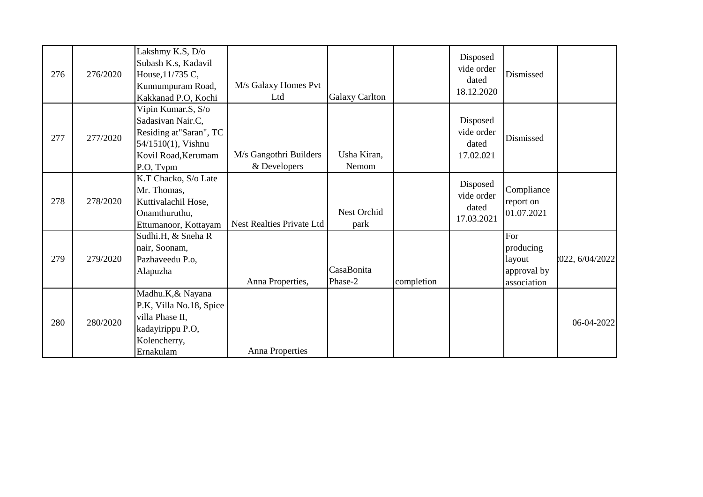|     |          | Lakshmy K.S, D/o        |                                  |                       |            |            |             |                |
|-----|----------|-------------------------|----------------------------------|-----------------------|------------|------------|-------------|----------------|
|     |          | Subash K.s, Kadavil     |                                  |                       |            | Disposed   |             |                |
| 276 | 276/2020 | House, 11/735 C,        |                                  |                       |            | vide order | Dismissed   |                |
|     |          | Kunnumpuram Road,       | M/s Galaxy Homes Pvt             |                       |            | dated      |             |                |
|     |          | Kakkanad P.O, Kochi     | Ltd                              | <b>Galaxy Carlton</b> |            | 18.12.2020 |             |                |
|     |          | Vipin Kumar.S, S/o      |                                  |                       |            |            |             |                |
|     |          | Sadasivan Nair.C,       |                                  |                       |            | Disposed   |             |                |
| 277 | 277/2020 | Residing at"Saran", TC  |                                  |                       |            | vide order | Dismissed   |                |
|     |          | 54/1510(1), Vishnu      |                                  |                       |            | dated      |             |                |
|     |          | Kovil Road, Kerumam     | M/s Gangothri Builders           | Usha Kiran,           |            | 17.02.021  |             |                |
|     |          | P.O, Tvpm               | & Developers                     | Nemom                 |            |            |             |                |
|     |          | K.T Chacko, S/o Late    |                                  |                       |            | Disposed   |             |                |
|     | 278/2020 | Mr. Thomas,             |                                  |                       |            | vide order | Compliance  |                |
| 278 |          | Kuttivalachil Hose,     |                                  |                       |            | dated      | report on   |                |
|     |          | Onamthuruthu,           |                                  | Nest Orchid           |            | 17.03.2021 | 01.07.2021  |                |
|     |          | Ettumanoor, Kottayam    | <b>Nest Realties Private Ltd</b> | park                  |            |            |             |                |
|     |          | Sudhi.H, & Sneha R      |                                  |                       |            |            | For         |                |
|     |          | nair, Soonam,           |                                  |                       |            |            | producing   |                |
| 279 | 279/2020 | Pazhaveedu P.o,         |                                  |                       |            |            | layout      | 022, 6/04/2022 |
|     |          | Alapuzha                |                                  | CasaBonita            |            |            | approval by |                |
|     |          |                         | Anna Properties,                 | Phase-2               | completion |            | association |                |
|     |          | Madhu.K,& Nayana        |                                  |                       |            |            |             |                |
|     |          | P.K, Villa No.18, Spice |                                  |                       |            |            |             |                |
| 280 | 280/2020 | villa Phase II,         |                                  |                       |            |            |             | 06-04-2022     |
|     |          | kadayirippu P.O,        |                                  |                       |            |            |             |                |
|     |          | Kolencherry,            |                                  |                       |            |            |             |                |
|     |          | Ernakulam               | <b>Anna Properties</b>           |                       |            |            |             |                |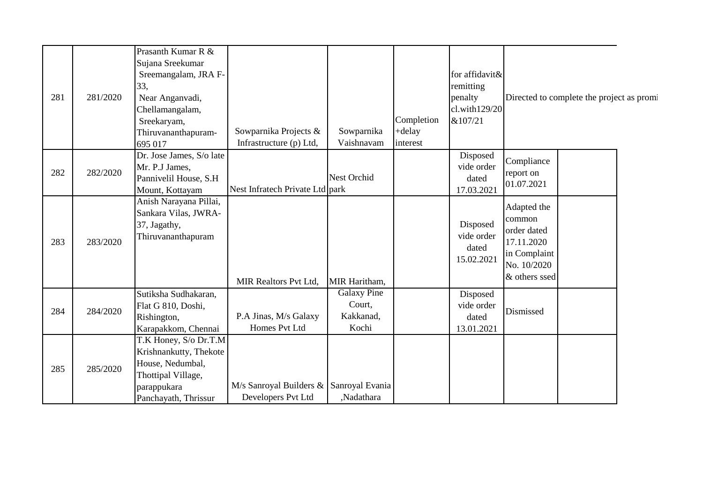| 281 | 281/2020 | Prasanth Kumar R &<br>Sujana Sreekumar<br>Sreemangalam, JRA F-<br>33,<br>Near Anganvadi,<br>Chellamangalam,<br>Sreekaryam,<br>Thiruvananthapuram- | Sowparnika Projects &                                         | Sowparnika                                         | Completion<br>+delay | for affidavit&<br>remitting<br>penalty<br>cl. with 129/20<br>&107/21 |                                                                                                    | Directed to complete the project as promi |
|-----|----------|---------------------------------------------------------------------------------------------------------------------------------------------------|---------------------------------------------------------------|----------------------------------------------------|----------------------|----------------------------------------------------------------------|----------------------------------------------------------------------------------------------------|-------------------------------------------|
| 282 | 282/2020 | 695 017<br>Dr. Jose James, S/o late<br>Mr. P.J James,<br>Pannivelil House, S.H<br>Mount, Kottayam                                                 | Infrastructure (p) Ltd,<br>Nest Infratech Private Ltd park    | Vaishnavam<br><b>Nest Orchid</b>                   | interest             | Disposed<br>vide order<br>dated<br>17.03.2021                        | Compliance<br>report on<br>01.07.2021                                                              |                                           |
| 283 | 283/2020 | Anish Narayana Pillai,<br>Sankara Vilas, JWRA-<br>37, Jagathy,<br>Thiruvananthapuram                                                              | MIR Realtors Pvt Ltd,                                         | MIR Haritham,                                      |                      | Disposed<br>vide order<br>dated<br>15.02.2021                        | Adapted the<br>common<br>order dated<br>17.11.2020<br>in Complaint<br>No. 10/2020<br>& others ssed |                                           |
| 284 | 284/2020 | Sutiksha Sudhakaran,<br>Flat G 810, Doshi,<br>Rishington,<br>Karapakkom, Chennai                                                                  | P.A Jinas, M/s Galaxy<br>Homes Pvt Ltd                        | <b>Galaxy Pine</b><br>Court,<br>Kakkanad,<br>Kochi |                      | Disposed<br>vide order<br>dated<br>13.01.2021                        | Dismissed                                                                                          |                                           |
| 285 | 285/2020 | T.K Honey, S/o Dr.T.M<br>Krishnankutty, Thekote<br>House, Nedumbal,<br>Thottipal Village,<br>parappukara<br>Panchayath, Thrissur                  | M/s Sanroyal Builders & Sanroyal Evania<br>Developers Pvt Ltd | ,Nadathara                                         |                      |                                                                      |                                                                                                    |                                           |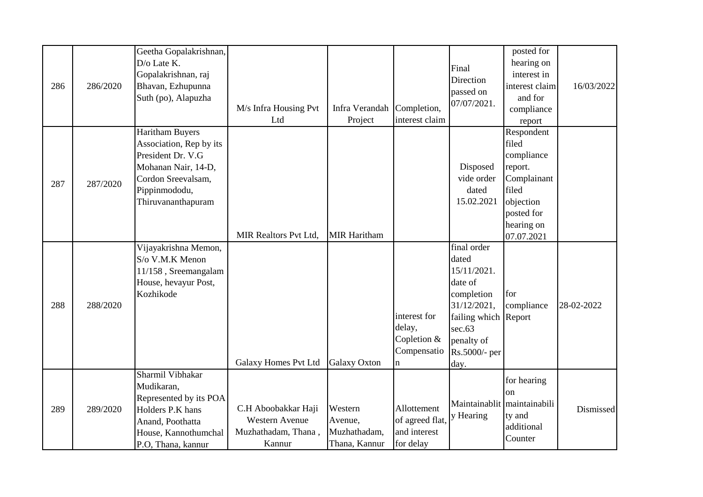| 286 | 286/2020 | Geetha Gopalakrishnan,<br>D/o Late K.<br>Gopalakrishnan, raj<br>Bhavan, Ezhupunna<br>Suth (po), Alapuzha                                                   | M/s Infra Housing Pvt<br>Ltd                                                  | Infra Verandah<br>Project                           | Completion,<br>interest claim                               | Final<br>Direction<br>passed on<br>07/07/2021.                                                                                                       | posted for<br>hearing on<br>interest in<br>interest claim<br>and for<br>compliance<br>report                                | 16/03/2022 |
|-----|----------|------------------------------------------------------------------------------------------------------------------------------------------------------------|-------------------------------------------------------------------------------|-----------------------------------------------------|-------------------------------------------------------------|------------------------------------------------------------------------------------------------------------------------------------------------------|-----------------------------------------------------------------------------------------------------------------------------|------------|
| 287 | 287/2020 | <b>Haritham Buyers</b><br>Association, Rep by its<br>President Dr. V.G<br>Mohanan Nair, 14-D,<br>Cordon Sreevalsam,<br>Pippinmododu,<br>Thiruvananthapuram | <b>MIR Realtors Pvt Ltd,</b>                                                  | <b>MIR Haritham</b>                                 |                                                             | Disposed<br>vide order<br>dated<br>15.02.2021                                                                                                        | Respondent<br>filed<br>compliance<br>report.<br>Complainant<br>filed<br>objection<br>posted for<br>hearing on<br>07.07.2021 |            |
| 288 | 288/2020 | Vijayakrishna Memon,<br>S/o V.M.K Menon<br>11/158, Sreemangalam<br>House, hevayur Post,<br>Kozhikode                                                       | <b>Galaxy Homes Pvt Ltd</b>                                                   | <b>Galaxy Oxton</b>                                 | interest for<br>delay,<br>Copletion &<br>Compensatio<br>n   | final order<br>dated<br>15/11/2021.<br>date of<br>completion<br>31/12/2021,<br>failing which Report<br>sec.63<br>penalty of<br>Rs.5000/- per<br>day. | for<br>compliance                                                                                                           | 28-02-2022 |
| 289 | 289/2020 | Sharmil Vibhakar<br>Mudikaran,<br>Represented by its POA<br>Holders P.K hans<br>Anand, Poothatta<br>House, Kannothumchal<br>P.O, Thana, kannur             | C.H Aboobakkar Haji<br><b>Western Avenue</b><br>Muzhathadam, Thana,<br>Kannur | Western<br>Avenue,<br>Muzhathadam,<br>Thana, Kannur | Allottement<br>of agreed flat,<br>and interest<br>for delay | Maintainablit<br>y Hearing                                                                                                                           | for hearing<br>on<br>maintainabili<br>ty and<br>additional<br>Counter                                                       | Dismissed  |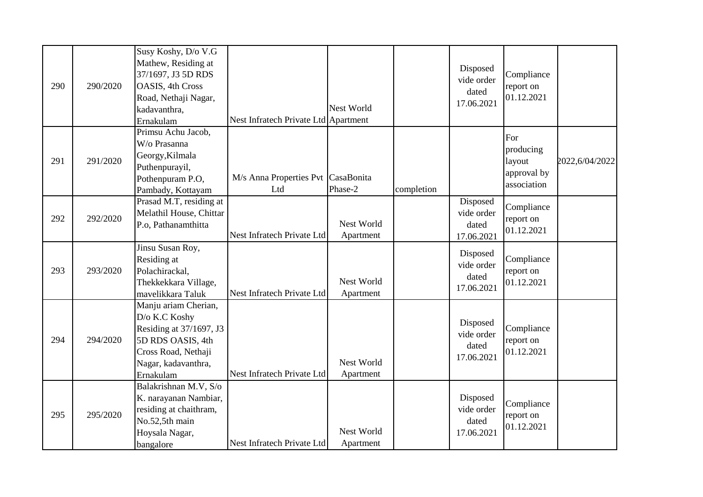|     |          | Susy Koshy, D/o V.G     |                                      |            |            |                          |             |                |
|-----|----------|-------------------------|--------------------------------------|------------|------------|--------------------------|-------------|----------------|
|     |          | Mathew, Residing at     |                                      |            |            | Disposed                 |             |                |
|     |          | 37/1697, J3 5D RDS      |                                      |            |            | vide order               | Compliance  |                |
| 290 | 290/2020 | OASIS, 4th Cross        |                                      |            |            | dated                    | report on   |                |
|     |          | Road, Nethaji Nagar,    |                                      |            |            | 17.06.2021               | 01.12.2021  |                |
|     |          | kadavanthra,            |                                      | Nest World |            |                          |             |                |
|     |          | Ernakulam               | Nest Infratech Private Ltd Apartment |            |            |                          |             |                |
|     |          | Primsu Achu Jacob,      |                                      |            |            |                          | For         |                |
|     |          | W/o Prasanna            |                                      |            |            |                          | producing   |                |
| 291 | 291/2020 | Georgy, Kilmala         |                                      |            |            |                          | layout      | 2022,6/04/2022 |
|     |          | Puthenpurayil,          |                                      |            |            |                          | approval by |                |
|     |          | Pothenpuram P.O,        | M/s Anna Properties Pvt CasaBonita   |            |            |                          | association |                |
|     |          | Pambady, Kottayam       | Ltd                                  | Phase-2    | completion |                          |             |                |
|     |          | Prasad M.T, residing at |                                      |            |            | Disposed                 | Compliance  |                |
| 292 | 292/2020 | Melathil House, Chittar |                                      |            |            | vide order               | report on   |                |
|     |          | P.o, Pathanamthitta     |                                      | Nest World |            | dated                    | 01.12.2021  |                |
|     |          |                         | Nest Infratech Private Ltd           | Apartment  |            | 17.06.2021               |             |                |
|     |          | Jinsu Susan Roy,        |                                      |            |            | Disposed                 |             |                |
|     |          | Residing at             |                                      |            |            | vide order               | Compliance  |                |
| 293 | 293/2020 | Polachirackal,          |                                      |            |            | dated                    | report on   |                |
|     |          | Thekkekkara Village,    |                                      | Nest World |            | 17.06.2021               | 01.12.2021  |                |
|     |          | mavelikkara Taluk       | Nest Infratech Private Ltd           | Apartment  |            |                          |             |                |
|     |          | Manju ariam Cherian,    |                                      |            |            |                          |             |                |
|     |          | D/o K.C Koshy           |                                      |            |            | Disposed                 |             |                |
|     |          | Residing at 37/1697, J3 |                                      |            |            | vide order               | Compliance  |                |
| 294 | 294/2020 | 5D RDS OASIS, 4th       |                                      |            |            | dated                    | report on   |                |
|     |          | Cross Road, Nethaji     |                                      |            |            | 17.06.2021               | 01.12.2021  |                |
|     |          | Nagar, kadavanthra,     |                                      | Nest World |            |                          |             |                |
|     |          | Ernakulam               | Nest Infratech Private Ltd           | Apartment  |            |                          |             |                |
|     |          | Balakrishnan M.V, S/o   |                                      |            |            |                          |             |                |
|     |          | K. narayanan Nambiar,   |                                      |            |            | Disposed                 | Compliance  |                |
| 295 | 295/2020 | residing at chaithram,  |                                      |            |            | vide order               |             |                |
|     |          | No.52,5th main          |                                      |            |            | dated                    | report on   |                |
|     |          | Hoysala Nagar,          |                                      | Nest World |            | 01.12.2021<br>17.06.2021 |             |                |
|     |          | bangalore               | Nest Infratech Private Ltd           | Apartment  |            |                          |             |                |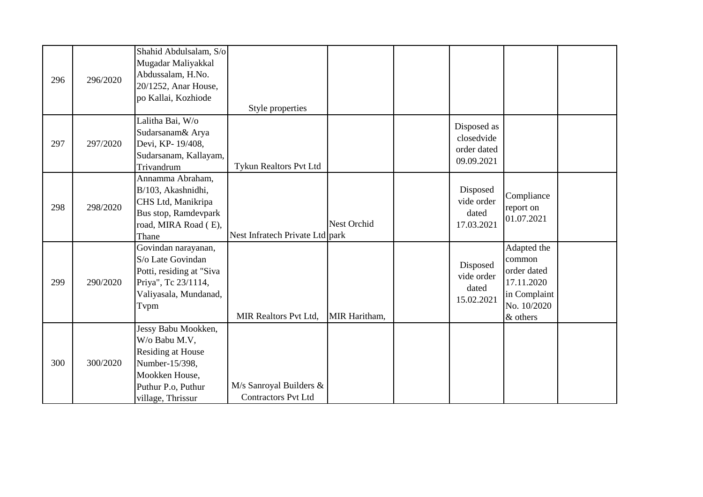| 296 | 296/2020 | Shahid Abdulsalam, S/o<br>Mugadar Maliyakkal<br>Abdussalam, H.No.<br>20/1252, Anar House,<br>po Kallai, Kozhiode                         | Style properties                                      |                    |                                                        |                                                                                               |  |
|-----|----------|------------------------------------------------------------------------------------------------------------------------------------------|-------------------------------------------------------|--------------------|--------------------------------------------------------|-----------------------------------------------------------------------------------------------|--|
| 297 | 297/2020 | Lalitha Bai, W/o<br>Sudarsanam& Arya<br>Devi, KP- 19/408,<br>Sudarsanam, Kallayam,<br>Trivandrum                                         | Tykun Realtors Pvt Ltd                                |                    | Disposed as<br>closedvide<br>order dated<br>09.09.2021 |                                                                                               |  |
| 298 | 298/2020 | Annamma Abraham,<br>B/103, Akashnidhi,<br>CHS Ltd, Manikripa<br>Bus stop, Ramdevpark<br>road, MIRA Road (E),<br>Thane                    | Nest Infratech Private Ltd park                       | <b>Nest Orchid</b> | Disposed<br>vide order<br>dated<br>17.03.2021          | Compliance<br>report on<br>01.07.2021                                                         |  |
| 299 | 290/2020 | Govindan narayanan,<br>S/o Late Govindan<br>Potti, residing at "Siva<br>Priya", Tc 23/1114,<br>Valiyasala, Mundanad,<br>Tvpm             | <b>MIR Realtors Pvt Ltd,</b>                          | MIR Haritham,      | Disposed<br>vide order<br>dated<br>15.02.2021          | Adapted the<br>common<br>order dated<br>17.11.2020<br>in Complaint<br>No. 10/2020<br>& others |  |
| 300 | 300/2020 | Jessy Babu Mookken,<br>W/o Babu M.V,<br>Residing at House<br>Number-15/398,<br>Mookken House,<br>Puthur P.o, Puthur<br>village, Thrissur | M/s Sanroyal Builders &<br><b>Contractors Pvt Ltd</b> |                    |                                                        |                                                                                               |  |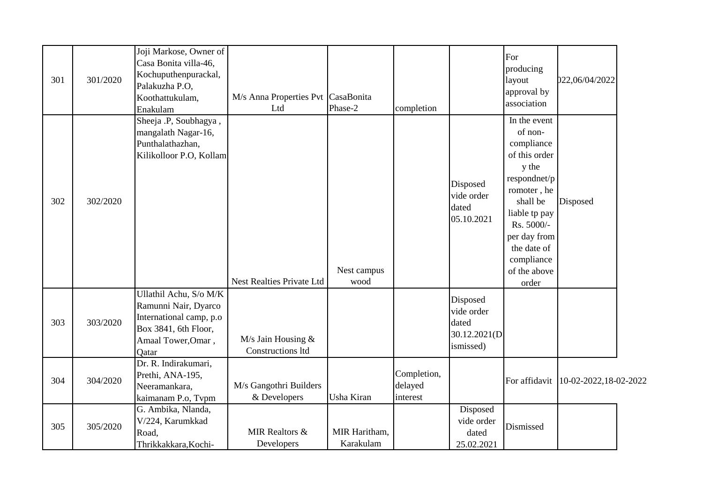| 301 | 301/2020 | Joji Markose, Owner of<br>Casa Bonita villa-46,<br>Kochuputhenpurackal,<br>Palakuzha P.O,<br>Koothattukulam,<br>Enakulam                                  | M/s Anna Properties Pvt CasaBonita<br>Ltd | Phase-2                    | completion                         |                                                              | For<br>producing<br>layout<br>approval by<br>association                                                                                                                                                        | 022,06/04/2022                         |  |
|-----|----------|-----------------------------------------------------------------------------------------------------------------------------------------------------------|-------------------------------------------|----------------------------|------------------------------------|--------------------------------------------------------------|-----------------------------------------------------------------------------------------------------------------------------------------------------------------------------------------------------------------|----------------------------------------|--|
| 302 | 302/2020 | Sheeja .P, Soubhagya,<br>mangalath Nagar-16,<br>Punthalathazhan,<br>Kilikolloor P.O, Kollam                                                               | Nest Realties Private Ltd                 | Nest campus<br>wood        |                                    | Disposed<br>vide order<br>dated<br>05.10.2021                | In the event<br>of non-<br>compliance<br>of this order<br>y the<br>respondnet/p<br>romoter, he<br>shall be<br>liable tp pay<br>Rs. 5000/-<br>per day from<br>the date of<br>compliance<br>of the above<br>order | Disposed                               |  |
| 303 | 303/2020 | Ullathil Achu, S/o M/K<br>Ramunni Nair, Dyarco<br>International camp, p.o.<br>Box 3841, 6th Floor,<br>Amaal Tower, Omar,<br>Qatar<br>Dr. R. Indirakumari, | M/s Jain Housing $&$<br>Constructions ltd |                            |                                    | Disposed<br>vide order<br>dated<br>30.12.2021(D<br>ismissed) |                                                                                                                                                                                                                 |                                        |  |
| 304 | 304/2020 | Prethi, ANA-195,<br>Neeramankara,<br>kaimanam P.o, Tvpm                                                                                                   | M/s Gangothri Builders<br>& Developers    | Usha Kiran                 | Completion,<br>delayed<br>interest |                                                              |                                                                                                                                                                                                                 | For affidavit   10-02-2022, 18-02-2022 |  |
| 305 | 305/2020 | G. Ambika, Nlanda,<br>V/224, Karumkkad<br>Road,<br>Thrikkakkara, Kochi-                                                                                   | <b>MIR Realtors &amp;</b><br>Developers   | MIR Haritham,<br>Karakulam |                                    | Disposed<br>vide order<br>dated<br>25.02.2021                | Dismissed                                                                                                                                                                                                       |                                        |  |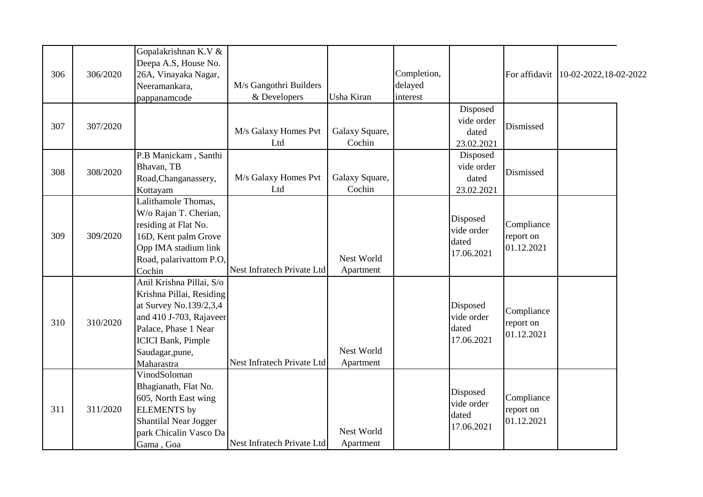|     |          | Gopalakrishnan K.V &<br>Deepa A.S, House No. |                            |                |             |            |            |                                        |
|-----|----------|----------------------------------------------|----------------------------|----------------|-------------|------------|------------|----------------------------------------|
| 306 | 306/2020 | 26A, Vinayaka Nagar,                         |                            |                | Completion, |            |            | For affidavit   10-02-2022, 18-02-2022 |
|     |          | Neeramankara,                                | M/s Gangothri Builders     |                | delayed     |            |            |                                        |
|     |          | pappanamcode                                 | & Developers               | Usha Kiran     | interest    |            |            |                                        |
|     |          |                                              |                            |                |             | Disposed   |            |                                        |
| 307 | 307/2020 |                                              |                            |                |             | vide order | Dismissed  |                                        |
|     |          |                                              | M/s Galaxy Homes Pvt       | Galaxy Square, |             | dated      |            |                                        |
|     |          |                                              | Ltd                        | Cochin         |             | 23.02.2021 |            |                                        |
|     |          | P.B Manickam, Santhi                         |                            |                |             | Disposed   |            |                                        |
| 308 | 308/2020 | Bhavan, TB                                   |                            |                |             | vide order | Dismissed  |                                        |
|     |          | Road, Changanassery,                         | M/s Galaxy Homes Pvt       | Galaxy Square, |             | dated      |            |                                        |
|     |          | Kottayam                                     | Ltd                        | Cochin         |             | 23.02.2021 |            |                                        |
|     |          | Lalithamole Thomas,                          |                            |                |             |            |            |                                        |
|     |          | W/o Rajan T. Cherian,                        |                            |                |             | Disposed   |            |                                        |
|     |          | residing at Flat No.                         |                            |                |             | vide order | Compliance |                                        |
| 309 | 309/2020 | 16D, Kent palm Grove                         |                            |                |             | dated      | report on  |                                        |
|     |          | Opp IMA stadium link                         |                            |                |             | 17.06.2021 | 01.12.2021 |                                        |
|     |          | Road, palarivattom P.O,                      |                            | Nest World     |             |            |            |                                        |
|     |          | Cochin                                       | Nest Infratech Private Ltd | Apartment      |             |            |            |                                        |
|     |          | Anil Krishna Pillai, S/o                     |                            |                |             |            |            |                                        |
|     |          | Krishna Pillai, Residing                     |                            |                |             |            |            |                                        |
|     |          | at Survey No.139/2,3,4                       |                            |                |             | Disposed   | Compliance |                                        |
| 310 | 310/2020 | and 410 J-703, Rajaveer                      |                            |                |             | vide order | report on  |                                        |
|     |          | Palace, Phase 1 Near                         |                            |                |             | dated      | 01.12.2021 |                                        |
|     |          | <b>ICICI Bank</b> , Pimple                   |                            |                |             | 17.06.2021 |            |                                        |
|     |          | Saudagar, pune,                              |                            | Nest World     |             |            |            |                                        |
|     |          | Maharastra                                   | Nest Infratech Private Ltd | Apartment      |             |            |            |                                        |
|     |          | VinodSoloman                                 |                            |                |             |            |            |                                        |
|     |          | Bhagianath, Flat No.                         |                            |                |             | Disposed   |            |                                        |
|     |          | 605, North East wing                         |                            |                |             | vide order | Compliance |                                        |
| 311 | 311/2020 | <b>ELEMENTS</b> by                           |                            |                |             | dated      | report on  |                                        |
|     |          | <b>Shantilal Near Jogger</b>                 |                            |                |             | 17.06.2021 | 01.12.2021 |                                        |
|     |          | park Chicalin Vasco Da                       |                            | Nest World     |             |            |            |                                        |
|     |          | Gama, Goa                                    | Nest Infratech Private Ltd | Apartment      |             |            |            |                                        |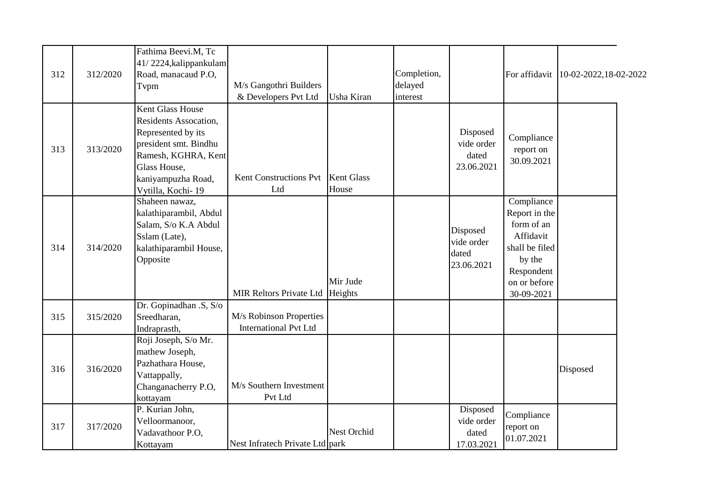|     |          | Fathima Beevi.M, Tc<br>41/2224, kalippankulam |                                     |             |             |                         |                         |                                        |
|-----|----------|-----------------------------------------------|-------------------------------------|-------------|-------------|-------------------------|-------------------------|----------------------------------------|
| 312 | 312/2020 | Road, manacaud P.O,                           |                                     |             | Completion, |                         |                         | For affidavit   10-02-2022, 18-02-2022 |
|     |          | Tvpm                                          | M/s Gangothri Builders              |             | delayed     |                         |                         |                                        |
|     |          |                                               | & Developers Pvt Ltd                | Usha Kiran  | interest    |                         |                         |                                        |
|     |          | <b>Kent Glass House</b>                       |                                     |             |             |                         |                         |                                        |
| 313 | 313/2020 | Residents Assocation,                         |                                     |             |             |                         |                         |                                        |
|     |          | Represented by its                            |                                     |             |             | Disposed                | Compliance<br>report on |                                        |
|     |          | president smt. Bindhu                         |                                     |             |             | vide order              |                         |                                        |
|     |          | Ramesh, KGHRA, Kent                           |                                     |             |             | dated                   | 30.09.2021              |                                        |
|     |          | Glass House,                                  |                                     |             |             | 23.06.2021              |                         |                                        |
|     |          | kaniyampuzha Road,                            | Kent Constructions Pvt   Kent Glass |             |             |                         |                         |                                        |
|     |          | Vytilla, Kochi-19                             | Ltd                                 | House       |             |                         |                         |                                        |
|     | 314/2020 | Shaheen nawaz,                                |                                     |             |             |                         | Compliance              |                                        |
| 314 |          | kalathiparambil, Abdul                        |                                     |             |             |                         | Report in the           |                                        |
|     |          | Salam, S/o K.A Abdul                          |                                     |             |             | Disposed                | form of an              |                                        |
|     |          | Sslam (Late),                                 |                                     |             |             | Affidavit<br>vide order |                         |                                        |
|     |          | kalathiparambil House,                        |                                     |             |             | dated                   | shall be filed          |                                        |
|     |          | Opposite                                      |                                     |             |             | 23.06.2021              | by the                  |                                        |
|     |          |                                               |                                     |             |             |                         | Respondent              |                                        |
|     |          |                                               |                                     | Mir Jude    |             |                         | on or before            |                                        |
|     |          |                                               | MIR Reltors Private Ltd Heights     |             |             |                         | 30-09-2021              |                                        |
|     | 315/2020 | Dr. Gopinadhan .S, S/o                        |                                     |             |             |                         |                         |                                        |
| 315 |          | Sreedharan,                                   | M/s Robinson Properties             |             |             |                         |                         |                                        |
|     |          | Indraprasth,                                  | <b>International Pvt Ltd</b>        |             |             |                         |                         |                                        |
| 316 | 316/2020 | Roji Joseph, S/o Mr.                          |                                     |             |             |                         |                         |                                        |
|     |          | mathew Joseph,                                |                                     |             |             |                         |                         |                                        |
|     |          | Pazhathara House,                             |                                     |             |             |                         |                         | Disposed                               |
|     |          | Vattappally,                                  |                                     |             |             |                         |                         |                                        |
|     |          | Changanacherry P.O,                           | M/s Southern Investment             |             |             |                         |                         |                                        |
|     |          | kottayam                                      | Pvt Ltd                             |             |             |                         |                         |                                        |
| 317 | 317/2020 | P. Kurian John,                               |                                     |             |             | Disposed                | Compliance              |                                        |
|     |          | Velloormanoor,                                |                                     |             |             | vide order              | report on               |                                        |
|     |          | Vadavathoor P.O.                              |                                     | Nest Orchid |             | dated                   | 01.07.2021              |                                        |
|     |          | Kottayam                                      | Nest Infratech Private Ltd park     |             |             | 17.03.2021              |                         |                                        |